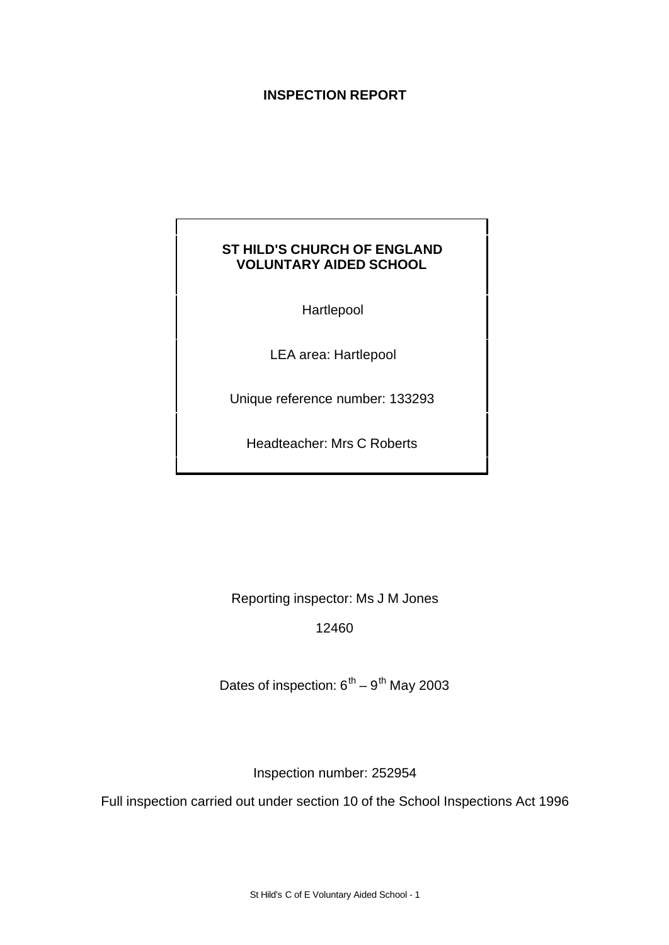# **INSPECTION REPORT**

# **ST HILD'S CHURCH OF ENGLAND VOLUNTARY AIDED SCHOOL**

Hartlepool

LEA area: Hartlepool

Unique reference number: 133293

Headteacher: Mrs C Roberts

Reporting inspector: Ms J M Jones

12460

Dates of inspection:  $6<sup>th</sup> - 9<sup>th</sup>$  May 2003

Inspection number: 252954

Full inspection carried out under section 10 of the School Inspections Act 1996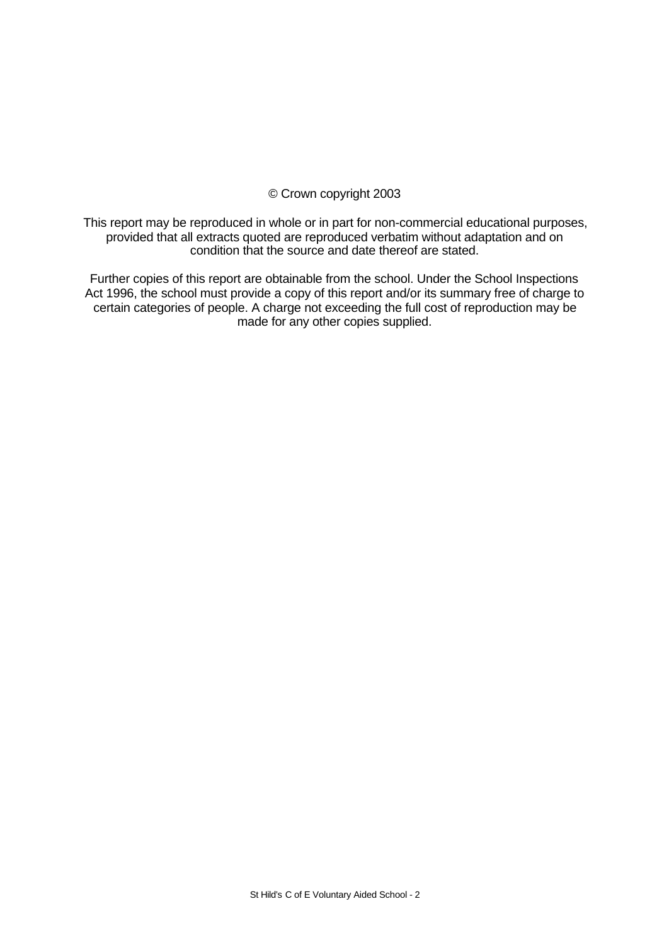# © Crown copyright 2003

This report may be reproduced in whole or in part for non-commercial educational purposes, provided that all extracts quoted are reproduced verbatim without adaptation and on condition that the source and date thereof are stated.

Further copies of this report are obtainable from the school. Under the School Inspections Act 1996, the school must provide a copy of this report and/or its summary free of charge to certain categories of people. A charge not exceeding the full cost of reproduction may be made for any other copies supplied.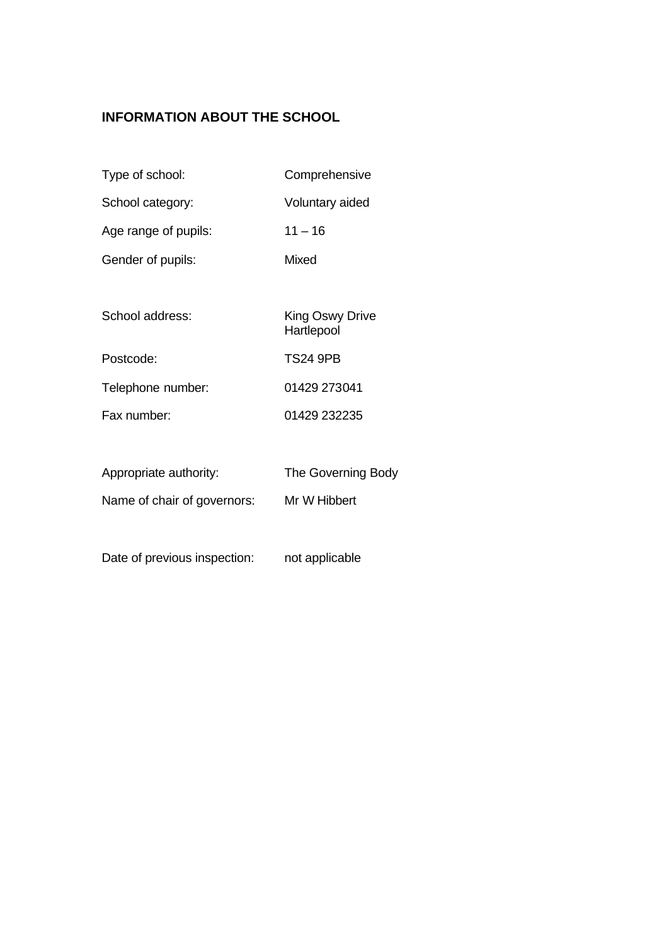# **INFORMATION ABOUT THE SCHOOL**

- Type of school: Comprehensive
- School category: Voluntary aided
- Age range of pupils: 11 16
- Gender of pupils: Mixed
- School address: King Oswy Drive Hartlepool Postcode: TS24 9PB
- Telephone number: 01429 273041 Fax number: 01429 232235
- Appropriate authority: The Governing Body Name of chair of governors: Mr W Hibbert
- Date of previous inspection: not applicable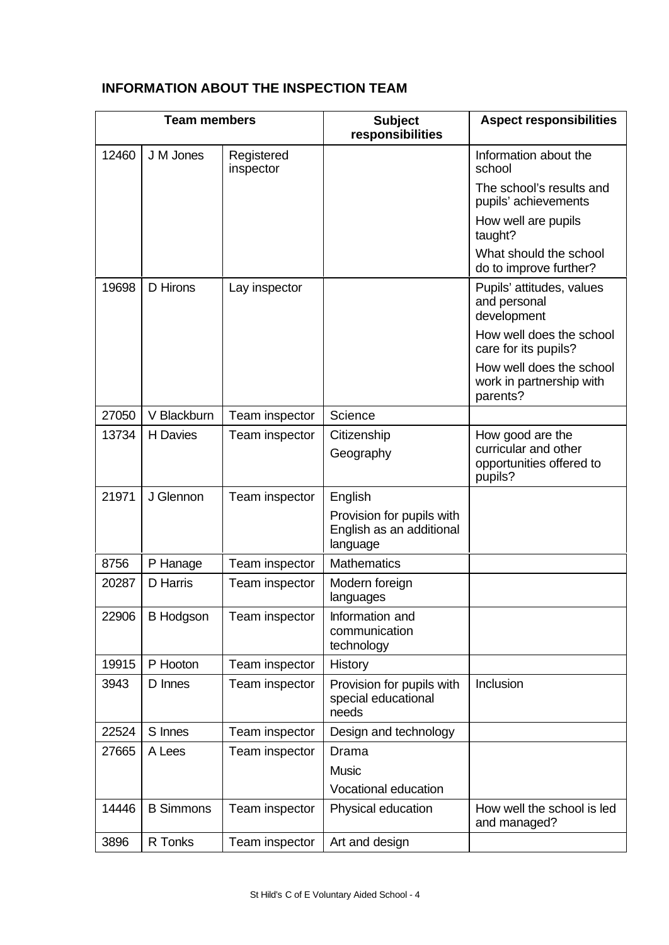# **INFORMATION ABOUT THE INSPECTION TEAM**

| <b>Team members</b> |                  | <b>Subject</b><br>responsibilities | <b>Aspect responsibilities</b>                                    |                                                                                 |
|---------------------|------------------|------------------------------------|-------------------------------------------------------------------|---------------------------------------------------------------------------------|
| 12460               | J M Jones        | Registered<br>inspector            |                                                                   | Information about the<br>school                                                 |
|                     |                  |                                    |                                                                   | The school's results and<br>pupils' achievements                                |
|                     |                  |                                    |                                                                   | How well are pupils<br>taught?                                                  |
|                     |                  |                                    |                                                                   | What should the school<br>do to improve further?                                |
| 19698               | D Hirons         | Lay inspector                      |                                                                   | Pupils' attitudes, values<br>and personal<br>development                        |
|                     |                  |                                    |                                                                   | How well does the school<br>care for its pupils?                                |
|                     |                  |                                    |                                                                   | How well does the school<br>work in partnership with<br>parents?                |
| 27050               | V Blackburn      | Team inspector                     | Science                                                           |                                                                                 |
| 13734               | H Davies         | Team inspector                     | Citizenship<br>Geography                                          | How good are the<br>curricular and other<br>opportunities offered to<br>pupils? |
| 21971               | J Glennon        | Team inspector                     | English                                                           |                                                                                 |
|                     |                  |                                    | Provision for pupils with<br>English as an additional<br>language |                                                                                 |
| 8756                | P Hanage         | Team inspector                     | <b>Mathematics</b>                                                |                                                                                 |
| 20287               | D Harris         | Team inspector                     | Modern foreign<br>languages                                       |                                                                                 |
| 22906               | <b>B Hodgson</b> | Team inspector                     | Information and<br>communication<br>technology                    |                                                                                 |
| 19915               | P Hooton         | Team inspector                     | History                                                           |                                                                                 |
| 3943                | D Innes          | Team inspector                     | Provision for pupils with<br>special educational<br>needs         | Inclusion                                                                       |
| 22524               | S Innes          | Team inspector                     | Design and technology                                             |                                                                                 |
| 27665               | A Lees           | Team inspector                     | Drama                                                             |                                                                                 |
|                     |                  |                                    | <b>Music</b>                                                      |                                                                                 |
|                     |                  |                                    | Vocational education                                              |                                                                                 |
| 14446               | <b>B</b> Simmons | Team inspector                     | Physical education                                                | How well the school is led<br>and managed?                                      |
| 3896                | R Tonks          | Team inspector                     | Art and design                                                    |                                                                                 |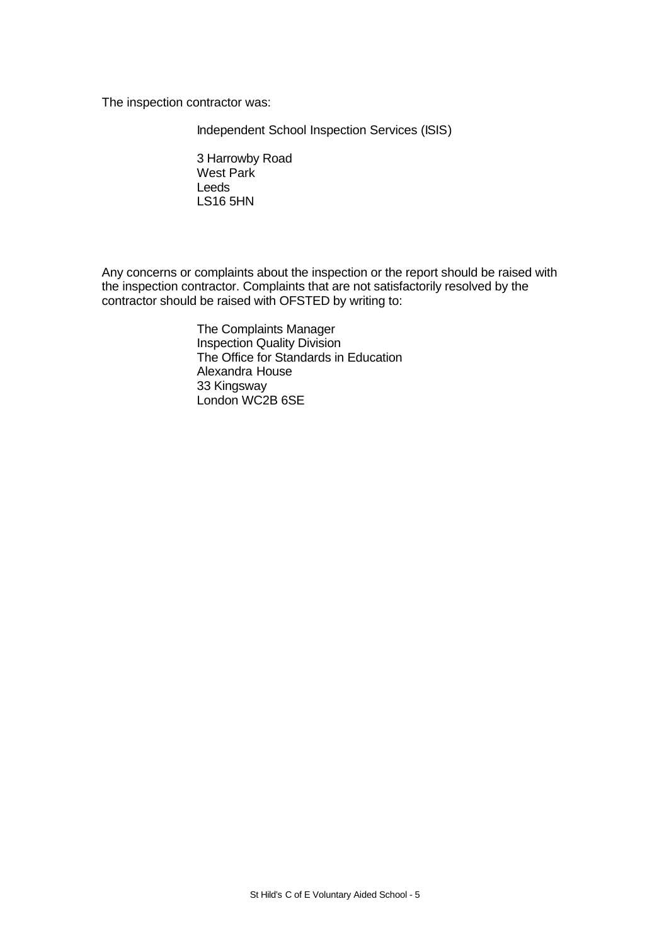The inspection contractor was:

Independent School Inspection Services (ISIS)

3 Harrowby Road West Park Leeds LS16 5HN

Any concerns or complaints about the inspection or the report should be raised with the inspection contractor. Complaints that are not satisfactorily resolved by the contractor should be raised with OFSTED by writing to:

> The Complaints Manager Inspection Quality Division The Office for Standards in Education Alexandra House 33 Kingsway London WC2B 6SE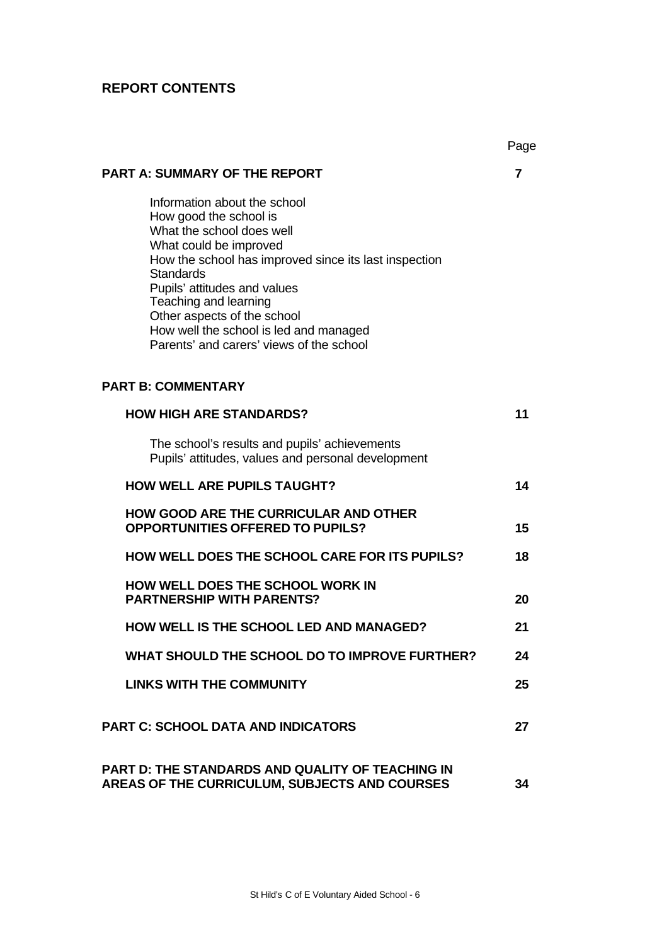# **REPORT CONTENTS**

|                                                                                                                                                                                                                                                                                                                                                                          | Page |
|--------------------------------------------------------------------------------------------------------------------------------------------------------------------------------------------------------------------------------------------------------------------------------------------------------------------------------------------------------------------------|------|
| <b>PART A: SUMMARY OF THE REPORT</b>                                                                                                                                                                                                                                                                                                                                     | 7    |
| Information about the school<br>How good the school is<br>What the school does well<br>What could be improved<br>How the school has improved since its last inspection<br><b>Standards</b><br>Pupils' attitudes and values<br>Teaching and learning<br>Other aspects of the school<br>How well the school is led and managed<br>Parents' and carers' views of the school |      |
| <b>PART B: COMMENTARY</b>                                                                                                                                                                                                                                                                                                                                                |      |
| <b>HOW HIGH ARE STANDARDS?</b>                                                                                                                                                                                                                                                                                                                                           | 11   |
| The school's results and pupils' achievements<br>Pupils' attitudes, values and personal development                                                                                                                                                                                                                                                                      |      |
| <b>HOW WELL ARE PUPILS TAUGHT?</b>                                                                                                                                                                                                                                                                                                                                       | 14   |
| <b>HOW GOOD ARE THE CURRICULAR AND OTHER</b><br><b>OPPORTUNITIES OFFERED TO PUPILS?</b>                                                                                                                                                                                                                                                                                  | 15   |
| HOW WELL DOES THE SCHOOL CARE FOR ITS PUPILS?                                                                                                                                                                                                                                                                                                                            | 18   |
| <b>HOW WELL DOES THE SCHOOL WORK IN</b><br><b>PARTNERSHIP WITH PARENTS?</b>                                                                                                                                                                                                                                                                                              | 20   |
| <b>HOW WELL IS THE SCHOOL LED AND MANAGED?</b>                                                                                                                                                                                                                                                                                                                           | 21   |
| WHAT SHOULD THE SCHOOL DO TO IMPROVE FURTHER?                                                                                                                                                                                                                                                                                                                            | 24   |
| <b>LINKS WITH THE COMMUNITY</b>                                                                                                                                                                                                                                                                                                                                          | 25   |
| <b>PART C: SCHOOL DATA AND INDICATORS</b>                                                                                                                                                                                                                                                                                                                                | 27   |
| <b>PART D: THE STANDARDS AND QUALITY OF TEACHING IN</b><br>AREAS OF THE CURRICULUM, SUBJECTS AND COURSES                                                                                                                                                                                                                                                                 | 34   |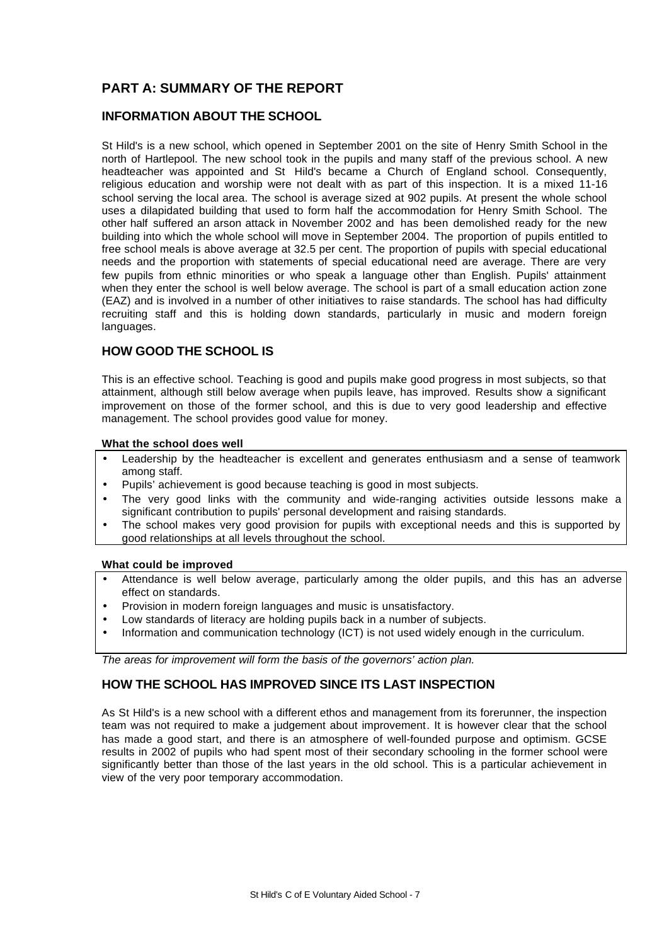# **PART A: SUMMARY OF THE REPORT**

# **INFORMATION ABOUT THE SCHOOL**

St Hild's is a new school, which opened in September 2001 on the site of Henry Smith School in the north of Hartlepool. The new school took in the pupils and many staff of the previous school. A new headteacher was appointed and St Hild's became a Church of England school. Consequently, religious education and worship were not dealt with as part of this inspection. It is a mixed 11-16 school serving the local area. The school is average sized at 902 pupils. At present the whole school uses a dilapidated building that used to form half the accommodation for Henry Smith School. The other half suffered an arson attack in November 2002 and has been demolished ready for the new building into which the whole school will move in September 2004. The proportion of pupils entitled to free school meals is above average at 32.5 per cent. The proportion of pupils with special educational needs and the proportion with statements of special educational need are average. There are very few pupils from ethnic minorities or who speak a language other than English. Pupils' attainment when they enter the school is well below average. The school is part of a small education action zone (EAZ) and is involved in a number of other initiatives to raise standards. The school has had difficulty recruiting staff and this is holding down standards, particularly in music and modern foreign languages.

# **HOW GOOD THE SCHOOL IS**

This is an effective school. Teaching is good and pupils make good progress in most subjects, so that attainment, although still below average when pupils leave, has improved. Results show a significant improvement on those of the former school, and this is due to very good leadership and effective management. The school provides good value for money.

#### **What the school does well**

- Leadership by the headteacher is excellent and generates enthusiasm and a sense of teamwork among staff.
- Pupils' achievement is good because teaching is good in most subjects.
- The very good links with the community and wide-ranging activities outside lessons make a significant contribution to pupils' personal development and raising standards.
- The school makes very good provision for pupils with exceptional needs and this is supported by good relationships at all levels throughout the school.

## **What could be improved**

- Attendance is well below average, particularly among the older pupils, and this has an adverse effect on standards.
- Provision in modern foreign languages and music is unsatisfactory.
- Low standards of literacy are holding pupils back in a number of subjects.
- Information and communication technology (ICT) is not used widely enough in the curriculum.

*The areas for improvement will form the basis of the governors' action plan.*

# **HOW THE SCHOOL HAS IMPROVED SINCE ITS LAST INSPECTION**

As St Hild's is a new school with a different ethos and management from its forerunner, the inspection team was not required to make a judgement about improvement. It is however clear that the school has made a good start, and there is an atmosphere of well-founded purpose and optimism. GCSE results in 2002 of pupils who had spent most of their secondary schooling in the former school were significantly better than those of the last years in the old school. This is a particular achievement in view of the very poor temporary accommodation.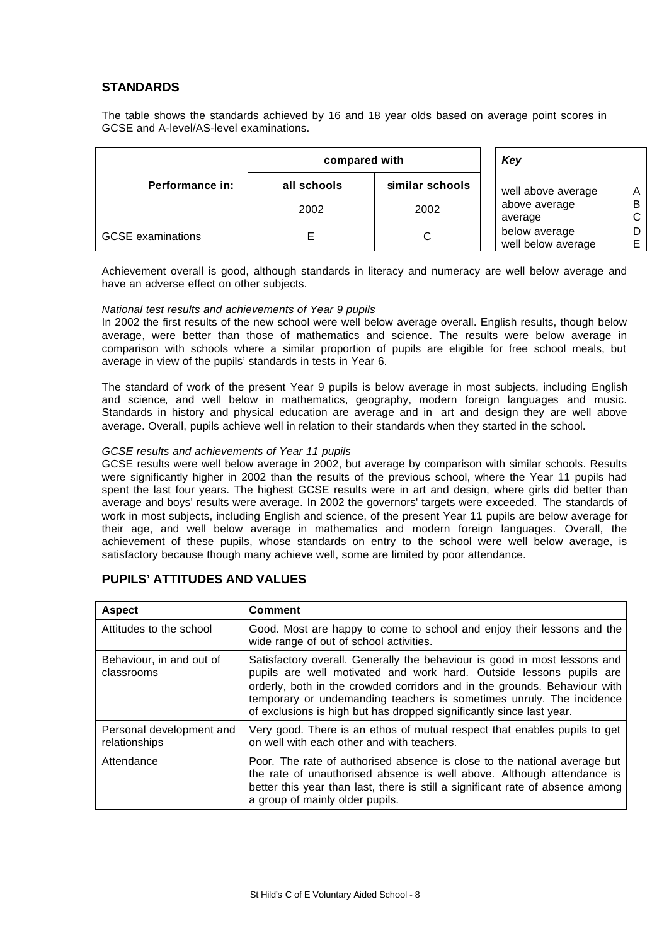# **STANDARDS**

The table shows the standards achieved by 16 and 18 year olds based on average point scores in GCSE and A-level/AS-level examinations.

|                          | compared with | Key             |                                     |  |
|--------------------------|---------------|-----------------|-------------------------------------|--|
| Performance in:          | all schools   | similar schools | well above average                  |  |
|                          | 2002          | 2002            | above average<br>average            |  |
| <b>GCSE</b> examinations |               | ັ               | below average<br>well below average |  |

Achievement overall is good, although standards in literacy and numeracy are well below average and have an adverse effect on other subjects.

#### *National test results and achievements of Year 9 pupils*

In 2002 the first results of the new school were well below average overall. English results, though below average, were better than those of mathematics and science. The results were below average in comparison with schools where a similar proportion of pupils are eligible for free school meals, but average in view of the pupils' standards in tests in Year 6.

The standard of work of the present Year 9 pupils is below average in most subjects, including English and science, and well below in mathematics, geography, modern foreign languages and music. Standards in history and physical education are average and in art and design they are well above average. Overall, pupils achieve well in relation to their standards when they started in the school.

#### *GCSE results and achievements of Year 11 pupils*

GCSE results were well below average in 2002, but average by comparison with similar schools. Results were significantly higher in 2002 than the results of the previous school, where the Year 11 pupils had spent the last four years. The highest GCSE results were in art and design, where girls did better than average and boys' results were average. In 2002 the governors' targets were exceeded. The standards of work in most subjects, including English and science, of the present Year 11 pupils are below average for their age, and well below average in mathematics and modern foreign languages. Overall, the achievement of these pupils, whose standards on entry to the school were well below average, is satisfactory because though many achieve well, some are limited by poor attendance.

# **PUPILS' ATTITUDES AND VALUES**

| <b>Aspect</b>                             | <b>Comment</b>                                                                                                                                                                                                                                                                                                                                                                |  |  |
|-------------------------------------------|-------------------------------------------------------------------------------------------------------------------------------------------------------------------------------------------------------------------------------------------------------------------------------------------------------------------------------------------------------------------------------|--|--|
| Attitudes to the school                   | Good. Most are happy to come to school and enjoy their lessons and the<br>wide range of out of school activities.                                                                                                                                                                                                                                                             |  |  |
| Behaviour, in and out of<br>classrooms    | Satisfactory overall. Generally the behaviour is good in most lessons and<br>pupils are well motivated and work hard. Outside lessons pupils are<br>orderly, both in the crowded corridors and in the grounds. Behaviour with<br>temporary or undemanding teachers is sometimes unruly. The incidence<br>of exclusions is high but has dropped significantly since last year. |  |  |
| Personal development and<br>relationships | Very good. There is an ethos of mutual respect that enables pupils to get<br>on well with each other and with teachers.                                                                                                                                                                                                                                                       |  |  |
| Attendance                                | Poor. The rate of authorised absence is close to the national average but<br>the rate of unauthorised absence is well above. Although attendance is<br>better this year than last, there is still a significant rate of absence among<br>a group of mainly older pupils.                                                                                                      |  |  |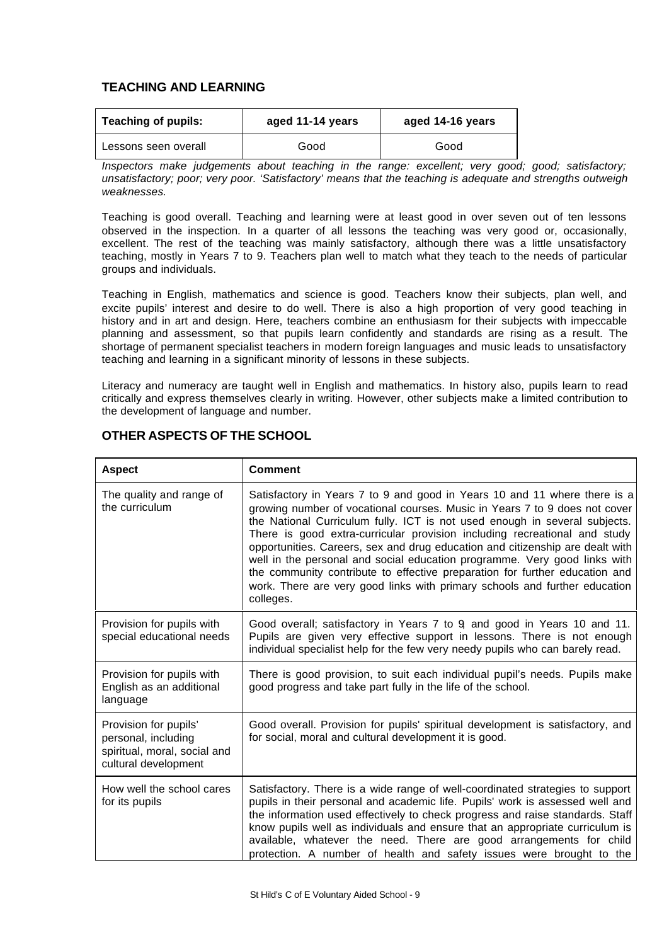# **TEACHING AND LEARNING**

| <b>Teaching of pupils:</b> | aged 11-14 years | aged 14-16 years |  |  |
|----------------------------|------------------|------------------|--|--|
| Lessons seen overall       | Good             | Good             |  |  |

*Inspectors make judgements about teaching in the range: excellent; very good; good; satisfactory; unsatisfactory; poor; very poor. 'Satisfactory' means that the teaching is adequate and strengths outweigh weaknesses.*

Teaching is good overall. Teaching and learning were at least good in over seven out of ten lessons observed in the inspection. In a quarter of all lessons the teaching was very good or, occasionally, excellent. The rest of the teaching was mainly satisfactory, although there was a little unsatisfactory teaching, mostly in Years 7 to 9. Teachers plan well to match what they teach to the needs of particular groups and individuals.

Teaching in English, mathematics and science is good. Teachers know their subjects, plan well, and excite pupils' interest and desire to do well. There is also a high proportion of very good teaching in history and in art and design. Here, teachers combine an enthusiasm for their subjects with impeccable planning and assessment, so that pupils learn confidently and standards are rising as a result. The shortage of permanent specialist teachers in modern foreign languages and music leads to unsatisfactory teaching and learning in a significant minority of lessons in these subjects.

Literacy and numeracy are taught well in English and mathematics. In history also, pupils learn to read critically and express themselves clearly in writing. However, other subjects make a limited contribution to the development of language and number.

| <b>Aspect</b>                                                                                        | <b>Comment</b>                                                                                                                                                                                                                                                                                                                                                                                                                                                                                                                                                                                                                                             |  |  |  |
|------------------------------------------------------------------------------------------------------|------------------------------------------------------------------------------------------------------------------------------------------------------------------------------------------------------------------------------------------------------------------------------------------------------------------------------------------------------------------------------------------------------------------------------------------------------------------------------------------------------------------------------------------------------------------------------------------------------------------------------------------------------------|--|--|--|
| The quality and range of<br>the curriculum                                                           | Satisfactory in Years 7 to 9 and good in Years 10 and 11 where there is a<br>growing number of vocational courses. Music in Years 7 to 9 does not cover<br>the National Curriculum fully. ICT is not used enough in several subjects.<br>There is good extra-curricular provision including recreational and study<br>opportunities. Careers, sex and drug education and citizenship are dealt with<br>well in the personal and social education programme. Very good links with<br>the community contribute to effective preparation for further education and<br>work. There are very good links with primary schools and further education<br>colleges. |  |  |  |
| Provision for pupils with<br>special educational needs                                               | Good overall; satisfactory in Years 7 to 9 and good in Years 10 and 11.<br>Pupils are given very effective support in lessons. There is not enough<br>individual specialist help for the few very needy pupils who can barely read.                                                                                                                                                                                                                                                                                                                                                                                                                        |  |  |  |
| Provision for pupils with<br>English as an additional<br>language                                    | There is good provision, to suit each individual pupil's needs. Pupils make<br>good progress and take part fully in the life of the school.                                                                                                                                                                                                                                                                                                                                                                                                                                                                                                                |  |  |  |
| Provision for pupils'<br>personal, including<br>spiritual, moral, social and<br>cultural development | Good overall. Provision for pupils' spiritual development is satisfactory, and<br>for social, moral and cultural development it is good.                                                                                                                                                                                                                                                                                                                                                                                                                                                                                                                   |  |  |  |
| How well the school cares<br>for its pupils                                                          | Satisfactory. There is a wide range of well-coordinated strategies to support<br>pupils in their personal and academic life. Pupils' work is assessed well and<br>the information used effectively to check progress and raise standards. Staff<br>know pupils well as individuals and ensure that an appropriate curriculum is<br>available, whatever the need. There are good arrangements for child<br>protection. A number of health and safety issues were brought to the                                                                                                                                                                             |  |  |  |

# **OTHER ASPECTS OF THE SCHOOL**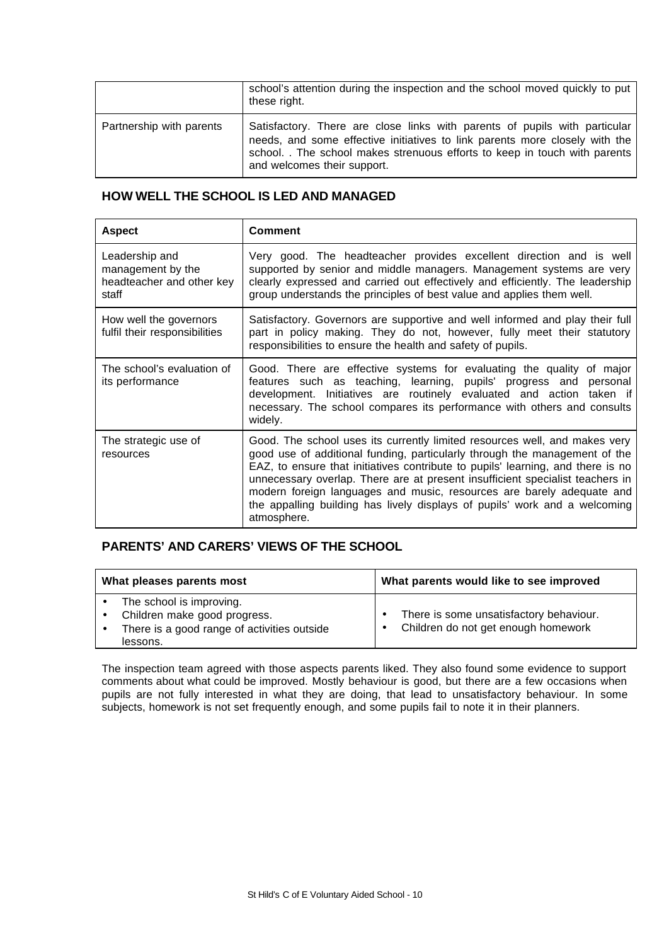|                          | school's attention during the inspection and the school moved quickly to put<br>these right.                                                                                                                                                                           |
|--------------------------|------------------------------------------------------------------------------------------------------------------------------------------------------------------------------------------------------------------------------------------------------------------------|
| Partnership with parents | Satisfactory. There are close links with parents of pupils with particular<br>needs, and some effective initiatives to link parents more closely with the<br>school. . The school makes strenuous efforts to keep in touch with parents<br>and welcomes their support. |

# **HOW WELL THE SCHOOL IS LED AND MANAGED**

| <b>Aspect</b>                                                             | <b>Comment</b>                                                                                                                                                                                                                                                                                                                                                                                                                                                                                     |
|---------------------------------------------------------------------------|----------------------------------------------------------------------------------------------------------------------------------------------------------------------------------------------------------------------------------------------------------------------------------------------------------------------------------------------------------------------------------------------------------------------------------------------------------------------------------------------------|
| Leadership and<br>management by the<br>headteacher and other key<br>staff | Very good. The headteacher provides excellent direction and is well<br>supported by senior and middle managers. Management systems are very<br>clearly expressed and carried out effectively and efficiently. The leadership<br>group understands the principles of best value and applies them well.                                                                                                                                                                                              |
| How well the governors<br>fulfil their responsibilities                   | Satisfactory. Governors are supportive and well informed and play their full<br>part in policy making. They do not, however, fully meet their statutory<br>responsibilities to ensure the health and safety of pupils.                                                                                                                                                                                                                                                                             |
| The school's evaluation of<br>its performance                             | Good. There are effective systems for evaluating the quality of major<br>features such as teaching, learning, pupils' progress and personal<br>development. Initiatives are routinely evaluated and action taken if<br>necessary. The school compares its performance with others and consults<br>widely.                                                                                                                                                                                          |
| The strategic use of<br>resources                                         | Good. The school uses its currently limited resources well, and makes very<br>good use of additional funding, particularly through the management of the<br>EAZ, to ensure that initiatives contribute to pupils' learning, and there is no<br>unnecessary overlap. There are at present insufficient specialist teachers in<br>modern foreign languages and music, resources are barely adequate and<br>the appalling building has lively displays of pupils' work and a welcoming<br>atmosphere. |

# **PARENTS' AND CARERS' VIEWS OF THE SCHOOL**

| What pleases parents most |                                                                                                                     | What parents would like to see improved                                        |  |  |
|---------------------------|---------------------------------------------------------------------------------------------------------------------|--------------------------------------------------------------------------------|--|--|
|                           | The school is improving.<br>Children make good progress.<br>There is a good range of activities outside<br>lessons. | There is some unsatisfactory behaviour.<br>Children do not get enough homework |  |  |

The inspection team agreed with those aspects parents liked. They also found some evidence to support comments about what could be improved. Mostly behaviour is good, but there are a few occasions when pupils are not fully interested in what they are doing, that lead to unsatisfactory behaviour. In some subjects, homework is not set frequently enough, and some pupils fail to note it in their planners.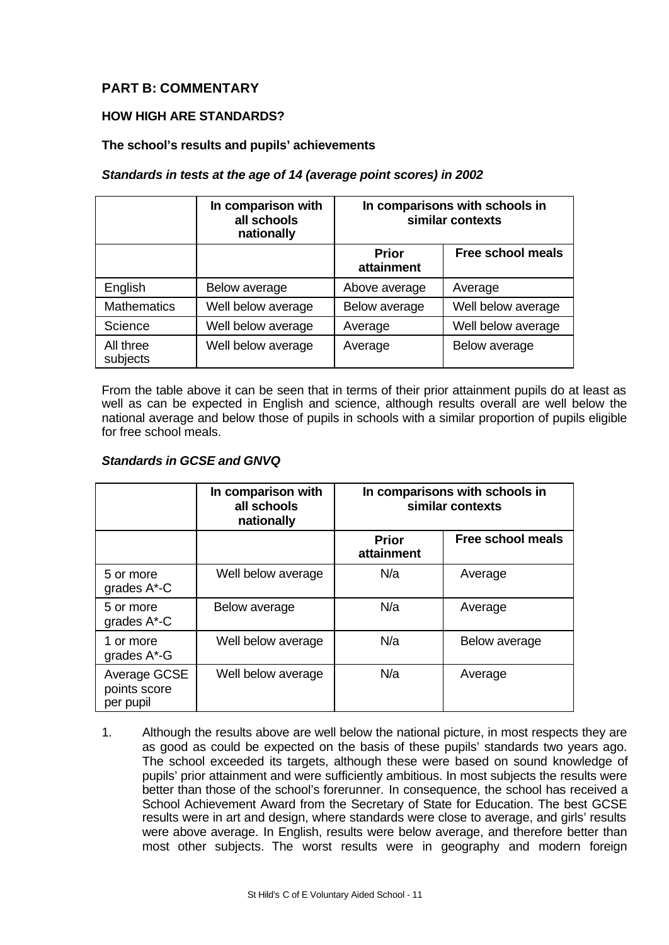# **PART B: COMMENTARY**

# **HOW HIGH ARE STANDARDS?**

## **The school's results and pupils' achievements**

## *Standards in tests at the age of 14 (average point scores) in 2002*

|                       | In comparison with<br>all schools<br>nationally | In comparisons with schools in<br>similar contexts |                          |
|-----------------------|-------------------------------------------------|----------------------------------------------------|--------------------------|
|                       |                                                 | <b>Prior</b><br>attainment                         | <b>Free school meals</b> |
| English               | Below average                                   | Above average                                      | Average                  |
| <b>Mathematics</b>    | Well below average                              | Below average                                      | Well below average       |
| Science               | Well below average                              | Average                                            | Well below average       |
| All three<br>subjects | Well below average                              | Average                                            | Below average            |

From the table above it can be seen that in terms of their prior attainment pupils do at least as well as can be expected in English and science, although results overall are well below the national average and below those of pupils in schools with a similar proportion of pupils eligible for free school meals.

## *Standards in GCSE and GNVQ*

|                                           | In comparison with<br>all schools<br>nationally | In comparisons with schools in<br>similar contexts |                          |
|-------------------------------------------|-------------------------------------------------|----------------------------------------------------|--------------------------|
|                                           |                                                 | <b>Prior</b><br>attainment                         | <b>Free school meals</b> |
| 5 or more<br>grades A*-C                  | Well below average                              | N/a                                                | Average                  |
| 5 or more<br>grades A*-C                  | Below average                                   | N/a                                                | Average                  |
| 1 or more<br>grades A*-G                  | Well below average                              | N/a                                                | Below average            |
| Average GCSE<br>points score<br>per pupil | Well below average                              | N/a                                                | Average                  |

1. Although the results above are well below the national picture, in most respects they are as good as could be expected on the basis of these pupils' standards two years ago. The school exceeded its targets, although these were based on sound knowledge of pupils' prior attainment and were sufficiently ambitious. In most subjects the results were better than those of the school's forerunner. In consequence, the school has received a School Achievement Award from the Secretary of State for Education. The best GCSE results were in art and design, where standards were close to average, and girls' results were above average. In English, results were below average, and therefore better than most other subjects. The worst results were in geography and modern foreign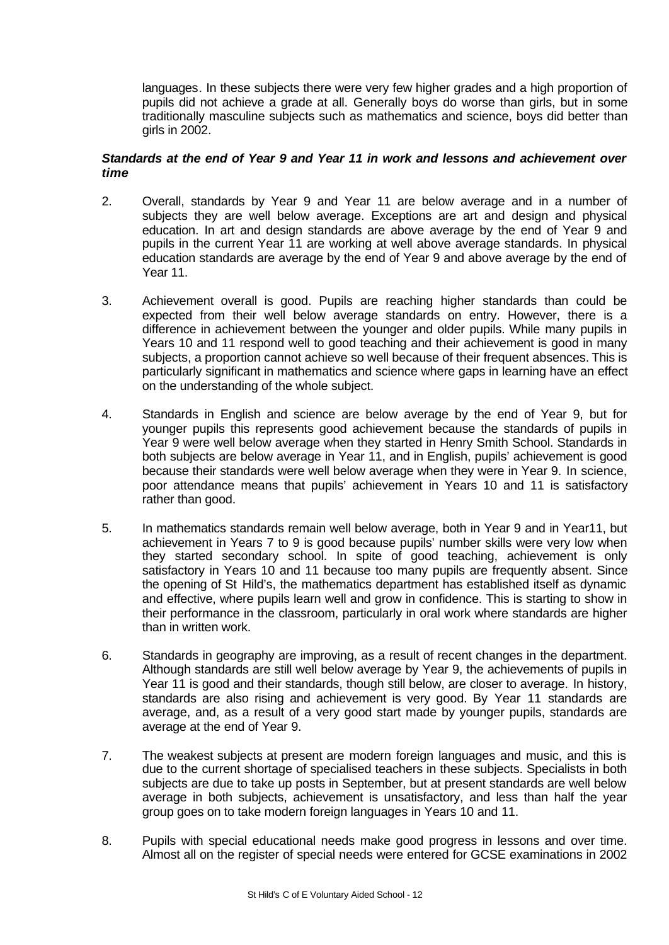languages. In these subjects there were very few higher grades and a high proportion of pupils did not achieve a grade at all. Generally boys do worse than girls, but in some traditionally masculine subjects such as mathematics and science, boys did better than girls in 2002.

## *Standards at the end of Year 9 and Year 11 in work and lessons and achievement over time*

- 2. Overall, standards by Year 9 and Year 11 are below average and in a number of subjects they are well below average. Exceptions are art and design and physical education. In art and design standards are above average by the end of Year 9 and pupils in the current Year 11 are working at well above average standards. In physical education standards are average by the end of Year 9 and above average by the end of Year 11.
- 3. Achievement overall is good. Pupils are reaching higher standards than could be expected from their well below average standards on entry. However, there is a difference in achievement between the younger and older pupils. While many pupils in Years 10 and 11 respond well to good teaching and their achievement is good in many subjects, a proportion cannot achieve so well because of their frequent absences. This is particularly significant in mathematics and science where gaps in learning have an effect on the understanding of the whole subject.
- 4. Standards in English and science are below average by the end of Year 9, but for younger pupils this represents good achievement because the standards of pupils in Year 9 were well below average when they started in Henry Smith School. Standards in both subjects are below average in Year 11, and in English, pupils' achievement is good because their standards were well below average when they were in Year 9. In science, poor attendance means that pupils' achievement in Years 10 and 11 is satisfactory rather than good.
- 5. In mathematics standards remain well below average, both in Year 9 and in Year11, but achievement in Years 7 to 9 is good because pupils' number skills were very low when they started secondary school. In spite of good teaching, achievement is only satisfactory in Years 10 and 11 because too many pupils are frequently absent. Since the opening of St Hild's, the mathematics department has established itself as dynamic and effective, where pupils learn well and grow in confidence. This is starting to show in their performance in the classroom, particularly in oral work where standards are higher than in written work.
- 6. Standards in geography are improving, as a result of recent changes in the department. Although standards are still well below average by Year 9, the achievements of pupils in Year 11 is good and their standards, though still below, are closer to average. In history, standards are also rising and achievement is very good. By Year 11 standards are average, and, as a result of a very good start made by younger pupils, standards are average at the end of Year 9.
- 7. The weakest subjects at present are modern foreign languages and music, and this is due to the current shortage of specialised teachers in these subjects. Specialists in both subjects are due to take up posts in September, but at present standards are well below average in both subjects, achievement is unsatisfactory, and less than half the year group goes on to take modern foreign languages in Years 10 and 11.
- 8. Pupils with special educational needs make good progress in lessons and over time. Almost all on the register of special needs were entered for GCSE examinations in 2002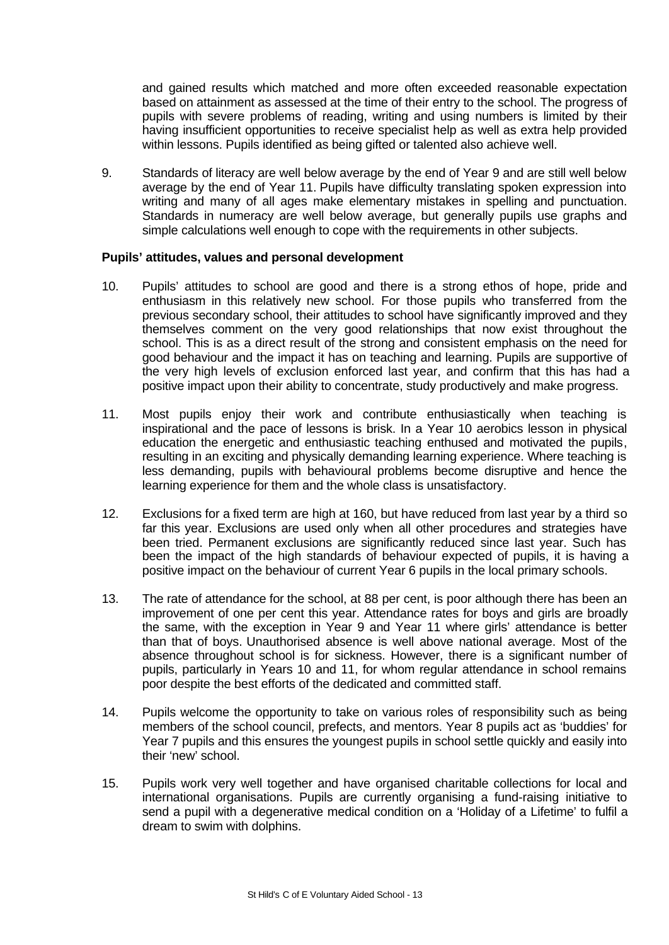and gained results which matched and more often exceeded reasonable expectation based on attainment as assessed at the time of their entry to the school. The progress of pupils with severe problems of reading, writing and using numbers is limited by their having insufficient opportunities to receive specialist help as well as extra help provided within lessons. Pupils identified as being gifted or talented also achieve well.

9. Standards of literacy are well below average by the end of Year 9 and are still well below average by the end of Year 11. Pupils have difficulty translating spoken expression into writing and many of all ages make elementary mistakes in spelling and punctuation. Standards in numeracy are well below average, but generally pupils use graphs and simple calculations well enough to cope with the requirements in other subjects.

## **Pupils' attitudes, values and personal development**

- 10. Pupils' attitudes to school are good and there is a strong ethos of hope, pride and enthusiasm in this relatively new school. For those pupils who transferred from the previous secondary school, their attitudes to school have significantly improved and they themselves comment on the very good relationships that now exist throughout the school. This is as a direct result of the strong and consistent emphasis on the need for good behaviour and the impact it has on teaching and learning. Pupils are supportive of the very high levels of exclusion enforced last year, and confirm that this has had a positive impact upon their ability to concentrate, study productively and make progress.
- 11. Most pupils enjoy their work and contribute enthusiastically when teaching is inspirational and the pace of lessons is brisk. In a Year 10 aerobics lesson in physical education the energetic and enthusiastic teaching enthused and motivated the pupils, resulting in an exciting and physically demanding learning experience. Where teaching is less demanding, pupils with behavioural problems become disruptive and hence the learning experience for them and the whole class is unsatisfactory.
- 12. Exclusions for a fixed term are high at 160, but have reduced from last year by a third so far this year. Exclusions are used only when all other procedures and strategies have been tried. Permanent exclusions are significantly reduced since last year. Such has been the impact of the high standards of behaviour expected of pupils, it is having a positive impact on the behaviour of current Year 6 pupils in the local primary schools.
- 13. The rate of attendance for the school, at 88 per cent, is poor although there has been an improvement of one per cent this year. Attendance rates for boys and girls are broadly the same, with the exception in Year 9 and Year 11 where girls' attendance is better than that of boys. Unauthorised absence is well above national average. Most of the absence throughout school is for sickness. However, there is a significant number of pupils, particularly in Years 10 and 11, for whom regular attendance in school remains poor despite the best efforts of the dedicated and committed staff.
- 14. Pupils welcome the opportunity to take on various roles of responsibility such as being members of the school council, prefects, and mentors. Year 8 pupils act as 'buddies' for Year 7 pupils and this ensures the youngest pupils in school settle quickly and easily into their 'new' school.
- 15. Pupils work very well together and have organised charitable collections for local and international organisations. Pupils are currently organising a fund-raising initiative to send a pupil with a degenerative medical condition on a 'Holiday of a Lifetime' to fulfil a dream to swim with dolphins.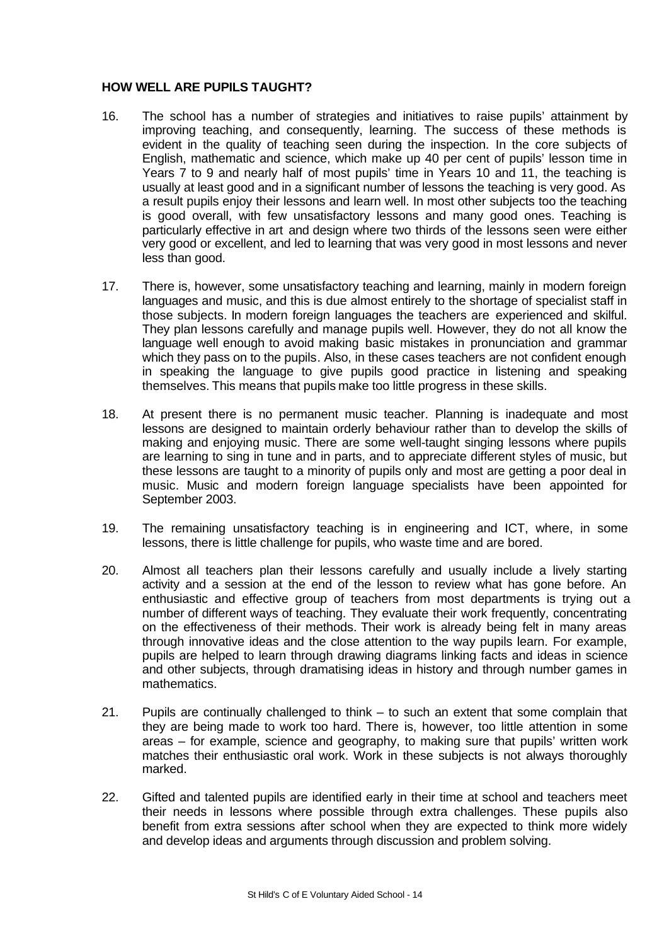# **HOW WELL ARE PUPILS TAUGHT?**

- 16. The school has a number of strategies and initiatives to raise pupils' attainment by improving teaching, and consequently, learning. The success of these methods is evident in the quality of teaching seen during the inspection. In the core subjects of English, mathematic and science, which make up 40 per cent of pupils' lesson time in Years 7 to 9 and nearly half of most pupils' time in Years 10 and 11, the teaching is usually at least good and in a significant number of lessons the teaching is very good. As a result pupils enjoy their lessons and learn well. In most other subjects too the teaching is good overall, with few unsatisfactory lessons and many good ones. Teaching is particularly effective in art and design where two thirds of the lessons seen were either very good or excellent, and led to learning that was very good in most lessons and never less than good.
- 17. There is, however, some unsatisfactory teaching and learning, mainly in modern foreign languages and music, and this is due almost entirely to the shortage of specialist staff in those subjects. In modern foreign languages the teachers are experienced and skilful. They plan lessons carefully and manage pupils well. However, they do not all know the language well enough to avoid making basic mistakes in pronunciation and grammar which they pass on to the pupils. Also, in these cases teachers are not confident enough in speaking the language to give pupils good practice in listening and speaking themselves. This means that pupils make too little progress in these skills.
- 18. At present there is no permanent music teacher. Planning is inadequate and most lessons are designed to maintain orderly behaviour rather than to develop the skills of making and enjoying music. There are some well-taught singing lessons where pupils are learning to sing in tune and in parts, and to appreciate different styles of music, but these lessons are taught to a minority of pupils only and most are getting a poor deal in music. Music and modern foreign language specialists have been appointed for September 2003.
- 19. The remaining unsatisfactory teaching is in engineering and ICT, where, in some lessons, there is little challenge for pupils, who waste time and are bored.
- 20. Almost all teachers plan their lessons carefully and usually include a lively starting activity and a session at the end of the lesson to review what has gone before. An enthusiastic and effective group of teachers from most departments is trying out a number of different ways of teaching. They evaluate their work frequently, concentrating on the effectiveness of their methods. Their work is already being felt in many areas through innovative ideas and the close attention to the way pupils learn. For example, pupils are helped to learn through drawing diagrams linking facts and ideas in science and other subjects, through dramatising ideas in history and through number games in mathematics.
- 21. Pupils are continually challenged to think to such an extent that some complain that they are being made to work too hard. There is, however, too little attention in some areas – for example, science and geography, to making sure that pupils' written work matches their enthusiastic oral work. Work in these subjects is not always thoroughly marked.
- 22. Gifted and talented pupils are identified early in their time at school and teachers meet their needs in lessons where possible through extra challenges. These pupils also benefit from extra sessions after school when they are expected to think more widely and develop ideas and arguments through discussion and problem solving.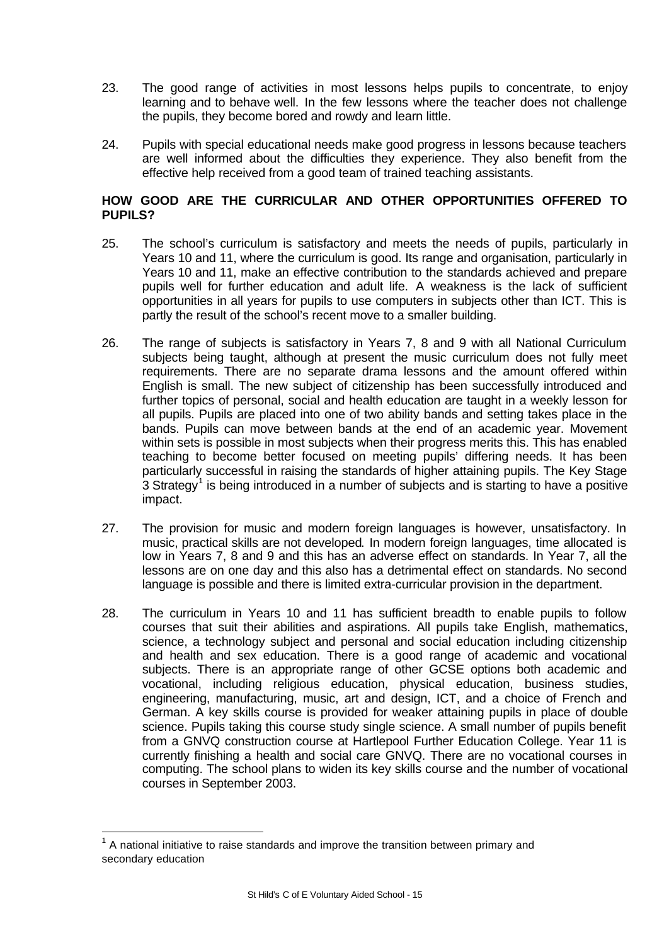- 23. The good range of activities in most lessons helps pupils to concentrate, to enjoy learning and to behave well. In the few lessons where the teacher does not challenge the pupils, they become bored and rowdy and learn little.
- 24. Pupils with special educational needs make good progress in lessons because teachers are well informed about the difficulties they experience. They also benefit from the effective help received from a good team of trained teaching assistants.

# **HOW GOOD ARE THE CURRICULAR AND OTHER OPPORTUNITIES OFFERED TO PUPILS?**

- 25. The school's curriculum is satisfactory and meets the needs of pupils, particularly in Years 10 and 11, where the curriculum is good. Its range and organisation, particularly in Years 10 and 11, make an effective contribution to the standards achieved and prepare pupils well for further education and adult life. A weakness is the lack of sufficient opportunities in all years for pupils to use computers in subjects other than ICT. This is partly the result of the school's recent move to a smaller building.
- 26. The range of subjects is satisfactory in Years 7, 8 and 9 with all National Curriculum subjects being taught, although at present the music curriculum does not fully meet requirements. There are no separate drama lessons and the amount offered within English is small. The new subject of citizenship has been successfully introduced and further topics of personal, social and health education are taught in a weekly lesson for all pupils. Pupils are placed into one of two ability bands and setting takes place in the bands. Pupils can move between bands at the end of an academic year. Movement within sets is possible in most subjects when their progress merits this. This has enabled teaching to become better focused on meeting pupils' differing needs. It has been particularly successful in raising the standards of higher attaining pupils. The Key Stage  $3$  Strategy<sup>1</sup> is being introduced in a number of subjects and is starting to have a positive impact.
- 27. The provision for music and modern foreign languages is however, unsatisfactory. In music, practical skills are not developed. In modern foreign languages, time allocated is low in Years 7, 8 and 9 and this has an adverse effect on standards. In Year 7, all the lessons are on one day and this also has a detrimental effect on standards. No second language is possible and there is limited extra-curricular provision in the department.
- 28. The curriculum in Years 10 and 11 has sufficient breadth to enable pupils to follow courses that suit their abilities and aspirations. All pupils take English, mathematics, science, a technology subject and personal and social education including citizenship and health and sex education. There is a good range of academic and vocational subjects. There is an appropriate range of other GCSE options both academic and vocational, including religious education, physical education, business studies, engineering, manufacturing, music, art and design, ICT, and a choice of French and German. A key skills course is provided for weaker attaining pupils in place of double science. Pupils taking this course study single science. A small number of pupils benefit from a GNVQ construction course at Hartlepool Further Education College. Year 11 is currently finishing a health and social care GNVQ. There are no vocational courses in computing. The school plans to widen its key skills course and the number of vocational courses in September 2003.

l

 $1$  A national initiative to raise standards and improve the transition between primary and secondary education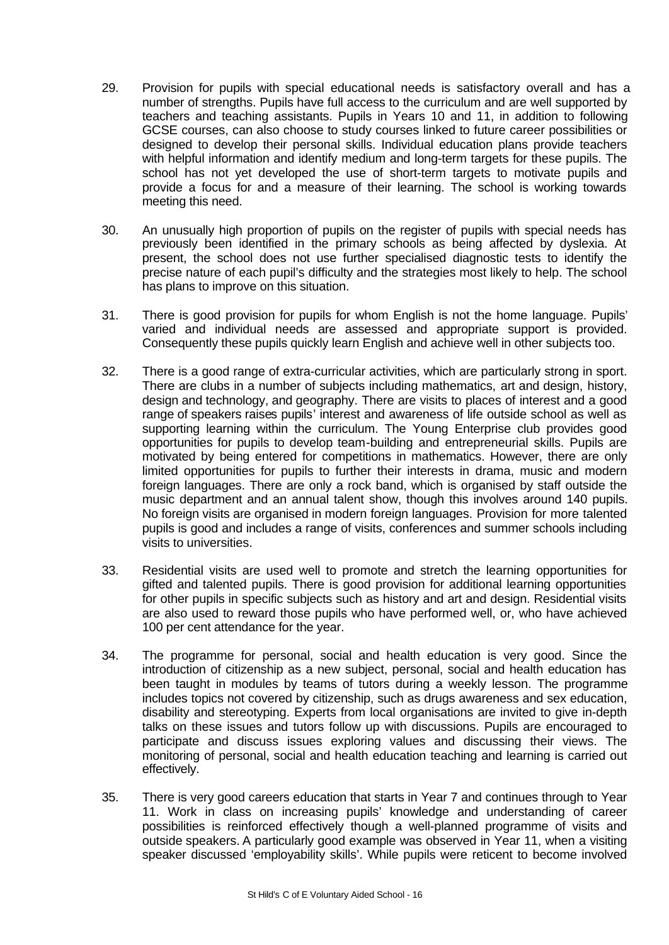- 29. Provision for pupils with special educational needs is satisfactory overall and has a number of strengths. Pupils have full access to the curriculum and are well supported by teachers and teaching assistants. Pupils in Years 10 and 11, in addition to following GCSE courses, can also choose to study courses linked to future career possibilities or designed to develop their personal skills. Individual education plans provide teachers with helpful information and identify medium and long-term targets for these pupils. The school has not yet developed the use of short-term targets to motivate pupils and provide a focus for and a measure of their learning. The school is working towards meeting this need.
- 30. An unusually high proportion of pupils on the register of pupils with special needs has previously been identified in the primary schools as being affected by dyslexia. At present, the school does not use further specialised diagnostic tests to identify the precise nature of each pupil's difficulty and the strategies most likely to help. The school has plans to improve on this situation.
- 31. There is good provision for pupils for whom English is not the home language. Pupils' varied and individual needs are assessed and appropriate support is provided. Consequently these pupils quickly learn English and achieve well in other subjects too.
- 32. There is a good range of extra-curricular activities, which are particularly strong in sport. There are clubs in a number of subjects including mathematics, art and design, history, design and technology, and geography. There are visits to places of interest and a good range of speakers raises pupils' interest and awareness of life outside school as well as supporting learning within the curriculum. The Young Enterprise club provides good opportunities for pupils to develop team-building and entrepreneurial skills. Pupils are motivated by being entered for competitions in mathematics. However, there are only limited opportunities for pupils to further their interests in drama, music and modern foreign languages. There are only a rock band, which is organised by staff outside the music department and an annual talent show, though this involves around 140 pupils. No foreign visits are organised in modern foreign languages. Provision for more talented pupils is good and includes a range of visits, conferences and summer schools including visits to universities.
- 33. Residential visits are used well to promote and stretch the learning opportunities for gifted and talented pupils. There is good provision for additional learning opportunities for other pupils in specific subjects such as history and art and design. Residential visits are also used to reward those pupils who have performed well, or, who have achieved 100 per cent attendance for the year.
- 34. The programme for personal, social and health education is very good. Since the introduction of citizenship as a new subject, personal, social and health education has been taught in modules by teams of tutors during a weekly lesson. The programme includes topics not covered by citizenship, such as drugs awareness and sex education, disability and stereotyping. Experts from local organisations are invited to give in-depth talks on these issues and tutors follow up with discussions. Pupils are encouraged to participate and discuss issues exploring values and discussing their views. The monitoring of personal, social and health education teaching and learning is carried out effectively.
- 35. There is very good careers education that starts in Year 7 and continues through to Year 11. Work in class on increasing pupils' knowledge and understanding of career possibilities is reinforced effectively though a well-planned programme of visits and outside speakers. A particularly good example was observed in Year 11, when a visiting speaker discussed 'employability skills'. While pupils were reticent to become involved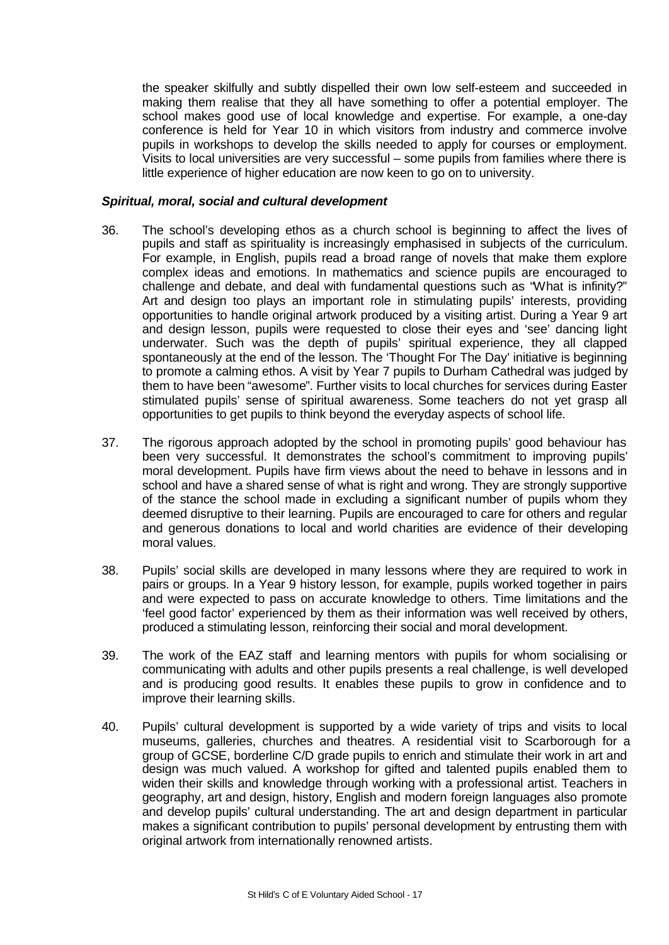the speaker skilfully and subtly dispelled their own low self-esteem and succeeded in making them realise that they all have something to offer a potential employer. The school makes good use of local knowledge and expertise. For example, a one-day conference is held for Year 10 in which visitors from industry and commerce involve pupils in workshops to develop the skills needed to apply for courses or employment. Visits to local universities are very successful – some pupils from families where there is little experience of higher education are now keen to go on to university.

## *Spiritual, moral, social and cultural development*

- 36. The school's developing ethos as a church school is beginning to affect the lives of pupils and staff as spirituality is increasingly emphasised in subjects of the curriculum. For example, in English, pupils read a broad range of novels that make them explore complex ideas and emotions. In mathematics and science pupils are encouraged to challenge and debate, and deal with fundamental questions such as "What is infinity?" Art and design too plays an important role in stimulating pupils' interests, providing opportunities to handle original artwork produced by a visiting artist. During a Year 9 art and design lesson, pupils were requested to close their eyes and 'see' dancing light underwater. Such was the depth of pupils' spiritual experience, they all clapped spontaneously at the end of the lesson. The 'Thought For The Day' initiative is beginning to promote a calming ethos. A visit by Year 7 pupils to Durham Cathedral was judged by them to have been "awesome". Further visits to local churches for services during Easter stimulated pupils' sense of spiritual awareness. Some teachers do not yet grasp all opportunities to get pupils to think beyond the everyday aspects of school life.
- 37. The rigorous approach adopted by the school in promoting pupils' good behaviour has been very successful. It demonstrates the school's commitment to improving pupils' moral development. Pupils have firm views about the need to behave in lessons and in school and have a shared sense of what is right and wrong. They are strongly supportive of the stance the school made in excluding a significant number of pupils whom they deemed disruptive to their learning. Pupils are encouraged to care for others and regular and generous donations to local and world charities are evidence of their developing moral values.
- 38. Pupils' social skills are developed in many lessons where they are required to work in pairs or groups. In a Year 9 history lesson, for example, pupils worked together in pairs and were expected to pass on accurate knowledge to others. Time limitations and the 'feel good factor' experienced by them as their information was well received by others, produced a stimulating lesson, reinforcing their social and moral development.
- 39. The work of the EAZ staff and learning mentors with pupils for whom socialising or communicating with adults and other pupils presents a real challenge, is well developed and is producing good results. It enables these pupils to grow in confidence and to improve their learning skills.
- 40. Pupils' cultural development is supported by a wide variety of trips and visits to local museums, galleries, churches and theatres. A residential visit to Scarborough for a group of GCSE, borderline C/D grade pupils to enrich and stimulate their work in art and design was much valued. A workshop for gifted and talented pupils enabled them to widen their skills and knowledge through working with a professional artist. Teachers in geography, art and design, history, English and modern foreign languages also promote and develop pupils' cultural understanding. The art and design department in particular makes a significant contribution to pupils' personal development by entrusting them with original artwork from internationally renowned artists.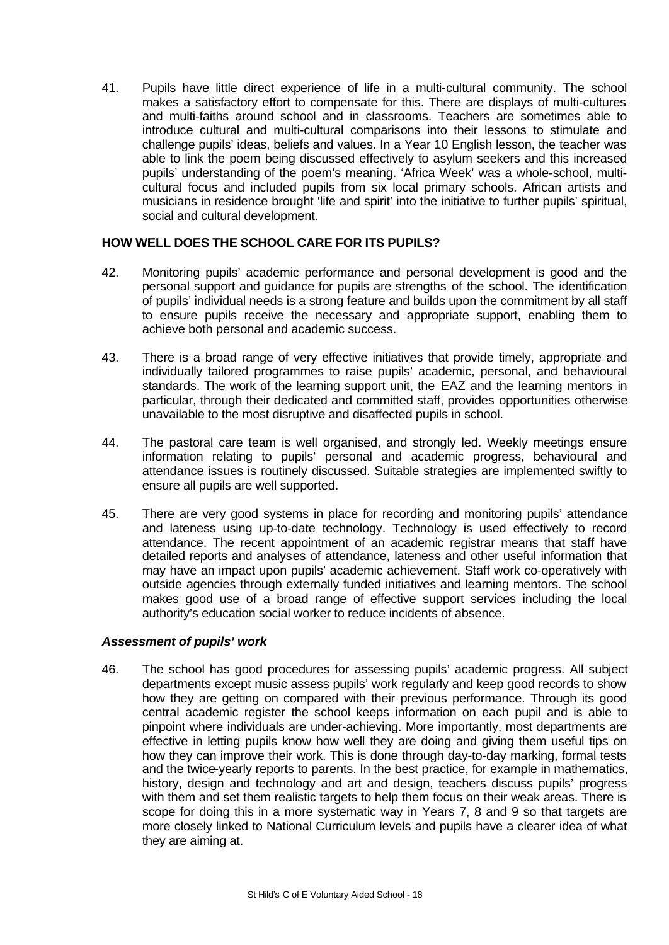41. Pupils have little direct experience of life in a multi-cultural community. The school makes a satisfactory effort to compensate for this. There are displays of multi-cultures and multi-faiths around school and in classrooms. Teachers are sometimes able to introduce cultural and multi-cultural comparisons into their lessons to stimulate and challenge pupils' ideas, beliefs and values. In a Year 10 English lesson, the teacher was able to link the poem being discussed effectively to asylum seekers and this increased pupils' understanding of the poem's meaning. 'Africa Week' was a whole-school, multicultural focus and included pupils from six local primary schools. African artists and musicians in residence brought 'life and spirit' into the initiative to further pupils' spiritual, social and cultural development.

## **HOW WELL DOES THE SCHOOL CARE FOR ITS PUPILS?**

- 42. Monitoring pupils' academic performance and personal development is good and the personal support and guidance for pupils are strengths of the school. The identification of pupils' individual needs is a strong feature and builds upon the commitment by all staff to ensure pupils receive the necessary and appropriate support, enabling them to achieve both personal and academic success.
- 43. There is a broad range of very effective initiatives that provide timely, appropriate and individually tailored programmes to raise pupils' academic, personal, and behavioural standards. The work of the learning support unit, the EAZ and the learning mentors in particular, through their dedicated and committed staff, provides opportunities otherwise unavailable to the most disruptive and disaffected pupils in school.
- 44. The pastoral care team is well organised, and strongly led. Weekly meetings ensure information relating to pupils' personal and academic progress, behavioural and attendance issues is routinely discussed. Suitable strategies are implemented swiftly to ensure all pupils are well supported.
- 45. There are very good systems in place for recording and monitoring pupils' attendance and lateness using up-to-date technology. Technology is used effectively to record attendance. The recent appointment of an academic registrar means that staff have detailed reports and analyses of attendance, lateness and other useful information that may have an impact upon pupils' academic achievement. Staff work co-operatively with outside agencies through externally funded initiatives and learning mentors. The school makes good use of a broad range of effective support services including the local authority's education social worker to reduce incidents of absence.

## *Assessment of pupils' work*

46. The school has good procedures for assessing pupils' academic progress. All subject departments except music assess pupils' work regularly and keep good records to show how they are getting on compared with their previous performance. Through its good central academic register the school keeps information on each pupil and is able to pinpoint where individuals are under-achieving. More importantly, most departments are effective in letting pupils know how well they are doing and giving them useful tips on how they can improve their work. This is done through day-to-day marking, formal tests and the twice-yearly reports to parents. In the best practice, for example in mathematics, history, design and technology and art and design, teachers discuss pupils' progress with them and set them realistic targets to help them focus on their weak areas. There is scope for doing this in a more systematic way in Years 7, 8 and 9 so that targets are more closely linked to National Curriculum levels and pupils have a clearer idea of what they are aiming at.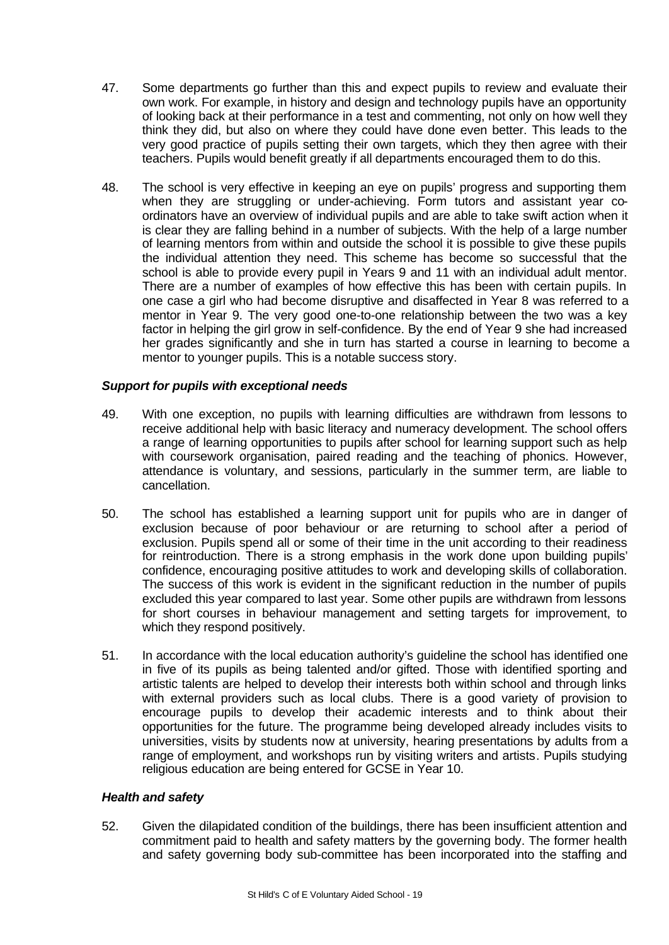- 47. Some departments go further than this and expect pupils to review and evaluate their own work. For example, in history and design and technology pupils have an opportunity of looking back at their performance in a test and commenting, not only on how well they think they did, but also on where they could have done even better. This leads to the very good practice of pupils setting their own targets, which they then agree with their teachers. Pupils would benefit greatly if all departments encouraged them to do this.
- 48. The school is very effective in keeping an eye on pupils' progress and supporting them when they are struggling or under-achieving. Form tutors and assistant year coordinators have an overview of individual pupils and are able to take swift action when it is clear they are falling behind in a number of subjects. With the help of a large number of learning mentors from within and outside the school it is possible to give these pupils the individual attention they need. This scheme has become so successful that the school is able to provide every pupil in Years 9 and 11 with an individual adult mentor. There are a number of examples of how effective this has been with certain pupils. In one case a girl who had become disruptive and disaffected in Year 8 was referred to a mentor in Year 9. The very good one-to-one relationship between the two was a key factor in helping the girl grow in self-confidence. By the end of Year 9 she had increased her grades significantly and she in turn has started a course in learning to become a mentor to younger pupils. This is a notable success story.

# *Support for pupils with exceptional needs*

- 49. With one exception, no pupils with learning difficulties are withdrawn from lessons to receive additional help with basic literacy and numeracy development. The school offers a range of learning opportunities to pupils after school for learning support such as help with coursework organisation, paired reading and the teaching of phonics. However, attendance is voluntary, and sessions, particularly in the summer term, are liable to cancellation.
- 50. The school has established a learning support unit for pupils who are in danger of exclusion because of poor behaviour or are returning to school after a period of exclusion. Pupils spend all or some of their time in the unit according to their readiness for reintroduction. There is a strong emphasis in the work done upon building pupils' confidence, encouraging positive attitudes to work and developing skills of collaboration. The success of this work is evident in the significant reduction in the number of pupils excluded this year compared to last year. Some other pupils are withdrawn from lessons for short courses in behaviour management and setting targets for improvement, to which they respond positively.
- 51. In accordance with the local education authority's guideline the school has identified one in five of its pupils as being talented and/or gifted. Those with identified sporting and artistic talents are helped to develop their interests both within school and through links with external providers such as local clubs. There is a good variety of provision to encourage pupils to develop their academic interests and to think about their opportunities for the future. The programme being developed already includes visits to universities, visits by students now at university, hearing presentations by adults from a range of employment, and workshops run by visiting writers and artists. Pupils studying religious education are being entered for GCSE in Year 10.

# *Health and safety*

52. Given the dilapidated condition of the buildings, there has been insufficient attention and commitment paid to health and safety matters by the governing body. The former health and safety governing body sub-committee has been incorporated into the staffing and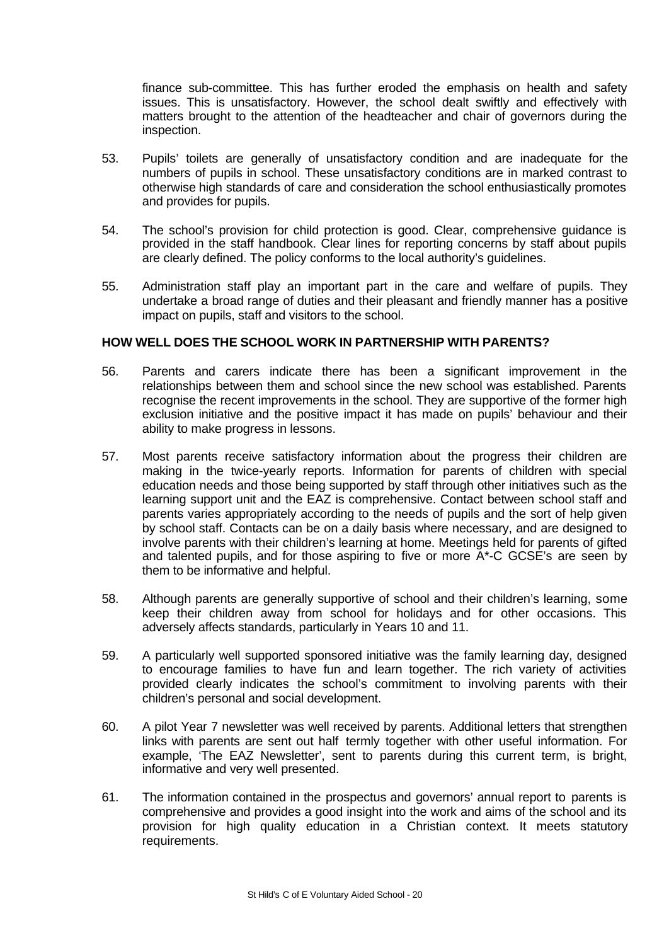finance sub-committee. This has further eroded the emphasis on health and safety issues. This is unsatisfactory. However, the school dealt swiftly and effectively with matters brought to the attention of the headteacher and chair of governors during the inspection.

- 53. Pupils' toilets are generally of unsatisfactory condition and are inadequate for the numbers of pupils in school. These unsatisfactory conditions are in marked contrast to otherwise high standards of care and consideration the school enthusiastically promotes and provides for pupils.
- 54. The school's provision for child protection is good. Clear, comprehensive guidance is provided in the staff handbook. Clear lines for reporting concerns by staff about pupils are clearly defined. The policy conforms to the local authority's guidelines.
- 55. Administration staff play an important part in the care and welfare of pupils. They undertake a broad range of duties and their pleasant and friendly manner has a positive impact on pupils, staff and visitors to the school.

# **HOW WELL DOES THE SCHOOL WORK IN PARTNERSHIP WITH PARENTS?**

- 56. Parents and carers indicate there has been a significant improvement in the relationships between them and school since the new school was established. Parents recognise the recent improvements in the school. They are supportive of the former high exclusion initiative and the positive impact it has made on pupils' behaviour and their ability to make progress in lessons.
- 57. Most parents receive satisfactory information about the progress their children are making in the twice-yearly reports. Information for parents of children with special education needs and those being supported by staff through other initiatives such as the learning support unit and the EAZ is comprehensive. Contact between school staff and parents varies appropriately according to the needs of pupils and the sort of help given by school staff. Contacts can be on a daily basis where necessary, and are designed to involve parents with their children's learning at home. Meetings held for parents of gifted and talented pupils, and for those aspiring to five or more A\*-C GCSE's are seen by them to be informative and helpful.
- 58. Although parents are generally supportive of school and their children's learning, some keep their children away from school for holidays and for other occasions. This adversely affects standards, particularly in Years 10 and 11.
- 59. A particularly well supported sponsored initiative was the family learning day, designed to encourage families to have fun and learn together. The rich variety of activities provided clearly indicates the school's commitment to involving parents with their children's personal and social development.
- 60. A pilot Year 7 newsletter was well received by parents. Additional letters that strengthen links with parents are sent out half termly together with other useful information. For example, The EAZ Newsletter', sent to parents during this current term, is bright, informative and very well presented.
- 61. The information contained in the prospectus and governors' annual report to parents is comprehensive and provides a good insight into the work and aims of the school and its provision for high quality education in a Christian context. It meets statutory requirements.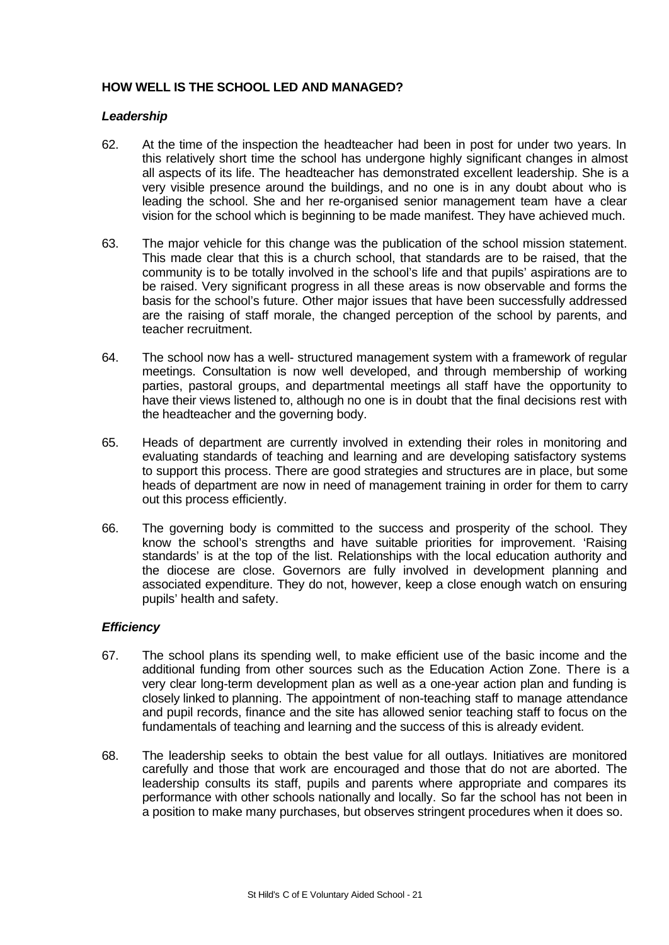# **HOW WELL IS THE SCHOOL LED AND MANAGED?**

## *Leadership*

- 62. At the time of the inspection the headteacher had been in post for under two years. In this relatively short time the school has undergone highly significant changes in almost all aspects of its life. The headteacher has demonstrated excellent leadership. She is a very visible presence around the buildings, and no one is in any doubt about who is leading the school. She and her re-organised senior management team have a clear vision for the school which is beginning to be made manifest. They have achieved much.
- 63. The major vehicle for this change was the publication of the school mission statement. This made clear that this is a church school, that standards are to be raised, that the community is to be totally involved in the school's life and that pupils' aspirations are to be raised. Very significant progress in all these areas is now observable and forms the basis for the school's future. Other major issues that have been successfully addressed are the raising of staff morale, the changed perception of the school by parents, and teacher recruitment.
- 64. The school now has a well- structured management system with a framework of regular meetings. Consultation is now well developed, and through membership of working parties, pastoral groups, and departmental meetings all staff have the opportunity to have their views listened to, although no one is in doubt that the final decisions rest with the headteacher and the governing body.
- 65. Heads of department are currently involved in extending their roles in monitoring and evaluating standards of teaching and learning and are developing satisfactory systems to support this process. There are good strategies and structures are in place, but some heads of department are now in need of management training in order for them to carry out this process efficiently.
- 66. The governing body is committed to the success and prosperity of the school. They know the school's strengths and have suitable priorities for improvement. 'Raising standards' is at the top of the list. Relationships with the local education authority and the diocese are close. Governors are fully involved in development planning and associated expenditure. They do not, however, keep a close enough watch on ensuring pupils' health and safety.

# *Efficiency*

- 67. The school plans its spending well, to make efficient use of the basic income and the additional funding from other sources such as the Education Action Zone. There is a very clear long-term development plan as well as a one-year action plan and funding is closely linked to planning. The appointment of non-teaching staff to manage attendance and pupil records, finance and the site has allowed senior teaching staff to focus on the fundamentals of teaching and learning and the success of this is already evident.
- 68. The leadership seeks to obtain the best value for all outlays. Initiatives are monitored carefully and those that work are encouraged and those that do not are aborted. The leadership consults its staff, pupils and parents where appropriate and compares its performance with other schools nationally and locally. So far the school has not been in a position to make many purchases, but observes stringent procedures when it does so.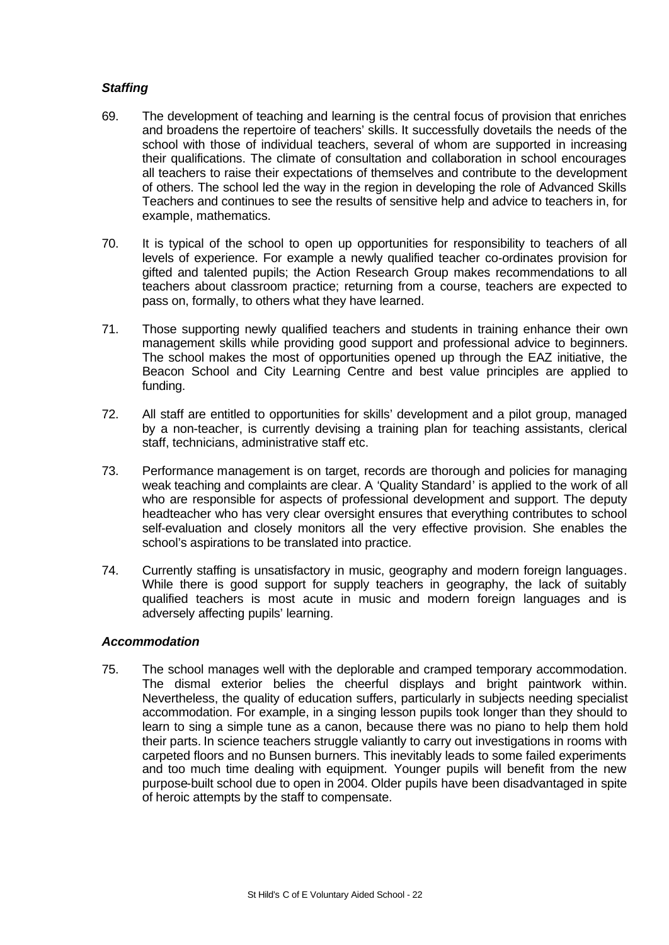# *Staffing*

- 69. The development of teaching and learning is the central focus of provision that enriches and broadens the repertoire of teachers' skills. It successfully dovetails the needs of the school with those of individual teachers, several of whom are supported in increasing their qualifications. The climate of consultation and collaboration in school encourages all teachers to raise their expectations of themselves and contribute to the development of others. The school led the way in the region in developing the role of Advanced Skills Teachers and continues to see the results of sensitive help and advice to teachers in, for example, mathematics.
- 70. It is typical of the school to open up opportunities for responsibility to teachers of all levels of experience. For example a newly qualified teacher co-ordinates provision for gifted and talented pupils; the Action Research Group makes recommendations to all teachers about classroom practice; returning from a course, teachers are expected to pass on, formally, to others what they have learned.
- 71. Those supporting newly qualified teachers and students in training enhance their own management skills while providing good support and professional advice to beginners. The school makes the most of opportunities opened up through the EAZ initiative, the Beacon School and City Learning Centre and best value principles are applied to funding.
- 72. All staff are entitled to opportunities for skills' development and a pilot group, managed by a non-teacher, is currently devising a training plan for teaching assistants, clerical staff, technicians, administrative staff etc.
- 73. Performance management is on target, records are thorough and policies for managing weak teaching and complaints are clear. A 'Quality Standard' is applied to the work of all who are responsible for aspects of professional development and support. The deputy headteacher who has very clear oversight ensures that everything contributes to school self-evaluation and closely monitors all the very effective provision. She enables the school's aspirations to be translated into practice.
- 74. Currently staffing is unsatisfactory in music, geography and modern foreign languages. While there is good support for supply teachers in geography, the lack of suitably qualified teachers is most acute in music and modern foreign languages and is adversely affecting pupils' learning.

# *Accommodation*

75. The school manages well with the deplorable and cramped temporary accommodation. The dismal exterior belies the cheerful displays and bright paintwork within. Nevertheless, the quality of education suffers, particularly in subjects needing specialist accommodation. For example, in a singing lesson pupils took longer than they should to learn to sing a simple tune as a canon, because there was no piano to help them hold their parts. In science teachers struggle valiantly to carry out investigations in rooms with carpeted floors and no Bunsen burners. This inevitably leads to some failed experiments and too much time dealing with equipment. Younger pupils will benefit from the new purpose-built school due to open in 2004. Older pupils have been disadvantaged in spite of heroic attempts by the staff to compensate.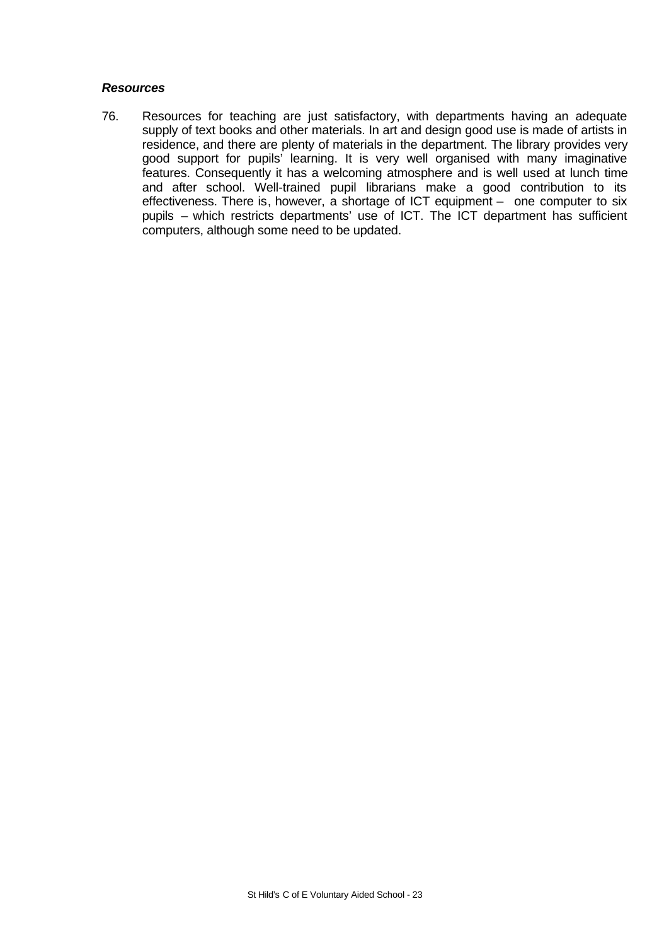## *Resources*

76. Resources for teaching are just satisfactory, with departments having an adequate supply of text books and other materials. In art and design good use is made of artists in residence, and there are plenty of materials in the department. The library provides very good support for pupils' learning. It is very well organised with many imaginative features. Consequently it has a welcoming atmosphere and is well used at lunch time and after school. Well-trained pupil librarians make a good contribution to its effectiveness. There is, however, a shortage of ICT equipment – one computer to six pupils – which restricts departments' use of ICT. The ICT department has sufficient computers, although some need to be updated.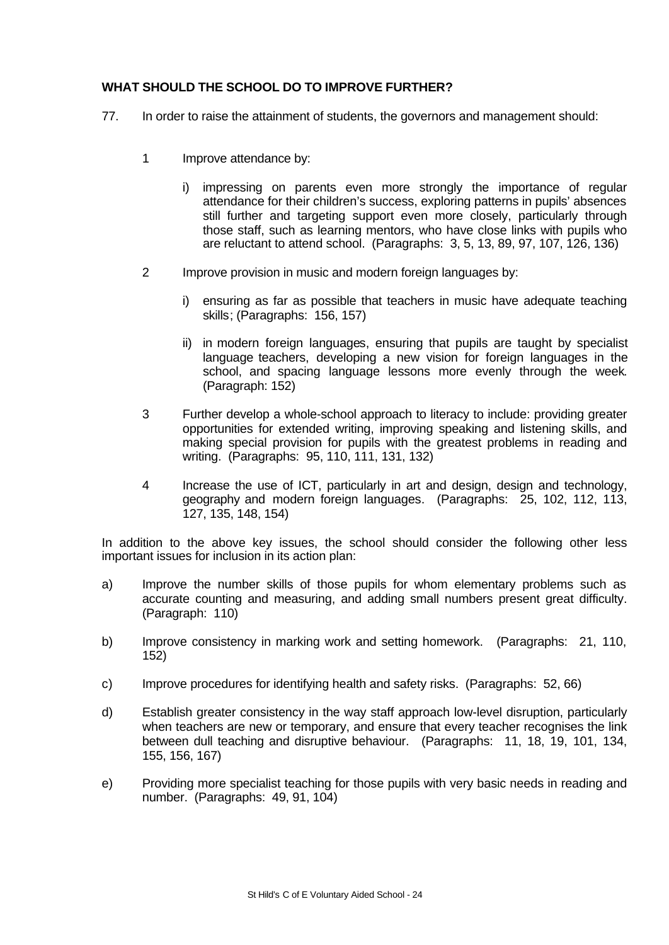# **WHAT SHOULD THE SCHOOL DO TO IMPROVE FURTHER?**

- 77. In order to raise the attainment of students, the governors and management should:
	- 1 Improve attendance by:
		- i) impressing on parents even more strongly the importance of regular attendance for their children's success, exploring patterns in pupils' absences still further and targeting support even more closely, particularly through those staff, such as learning mentors, who have close links with pupils who are reluctant to attend school. (Paragraphs: 3, 5, 13, 89, 97, 107, 126, 136)
	- 2 Improve provision in music and modern foreign languages by:
		- i) ensuring as far as possible that teachers in music have adequate teaching skills; (Paragraphs: 156, 157)
		- ii) in modern foreign languages, ensuring that pupils are taught by specialist language teachers, developing a new vision for foreign languages in the school, and spacing language lessons more evenly through the week. (Paragraph: 152)
	- 3 Further develop a whole-school approach to literacy to include: providing greater opportunities for extended writing, improving speaking and listening skills, and making special provision for pupils with the greatest problems in reading and writing. (Paragraphs: 95, 110, 111, 131, 132)
	- 4 Increase the use of ICT, particularly in art and design, design and technology, geography and modern foreign languages. (Paragraphs: 25, 102, 112, 113, 127, 135, 148, 154)

In addition to the above key issues, the school should consider the following other less important issues for inclusion in its action plan:

- a) Improve the number skills of those pupils for whom elementary problems such as accurate counting and measuring, and adding small numbers present great difficulty. (Paragraph: 110)
- b) Improve consistency in marking work and setting homework. (Paragraphs: 21, 110, 152)
- c) Improve procedures for identifying health and safety risks. (Paragraphs: 52, 66)
- d) Establish greater consistency in the way staff approach low-level disruption, particularly when teachers are new or temporary, and ensure that every teacher recognises the link between dull teaching and disruptive behaviour. (Paragraphs: 11, 18, 19, 101, 134, 155, 156, 167)
- e) Providing more specialist teaching for those pupils with very basic needs in reading and number. (Paragraphs: 49, 91, 104)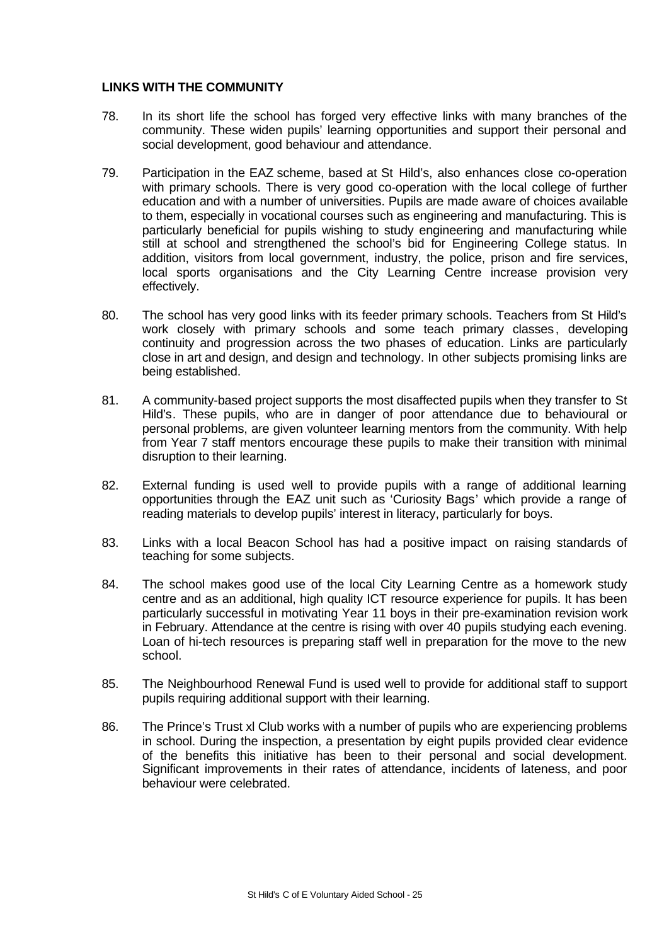# **LINKS WITH THE COMMUNITY**

- 78. In its short life the school has forged very effective links with many branches of the community. These widen pupils' learning opportunities and support their personal and social development, good behaviour and attendance.
- 79. Participation in the EAZ scheme, based at St Hild's, also enhances close co-operation with primary schools. There is very good co-operation with the local college of further education and with a number of universities. Pupils are made aware of choices available to them, especially in vocational courses such as engineering and manufacturing. This is particularly beneficial for pupils wishing to study engineering and manufacturing while still at school and strengthened the school's bid for Engineering College status. In addition, visitors from local government, industry, the police, prison and fire services, local sports organisations and the City Learning Centre increase provision very effectively.
- 80. The school has very good links with its feeder primary schools. Teachers from St Hild's work closely with primary schools and some teach primary classes, developing continuity and progression across the two phases of education. Links are particularly close in art and design, and design and technology. In other subjects promising links are being established.
- 81. A community-based project supports the most disaffected pupils when they transfer to St Hild's. These pupils, who are in danger of poor attendance due to behavioural or personal problems, are given volunteer learning mentors from the community. With help from Year 7 staff mentors encourage these pupils to make their transition with minimal disruption to their learning.
- 82. External funding is used well to provide pupils with a range of additional learning opportunities through the EAZ unit such as 'Curiosity Bags' which provide a range of reading materials to develop pupils' interest in literacy, particularly for boys.
- 83. Links with a local Beacon School has had a positive impact on raising standards of teaching for some subjects.
- 84. The school makes good use of the local City Learning Centre as a homework study centre and as an additional, high quality ICT resource experience for pupils. It has been particularly successful in motivating Year 11 boys in their pre-examination revision work in February. Attendance at the centre is rising with over 40 pupils studying each evening. Loan of hi-tech resources is preparing staff well in preparation for the move to the new school.
- 85. The Neighbourhood Renewal Fund is used well to provide for additional staff to support pupils requiring additional support with their learning.
- 86. The Prince's Trust xl Club works with a number of pupils who are experiencing problems in school. During the inspection, a presentation by eight pupils provided clear evidence of the benefits this initiative has been to their personal and social development. Significant improvements in their rates of attendance, incidents of lateness, and poor behaviour were celebrated.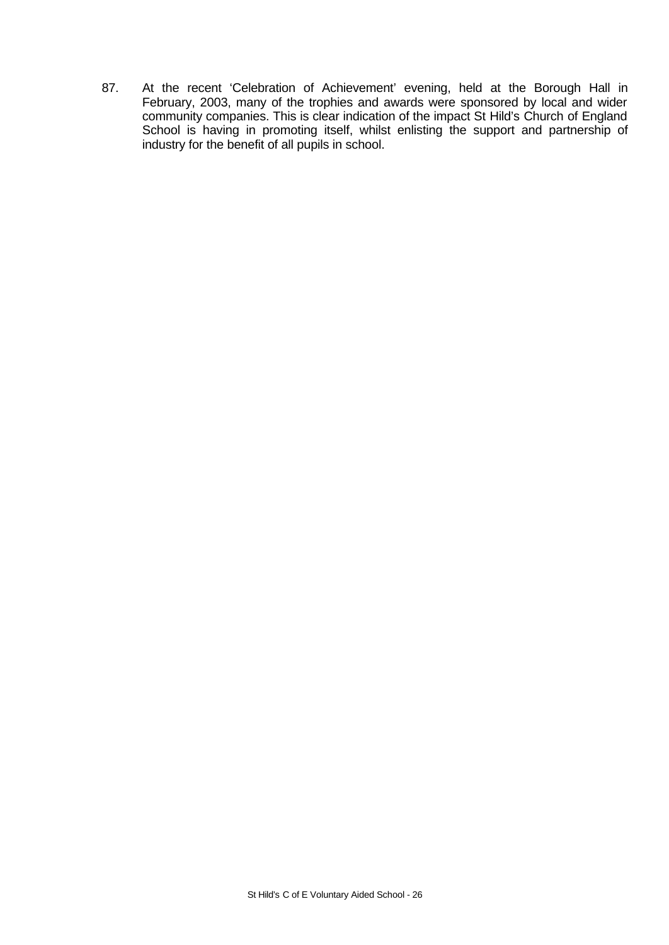87. At the recent 'Celebration of Achievement' evening, held at the Borough Hall in February, 2003, many of the trophies and awards were sponsored by local and wider community companies. This is clear indication of the impact St Hild's Church of England School is having in promoting itself, whilst enlisting the support and partnership of industry for the benefit of all pupils in school.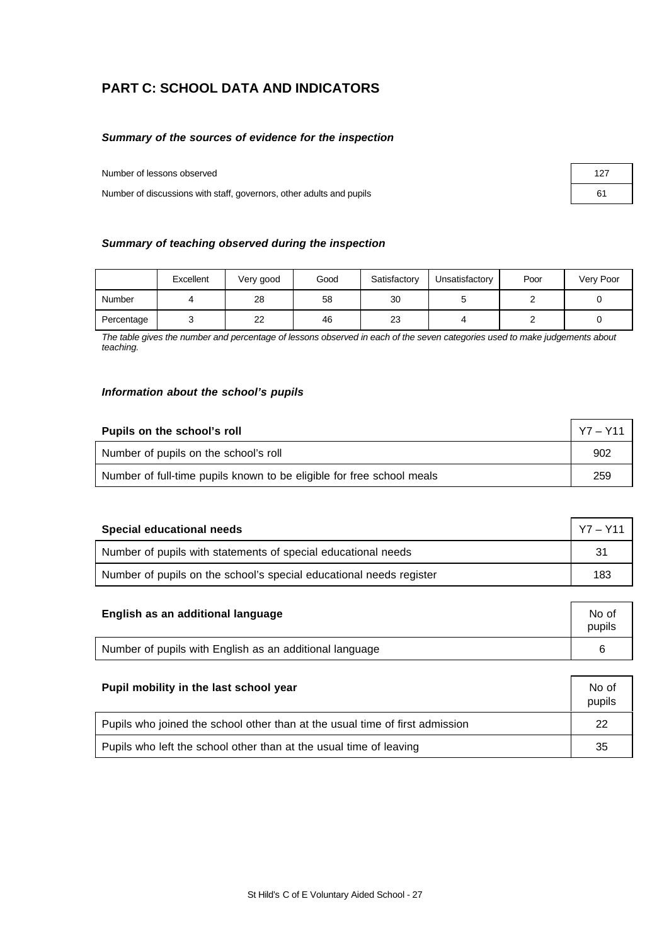# **PART C: SCHOOL DATA AND INDICATORS**

#### *Summary of the sources of evidence for the inspection*

Number of lessons observed 127

Number of discussions with staff, governors, other adults and pupils 61

|  |  |  |  |  |  | Summary of teaching observed during the inspection |
|--|--|--|--|--|--|----------------------------------------------------|
|--|--|--|--|--|--|----------------------------------------------------|

|            | Excellent | Very good      | Good | Satisfactory | Unsatisfactory | Poor | Very Poor |
|------------|-----------|----------------|------|--------------|----------------|------|-----------|
| Number     |           | 28             | 58   | 30           |                |      |           |
| Percentage |           | $\Omega$<br>22 | 46   | 23           |                |      |           |

*The table gives the number and percentage of lessons observed in each of the seven categories used to make judgements about teaching.*

## *Information about the school's pupils*

| $Y7 - Y11$<br>Pupils on the school's roll                             |     |  |  |  |
|-----------------------------------------------------------------------|-----|--|--|--|
| Number of pupils on the school's roll                                 | 902 |  |  |  |
| Number of full-time pupils known to be eligible for free school meals | 259 |  |  |  |

| Special educational needs                                           |     |  |  |  |
|---------------------------------------------------------------------|-----|--|--|--|
| Number of pupils with statements of special educational needs       | 31  |  |  |  |
| Number of pupils on the school's special educational needs register | 183 |  |  |  |

| English as an additional language                       | No of<br>pupils |
|---------------------------------------------------------|-----------------|
| Number of pupils with English as an additional language |                 |

| Pupil mobility in the last school year                                       | No of<br>pupils |  |  |  |
|------------------------------------------------------------------------------|-----------------|--|--|--|
| Pupils who joined the school other than at the usual time of first admission |                 |  |  |  |
| Pupils who left the school other than at the usual time of leaving           |                 |  |  |  |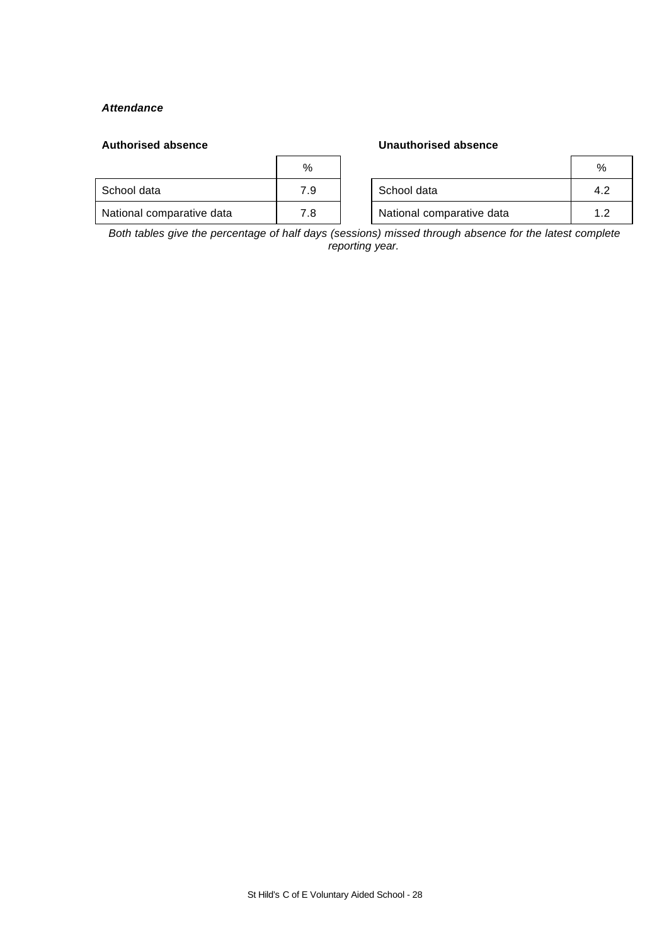## *Attendance*

## **Authorised absence Unauthorised absence**

|                           | %   |                           | %      |
|---------------------------|-----|---------------------------|--------|
| School data               | 7.9 | School data               | 4.7    |
| National comparative data | 7.8 | National comparative data | $\sim$ |

*Both tables give the percentage of half days (sessions) missed through absence for the latest complete reporting year.*

#### St Hild's C of E Voluntary Aided School - 28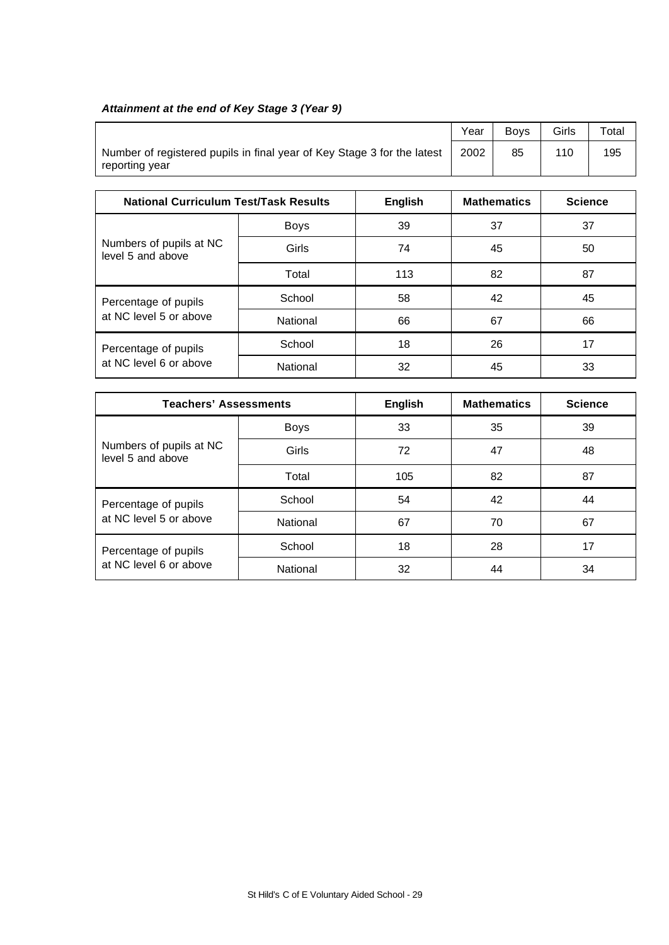# *Attainment at the end of Key Stage 3 (Year 9)*

|                                                                                           | Year | <b>Bovs</b> | Girls | $\tau$ otal |
|-------------------------------------------------------------------------------------------|------|-------------|-------|-------------|
| Number of registered pupils in final year of Key Stage 3 for the latest<br>reporting year | 2002 | 85          | 110   | 195         |

| <b>National Curriculum Test/Task Results</b> |             | <b>English</b> | <b>Mathematics</b> | <b>Science</b> |
|----------------------------------------------|-------------|----------------|--------------------|----------------|
|                                              | <b>Boys</b> | 39             | 37                 | 37             |
| Numbers of pupils at NC<br>level 5 and above | Girls       | 74             | 45                 | 50             |
|                                              | Total       | 113            | 82                 | 87             |
| Percentage of pupils                         | School      | 58             | 42                 | 45             |
| at NC level 5 or above                       | National    | 66             | 67                 | 66             |
| Percentage of pupils                         | School      | 18             | 26                 | 17             |
| at NC level 6 or above                       | National    | 32             | 45                 | 33             |

| <b>Teachers' Assessments</b>                 | <b>English</b> | <b>Mathematics</b> | <b>Science</b> |    |
|----------------------------------------------|----------------|--------------------|----------------|----|
|                                              | <b>Boys</b>    | 33                 | 35             | 39 |
| Numbers of pupils at NC<br>level 5 and above | Girls          | 72                 | 47             | 48 |
|                                              | Total          | 105                | 82             | 87 |
| Percentage of pupils                         | School         | 54                 | 42             | 44 |
| at NC level 5 or above                       | National       | 67                 | 70             | 67 |
| Percentage of pupils                         | School         | 18                 | 28             | 17 |
| at NC level 6 or above                       | National       | 32                 | 44             | 34 |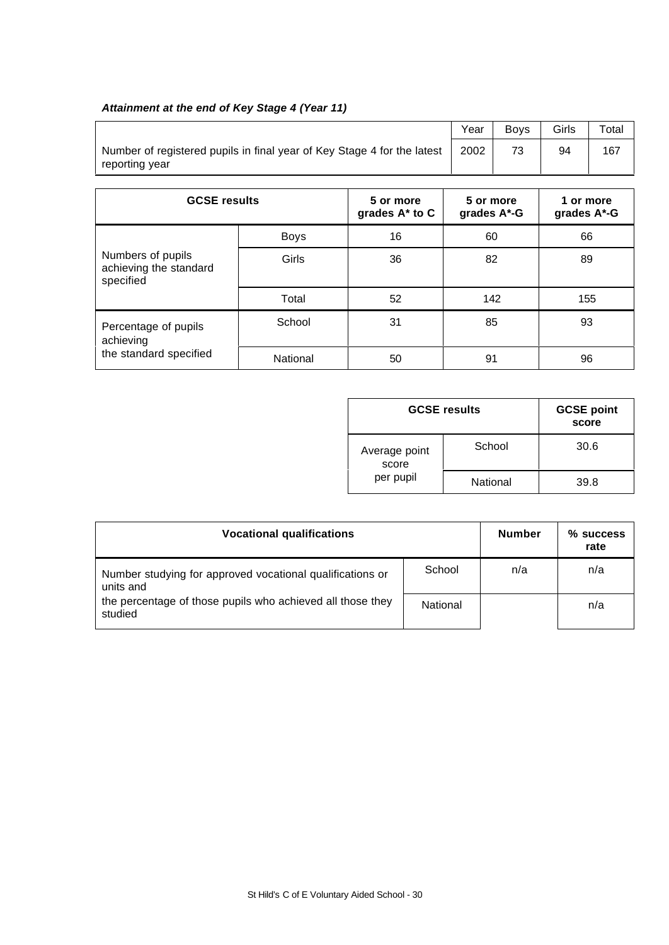# *Attainment at the end of Key Stage 4 (Year 11)*

|                                                                                           | Year | <b>Bovs</b> | Girls | Total |
|-------------------------------------------------------------------------------------------|------|-------------|-------|-------|
| Number of registered pupils in final year of Key Stage 4 for the latest<br>reporting year | 2002 |             | 94    | 167   |

| <b>GCSE results</b>                                      |             | 5 or more<br>grades A* to C | 5 or more<br>grades A*-G | 1 or more<br>grades A*-G |
|----------------------------------------------------------|-------------|-----------------------------|--------------------------|--------------------------|
|                                                          | <b>Boys</b> | 16                          | 60                       | 66                       |
| Numbers of pupils<br>achieving the standard<br>specified | Girls       | 36                          | 82                       | 89                       |
|                                                          | Total       | 52                          | 142                      | 155                      |
| Percentage of pupils<br>achieving                        | School      | 31                          | 85                       | 93                       |
| the standard specified                                   | National    | 50                          | 91                       | 96                       |

| <b>GCSE results</b>    | <b>GCSE point</b><br>score |      |
|------------------------|----------------------------|------|
| Average point<br>score | School                     | 30.6 |
| per pupil              | National                   | 39.8 |

| <b>Vocational qualifications</b>                                       | <b>Number</b> | % success<br>rate |     |
|------------------------------------------------------------------------|---------------|-------------------|-----|
| Number studying for approved vocational qualifications or<br>units and | School        | n/a               | n/a |
| the percentage of those pupils who achieved all those they<br>studied  | National      |                   | n/a |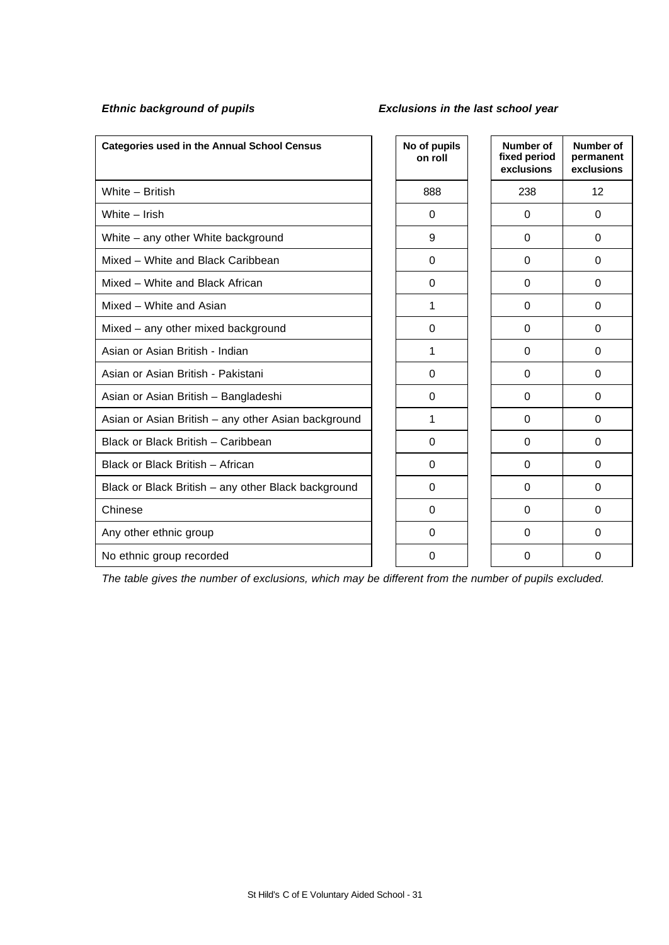## *Ethnic background of pupils Exclusions in the last school year*

| <b>Categories used in the Annual School Census</b>  | No of pupils<br>on roll | <b>Number of</b><br>fixed period<br>exclusions | Number of<br>permanent<br>exclusions |
|-----------------------------------------------------|-------------------------|------------------------------------------------|--------------------------------------|
| White - British                                     | 888                     | 238                                            | 12                                   |
| White - Irish                                       | $\Omega$                | $\Omega$                                       | $\Omega$                             |
| White - any other White background                  | 9                       | $\Omega$                                       | $\Omega$                             |
| Mixed - White and Black Caribbean                   | $\Omega$                | $\Omega$                                       | $\Omega$                             |
| Mixed - White and Black African                     | 0                       | $\Omega$                                       | $\Omega$                             |
| Mixed - White and Asian                             | 1                       | 0                                              | $\Omega$                             |
| Mixed - any other mixed background                  | $\mathbf 0$             | $\Omega$                                       | $\Omega$                             |
| Asian or Asian British - Indian                     | 1                       | $\Omega$                                       | $\Omega$                             |
| Asian or Asian British - Pakistani                  | 0                       | $\Omega$                                       | $\Omega$                             |
| Asian or Asian British - Bangladeshi                | 0                       | $\Omega$                                       | $\Omega$                             |
| Asian or Asian British - any other Asian background | 1                       | $\Omega$                                       | $\Omega$                             |
| Black or Black British - Caribbean                  | $\Omega$                | $\Omega$                                       | $\Omega$                             |
| Black or Black British - African                    | $\Omega$                | $\Omega$                                       | $\Omega$                             |
| Black or Black British - any other Black background | $\Omega$                | $\Omega$                                       | $\Omega$                             |
| Chinese                                             | $\Omega$                | $\Omega$                                       | $\Omega$                             |
| Any other ethnic group                              | $\mathbf 0$             | $\Omega$                                       | $\Omega$                             |
| No ethnic group recorded                            | 0                       | $\Omega$                                       | 0                                    |

*The table gives the number of exclusions, which may be different from the number of pupils excluded.*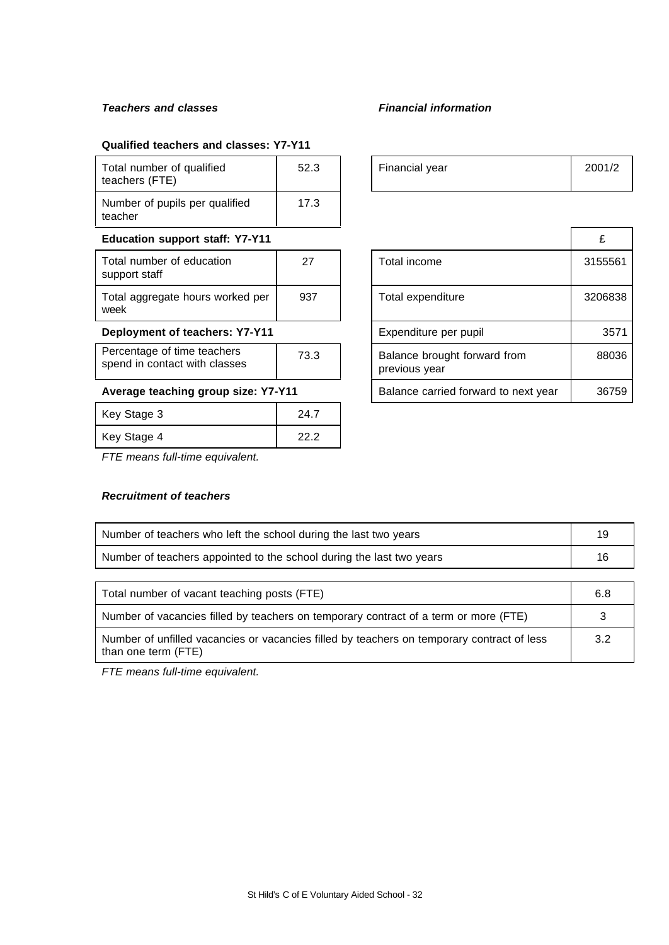# *Teachers and classes Financial information*

## **Qualified teachers and classes: Y7-Y11**

| Total number of qualified<br>teachers (FTE)                  | 52.3 | Financial year                                | 200  |
|--------------------------------------------------------------|------|-----------------------------------------------|------|
| Number of pupils per qualified<br>teacher                    | 17.3 |                                               |      |
| <b>Education support staff: Y7-Y11</b>                       |      |                                               | £    |
| Total number of education<br>support staff                   | 27   | Total income                                  | 315  |
| Total aggregate hours worked per<br>week                     | 937  | Total expenditure                             | 3206 |
| Deployment of teachers: Y7-Y11                               |      | Expenditure per pupil                         |      |
| Percentage of time teachers<br>spend in contact with classes | 73.3 | Balance brought forward from<br>previous year | 8    |
| Average teaching group size: Y7-Y11                          |      | Balance carried forward to next year          | 30   |
| Key Stage 3                                                  | 24.7 |                                               |      |
| Key Stage 4                                                  | 22.2 |                                               |      |

| Key Stage 4 |   |  |  |
|-------------|---|--|--|
| ___         | . |  |  |

# *FTE means full-time equivalent.*

## *Recruitment of teachers*

| 52.3 | Financial year | 2001/2 |
|------|----------------|--------|
|      |                |        |

| <b>Education support staff: Y7-Y11</b>                               |                    |                                               |                       | £       |
|----------------------------------------------------------------------|--------------------|-----------------------------------------------|-----------------------|---------|
| Total number of education<br>support staff                           | 27<br>Total income |                                               | 3155561               |         |
| Total aggregate hours worked per<br>week                             | 937                |                                               | Total expenditure     | 3206838 |
| Deployment of teachers: Y7-Y11                                       |                    |                                               | Expenditure per pupil | 3571    |
| Percentage of time teachers<br>73.3<br>spend in contact with classes |                    | Balance brought forward from<br>previous year | 88036                 |         |
| Average teaching group size: Y7-Y11                                  |                    | Balance carried forward to next year          | 36759                 |         |

| Number of teachers who left the school during the last two years                           | 19  |
|--------------------------------------------------------------------------------------------|-----|
| Number of teachers appointed to the school during the last two years                       |     |
|                                                                                            |     |
| Total number of vacant teaching posts (FTE)                                                | 6.8 |
| Number of vacancies filled by teachers on temporary contract of a term or more (FTE)       | 3   |
| Number of unfilled vacancies or vacancies filled by teachers on temporary contract of less | 3.2 |

than one term (FTE)

*FTE means full-time equivalent.*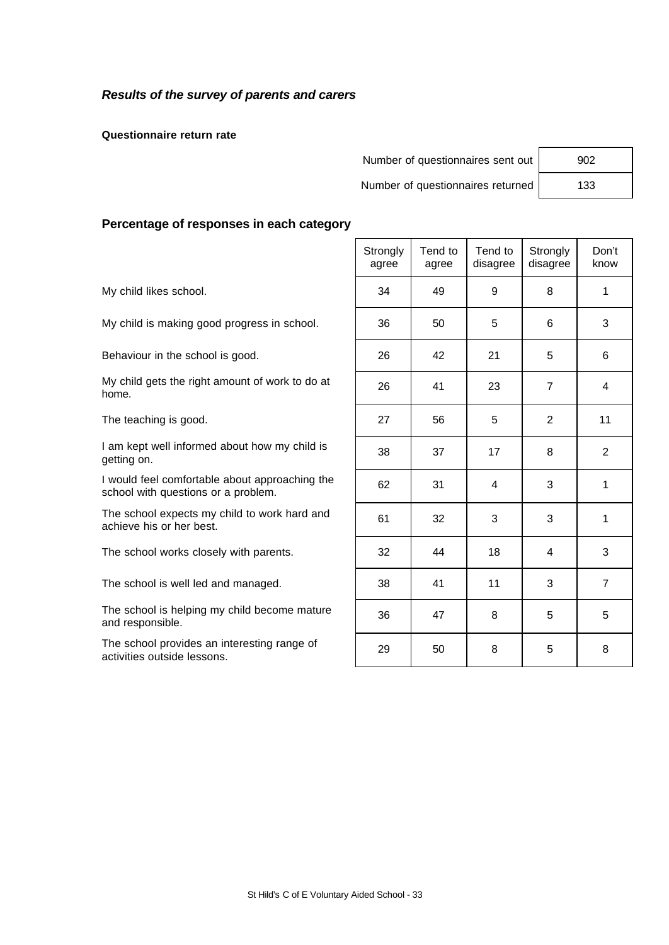# *Results of the survey of parents and carers*

**Questionnaire return rate**

| Number of questionnaires sent out | 902 |
|-----------------------------------|-----|
| Number of questionnaires returned | 133 |

| 902 |  |
|-----|--|
| 133 |  |

## **Percentage of responses in each category**

|                                                                                       | Strongly<br>agree | Tend to<br>agree | Tend to<br>disagree | Strongly<br>disagree | Don't<br>know  |
|---------------------------------------------------------------------------------------|-------------------|------------------|---------------------|----------------------|----------------|
| My child likes school.                                                                | 34                | 49               | 9                   | 8                    | 1              |
| My child is making good progress in school.                                           | 36                | 50               | 5                   | 6                    | 3              |
| Behaviour in the school is good.                                                      | 26                | 42               | 21                  | 5                    | 6              |
| My child gets the right amount of work to do at<br>home.                              | 26                | 41               | 23                  | $\overline{7}$       | 4              |
| The teaching is good.                                                                 | 27                | 56               | 5                   | 2                    | 11             |
| I am kept well informed about how my child is<br>getting on.                          | 38                | 37               | 17                  | 8                    | 2              |
| I would feel comfortable about approaching the<br>school with questions or a problem. | 62                | 31               | 4                   | 3                    | 1              |
| The school expects my child to work hard and<br>achieve his or her best.              | 61                | 32               | 3                   | 3                    | 1              |
| The school works closely with parents.                                                | 32                | 44               | 18                  | 4                    | 3              |
| The school is well led and managed.                                                   | 38                | 41               | 11                  | 3                    | $\overline{7}$ |
| The school is helping my child become mature<br>and responsible.                      | 36                | 47               | 8                   | 5                    | 5              |
| The school provides an interesting range of<br>activities outside lessons.            | 29                | 50               | 8                   | 5                    | 8              |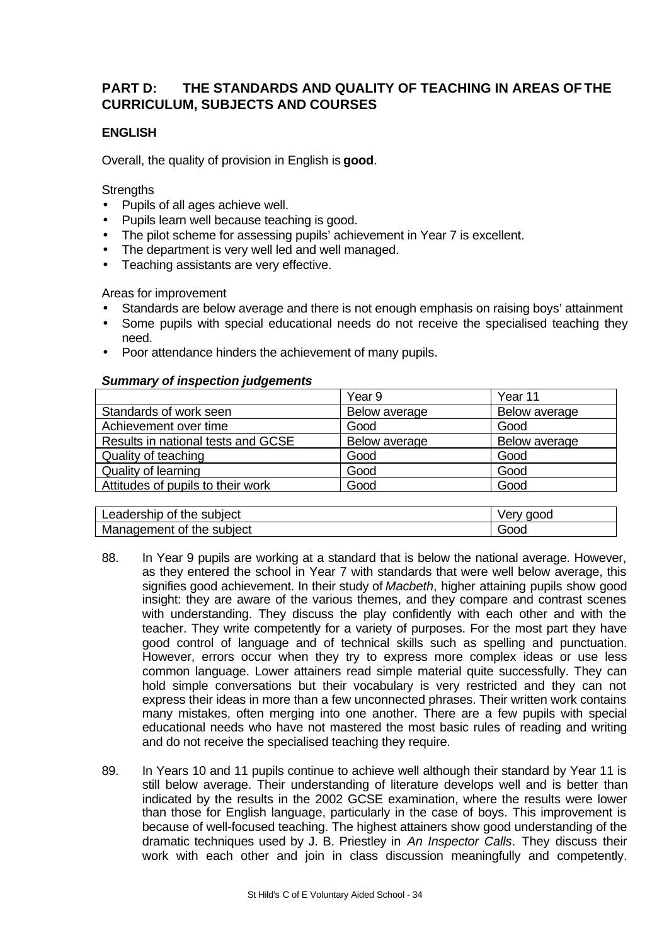# **PART D: THE STANDARDS AND QUALITY OF TEACHING IN AREAS OF THE CURRICULUM, SUBJECTS AND COURSES**

# **ENGLISH**

Overall, the quality of provision in English is **good**.

**Strengths** 

- Pupils of all ages achieve well.
- Pupils learn well because teaching is good.
- The pilot scheme for assessing pupils' achievement in Year 7 is excellent.
- The department is very well led and well managed.
- Teaching assistants are very effective.

Areas for improvement

- Standards are below average and there is not enough emphasis on raising boys' attainment
- Some pupils with special educational needs do not receive the specialised teaching they need.
- Poor attendance hinders the achievement of many pupils.

## *Summary of inspection judgements*

|                                    | Year 9        | Year 11       |
|------------------------------------|---------------|---------------|
| Standards of work seen             | Below average | Below average |
| Achievement over time              | Good          | Good          |
| Results in national tests and GCSE | Below average | Below average |
| Quality of teaching                | Good          | Good          |
| <b>Quality of learning</b>         | Good          | Good          |
| Attitudes of pupils to their work  | Good          | Good          |

| Leadership<br>the subject<br>Οt    | verv<br>good |
|------------------------------------|--------------|
| the<br>Management<br>subject<br>0t | -1           |

- 88. In Year 9 pupils are working at a standard that is below the national average. However, as they entered the school in Year 7 with standards that were well below average, this signifies good achievement. In their study of *Macbeth*, higher attaining pupils show good insight: they are aware of the various themes, and they compare and contrast scenes with understanding. They discuss the play confidently with each other and with the teacher. They write competently for a variety of purposes. For the most part they have good control of language and of technical skills such as spelling and punctuation. However, errors occur when they try to express more complex ideas or use less common language. Lower attainers read simple material quite successfully. They can hold simple conversations but their vocabulary is very restricted and they can not express their ideas in more than a few unconnected phrases. Their written work contains many mistakes, often merging into one another. There are a few pupils with special educational needs who have not mastered the most basic rules of reading and writing and do not receive the specialised teaching they require.
- 89. In Years 10 and 11 pupils continue to achieve well although their standard by Year 11 is still below average. Their understanding of literature develops well and is better than indicated by the results in the 2002 GCSE examination, where the results were lower than those for English language, particularly in the case of boys. This improvement is because of well-focused teaching. The highest attainers show good understanding of the dramatic techniques used by J. B. Priestley in *An Inspector Calls.* They discuss their work with each other and join in class discussion meaningfully and competently.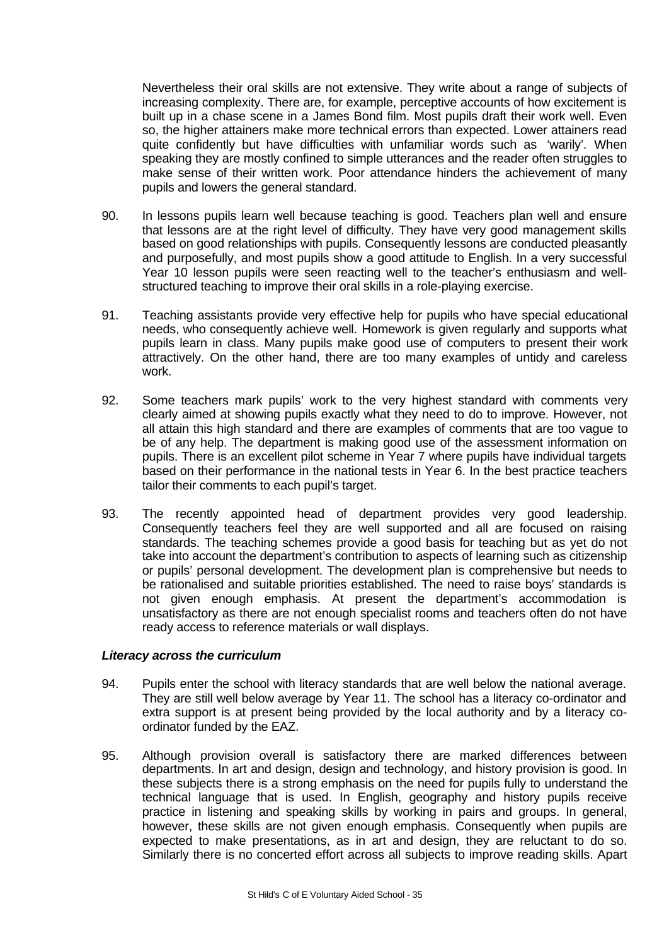Nevertheless their oral skills are not extensive. They write about a range of subjects of increasing complexity. There are, for example, perceptive accounts of how excitement is built up in a chase scene in a James Bond film. Most pupils draft their work well. Even so, the higher attainers make more technical errors than expected. Lower attainers read quite confidently but have difficulties with unfamiliar words such as 'warily'. When speaking they are mostly confined to simple utterances and the reader often struggles to make sense of their written work. Poor attendance hinders the achievement of many pupils and lowers the general standard.

- 90. In lessons pupils learn well because teaching is good. Teachers plan well and ensure that lessons are at the right level of difficulty. They have very good management skills based on good relationships with pupils. Consequently lessons are conducted pleasantly and purposefully, and most pupils show a good attitude to English. In a very successful Year 10 lesson pupils were seen reacting well to the teacher's enthusiasm and wellstructured teaching to improve their oral skills in a role-playing exercise.
- 91. Teaching assistants provide very effective help for pupils who have special educational needs, who consequently achieve well. Homework is given regularly and supports what pupils learn in class. Many pupils make good use of computers to present their work attractively. On the other hand, there are too many examples of untidy and careless work.
- 92. Some teachers mark pupils' work to the very highest standard with comments very clearly aimed at showing pupils exactly what they need to do to improve. However, not all attain this high standard and there are examples of comments that are too vague to be of any help. The department is making good use of the assessment information on pupils. There is an excellent pilot scheme in Year 7 where pupils have individual targets based on their performance in the national tests in Year 6. In the best practice teachers tailor their comments to each pupil's target.
- 93. The recently appointed head of department provides very good leadership. Consequently teachers feel they are well supported and all are focused on raising standards. The teaching schemes provide a good basis for teaching but as yet do not take into account the department's contribution to aspects of learning such as citizenship or pupils' personal development. The development plan is comprehensive but needs to be rationalised and suitable priorities established. The need to raise boys' standards is not given enough emphasis. At present the department's accommodation is unsatisfactory as there are not enough specialist rooms and teachers often do not have ready access to reference materials or wall displays.

## *Literacy across the curriculum*

- 94. Pupils enter the school with literacy standards that are well below the national average. They are still well below average by Year 11. The school has a literacy co-ordinator and extra support is at present being provided by the local authority and by a literacy coordinator funded by the EAZ.
- 95. Although provision overall is satisfactory there are marked differences between departments. In art and design, design and technology, and history provision is good. In these subjects there is a strong emphasis on the need for pupils fully to understand the technical language that is used. In English, geography and history pupils receive practice in listening and speaking skills by working in pairs and groups. In general, however, these skills are not given enough emphasis. Consequently when pupils are expected to make presentations, as in art and design, they are reluctant to do so. Similarly there is no concerted effort across all subjects to improve reading skills. Apart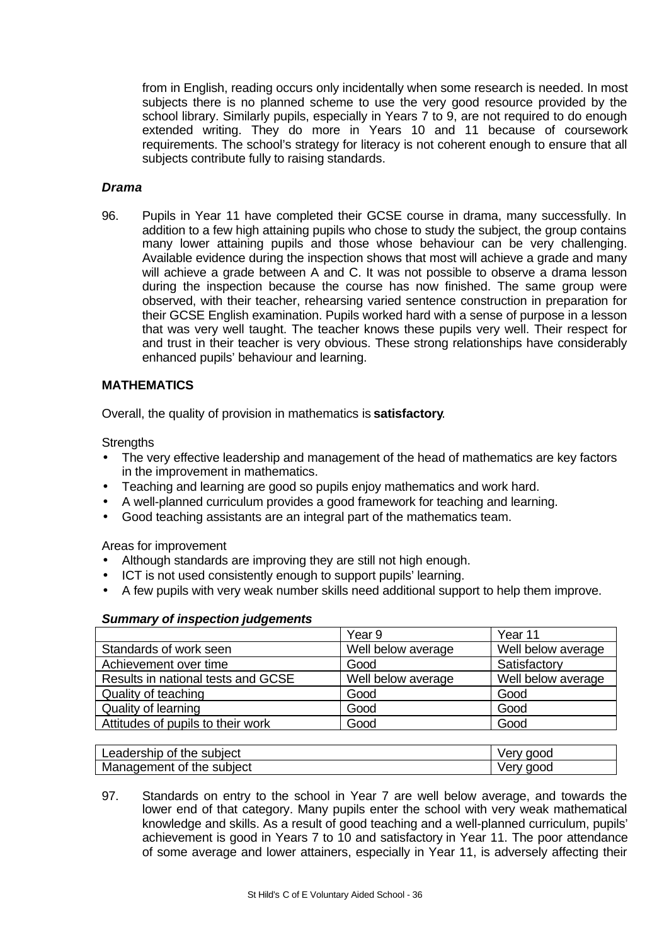from in English, reading occurs only incidentally when some research is needed. In most subjects there is no planned scheme to use the very good resource provided by the school library. Similarly pupils, especially in Years 7 to 9, are not required to do enough extended writing. They do more in Years 10 and 11 because of coursework requirements. The school's strategy for literacy is not coherent enough to ensure that all subjects contribute fully to raising standards.

# *Drama*

96. Pupils in Year 11 have completed their GCSE course in drama, many successfully. In addition to a few high attaining pupils who chose to study the subject, the group contains many lower attaining pupils and those whose behaviour can be very challenging. Available evidence during the inspection shows that most will achieve a grade and many will achieve a grade between A and C. It was not possible to observe a drama lesson during the inspection because the course has now finished. The same group were observed, with their teacher, rehearsing varied sentence construction in preparation for their GCSE English examination. Pupils worked hard with a sense of purpose in a lesson that was very well taught. The teacher knows these pupils very well. Their respect for and trust in their teacher is very obvious. These strong relationships have considerably enhanced pupils' behaviour and learning.

# **MATHEMATICS**

Overall, the quality of provision in mathematics is **satisfactory**.

**Strengths** 

- The very effective leadership and management of the head of mathematics are key factors in the improvement in mathematics.
- Teaching and learning are good so pupils enjoy mathematics and work hard.
- A well-planned curriculum provides a good framework for teaching and learning.
- Good teaching assistants are an integral part of the mathematics team.

Areas for improvement

- Although standards are improving they are still not high enough.
- ICT is not used consistently enough to support pupils' learning.
- A few pupils with very weak number skills need additional support to help them improve.

|                                    | Year 9             | Year 11            |
|------------------------------------|--------------------|--------------------|
| Standards of work seen             | Well below average | Well below average |
| Achievement over time              | Good               | Satisfactory       |
| Results in national tests and GCSE | Well below average | Well below average |
| Quality of teaching                | Good               | Good               |
| Quality of learning                | Good               | Good               |
| Attitudes of pupils to their work  | Good               | Good               |

#### *Summary of inspection judgements*

| $\sim$ $\sim$<br>the subject<br>Ωt<br>∟eaɑersnip | aood        |
|--------------------------------------------------|-------------|
| subiect<br>nadement<br>the<br>01<br>Mar          | aood<br>ve. |

97. Standards on entry to the school in Year 7 are well below average, and towards the lower end of that category. Many pupils enter the school with very weak mathematical knowledge and skills. As a result of good teaching and a well-planned curriculum, pupils' achievement is good in Years 7 to 10 and satisfactory in Year 11. The poor attendance of some average and lower attainers, especially in Year 11, is adversely affecting their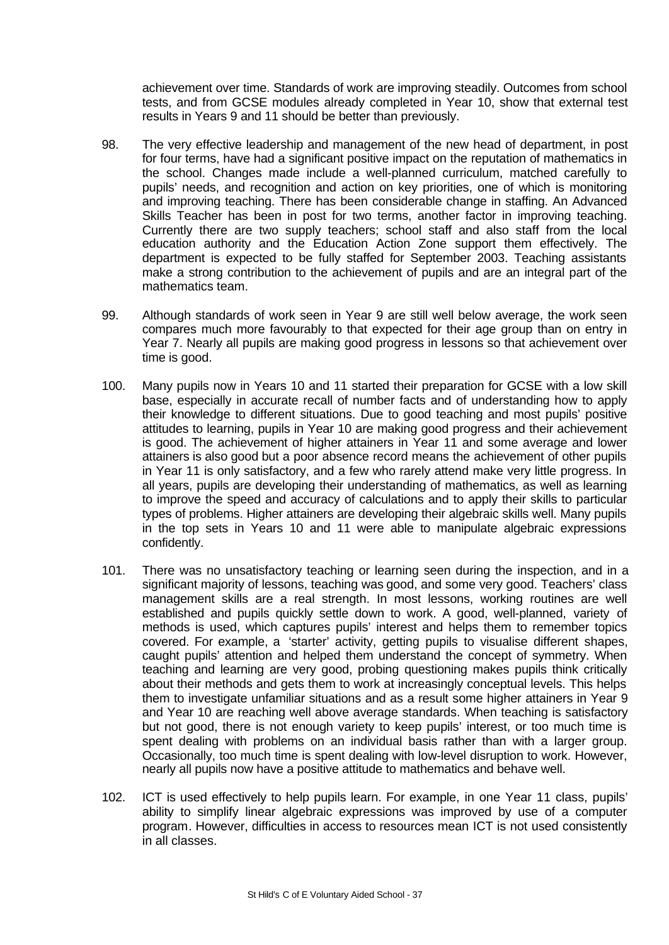achievement over time. Standards of work are improving steadily. Outcomes from school tests, and from GCSE modules already completed in Year 10, show that external test results in Years 9 and 11 should be better than previously.

- 98. The very effective leadership and management of the new head of department, in post for four terms, have had a significant positive impact on the reputation of mathematics in the school. Changes made include a well-planned curriculum, matched carefully to pupils' needs, and recognition and action on key priorities, one of which is monitoring and improving teaching. There has been considerable change in staffing. An Advanced Skills Teacher has been in post for two terms, another factor in improving teaching. Currently there are two supply teachers; school staff and also staff from the local education authority and the Education Action Zone support them effectively. The department is expected to be fully staffed for September 2003. Teaching assistants make a strong contribution to the achievement of pupils and are an integral part of the mathematics team.
- 99. Although standards of work seen in Year 9 are still well below average, the work seen compares much more favourably to that expected for their age group than on entry in Year 7. Nearly all pupils are making good progress in lessons so that achievement over time is good.
- 100. Many pupils now in Years 10 and 11 started their preparation for GCSE with a low skill base, especially in accurate recall of number facts and of understanding how to apply their knowledge to different situations. Due to good teaching and most pupils' positive attitudes to learning, pupils in Year 10 are making good progress and their achievement is good. The achievement of higher attainers in Year 11 and some average and lower attainers is also good but a poor absence record means the achievement of other pupils in Year 11 is only satisfactory, and a few who rarely attend make very little progress. In all years, pupils are developing their understanding of mathematics, as well as learning to improve the speed and accuracy of calculations and to apply their skills to particular types of problems. Higher attainers are developing their algebraic skills well. Many pupils in the top sets in Years 10 and 11 were able to manipulate algebraic expressions confidently.
- 101. There was no unsatisfactory teaching or learning seen during the inspection, and in a significant majority of lessons, teaching was good, and some very good. Teachers' class management skills are a real strength. In most lessons, working routines are well established and pupils quickly settle down to work. A good, well-planned, variety of methods is used, which captures pupils' interest and helps them to remember topics covered. For example, a 'starter' activity, getting pupils to visualise different shapes, caught pupils' attention and helped them understand the concept of symmetry. When teaching and learning are very good, probing questioning makes pupils think critically about their methods and gets them to work at increasingly conceptual levels. This helps them to investigate unfamiliar situations and as a result some higher attainers in Year 9 and Year 10 are reaching well above average standards. When teaching is satisfactory but not good, there is not enough variety to keep pupils' interest, or too much time is spent dealing with problems on an individual basis rather than with a larger group. Occasionally, too much time is spent dealing with low-level disruption to work. However, nearly all pupils now have a positive attitude to mathematics and behave well.
- 102. ICT is used effectively to help pupils learn. For example, in one Year 11 class, pupils' ability to simplify linear algebraic expressions was improved by use of a computer program. However, difficulties in access to resources mean ICT is not used consistently in all classes.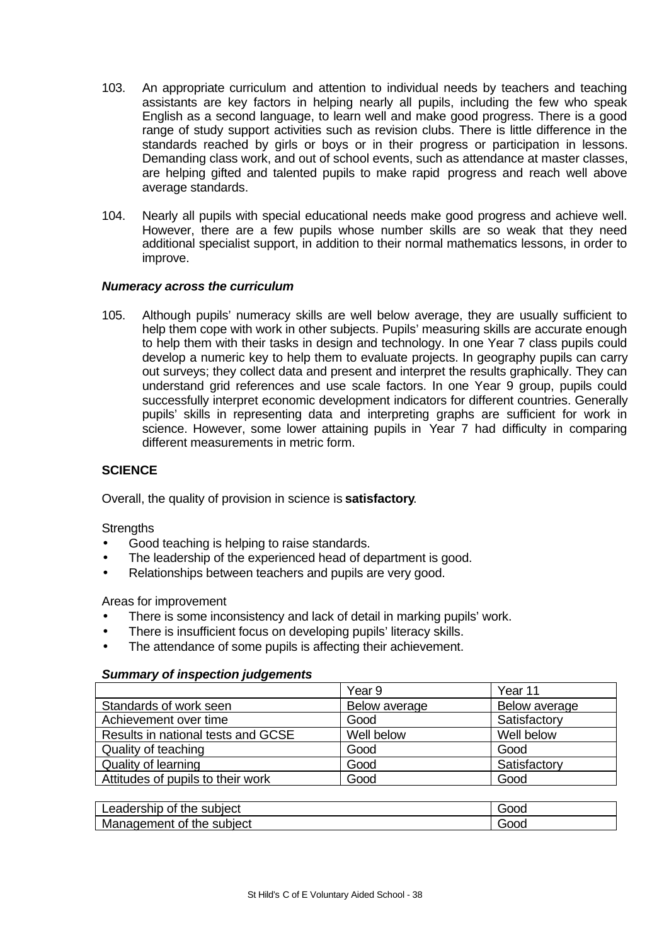- 103. An appropriate curriculum and attention to individual needs by teachers and teaching assistants are key factors in helping nearly all pupils, including the few who speak English as a second language, to learn well and make good progress. There is a good range of study support activities such as revision clubs. There is little difference in the standards reached by girls or boys or in their progress or participation in lessons. Demanding class work, and out of school events, such as attendance at master classes, are helping gifted and talented pupils to make rapid progress and reach well above average standards.
- 104. Nearly all pupils with special educational needs make good progress and achieve well. However, there are a few pupils whose number skills are so weak that they need additional specialist support, in addition to their normal mathematics lessons, in order to improve.

## *Numeracy across the curriculum*

105. Although pupils' numeracy skills are well below average, they are usually sufficient to help them cope with work in other subjects. Pupils' measuring skills are accurate enough to help them with their tasks in design and technology. In one Year 7 class pupils could develop a numeric key to help them to evaluate projects. In geography pupils can carry out surveys; they collect data and present and interpret the results graphically. They can understand grid references and use scale factors. In one Year 9 group, pupils could successfully interpret economic development indicators for different countries. Generally pupils' skills in representing data and interpreting graphs are sufficient for work in science. However, some lower attaining pupils in Year 7 had difficulty in comparing different measurements in metric form.

# **SCIENCE**

Overall, the quality of provision in science is **satisfactory**.

**Strengths** 

- Good teaching is helping to raise standards.
- The leadership of the experienced head of department is good.
- Relationships between teachers and pupils are very good.

Areas for improvement

- There is some inconsistency and lack of detail in marking pupils' work.
- There is insufficient focus on developing pupils' literacy skills.
- The attendance of some pupils is affecting their achievement.

## *Summary of inspection judgements*

|                                    | Year 9        | Year 11       |
|------------------------------------|---------------|---------------|
| Standards of work seen             | Below average | Below average |
| Achievement over time              | Good          | Satisfactory  |
| Results in national tests and GCSE | Well below    | Well below    |
| Quality of teaching                | Good          | Good          |
| Quality of learning                | Good          | Satisfactory  |
| Attitudes of pupils to their work  | Good          | Good          |

| _eadership<br>subiect<br>Οt<br>the | Good                 |
|------------------------------------|----------------------|
| Management<br>subject<br>the<br>0t | iOOC<br>$\mathbf{H}$ |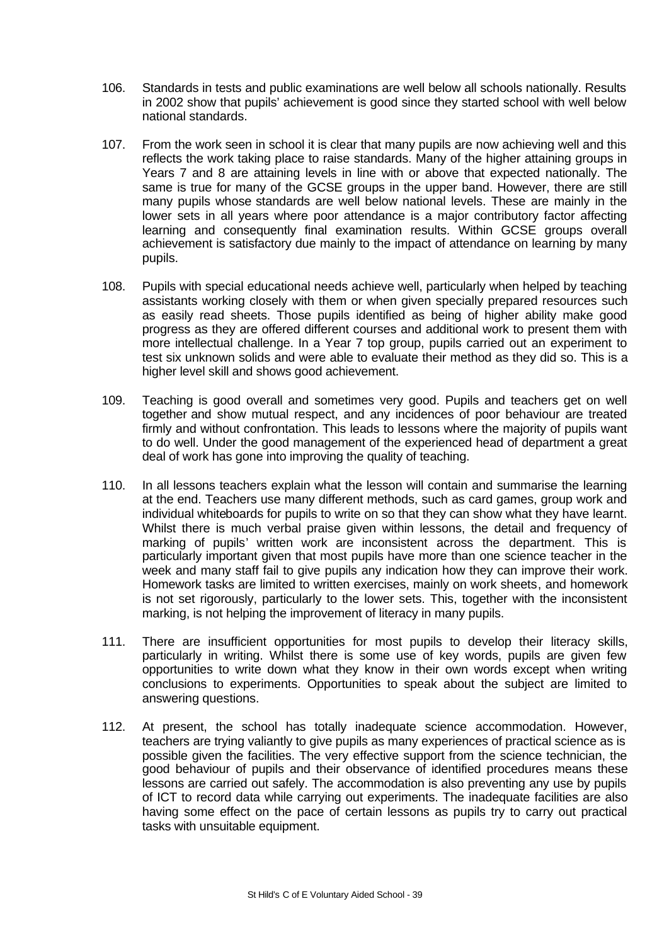- 106. Standards in tests and public examinations are well below all schools nationally. Results in 2002 show that pupils' achievement is good since they started school with well below national standards.
- 107. From the work seen in school it is clear that many pupils are now achieving well and this reflects the work taking place to raise standards. Many of the higher attaining groups in Years 7 and 8 are attaining levels in line with or above that expected nationally. The same is true for many of the GCSE groups in the upper band. However, there are still many pupils whose standards are well below national levels. These are mainly in the lower sets in all years where poor attendance is a major contributory factor affecting learning and consequently final examination results. Within GCSE groups overall achievement is satisfactory due mainly to the impact of attendance on learning by many pupils.
- 108. Pupils with special educational needs achieve well, particularly when helped by teaching assistants working closely with them or when given specially prepared resources such as easily read sheets. Those pupils identified as being of higher ability make good progress as they are offered different courses and additional work to present them with more intellectual challenge. In a Year 7 top group, pupils carried out an experiment to test six unknown solids and were able to evaluate their method as they did so. This is a higher level skill and shows good achievement.
- 109. Teaching is good overall and sometimes very good. Pupils and teachers get on well together and show mutual respect, and any incidences of poor behaviour are treated firmly and without confrontation. This leads to lessons where the majority of pupils want to do well. Under the good management of the experienced head of department a great deal of work has gone into improving the quality of teaching.
- 110. In all lessons teachers explain what the lesson will contain and summarise the learning at the end. Teachers use many different methods, such as card games, group work and individual whiteboards for pupils to write on so that they can show what they have learnt. Whilst there is much verbal praise given within lessons, the detail and frequency of marking of pupils' written work are inconsistent across the department. This is particularly important given that most pupils have more than one science teacher in the week and many staff fail to give pupils any indication how they can improve their work. Homework tasks are limited to written exercises, mainly on work sheets, and homework is not set rigorously, particularly to the lower sets. This, together with the inconsistent marking, is not helping the improvement of literacy in many pupils.
- 111. There are insufficient opportunities for most pupils to develop their literacy skills, particularly in writing. Whilst there is some use of key words, pupils are given few opportunities to write down what they know in their own words except when writing conclusions to experiments. Opportunities to speak about the subject are limited to answering questions.
- 112. At present, the school has totally inadequate science accommodation. However, teachers are trying valiantly to give pupils as many experiences of practical science as is possible given the facilities. The very effective support from the science technician, the good behaviour of pupils and their observance of identified procedures means these lessons are carried out safely. The accommodation is also preventing any use by pupils of ICT to record data while carrying out experiments. The inadequate facilities are also having some effect on the pace of certain lessons as pupils try to carry out practical tasks with unsuitable equipment.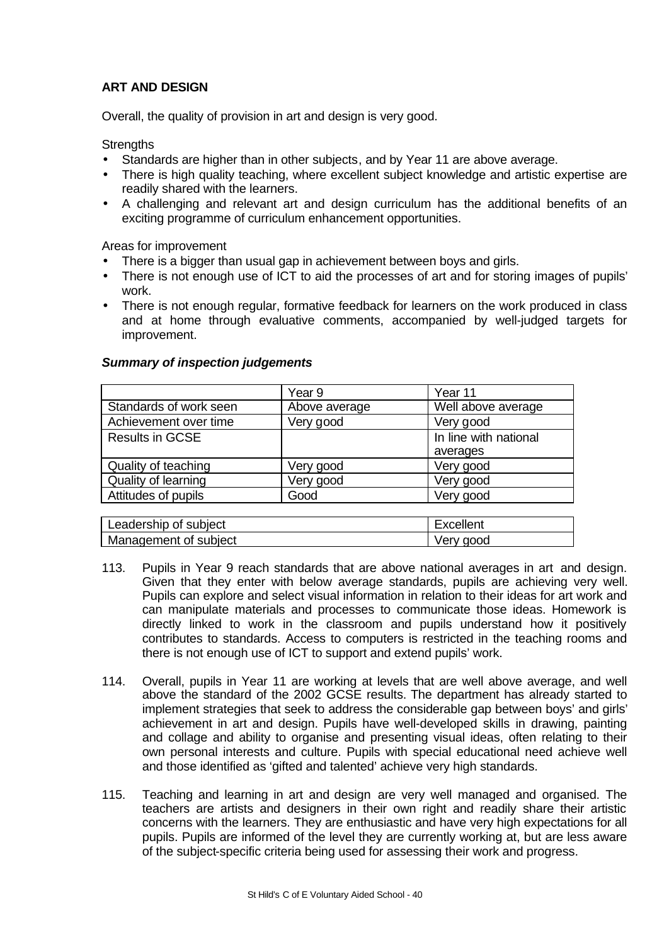# **ART AND DESIGN**

Overall, the quality of provision in art and design is very good.

**Strengths** 

- Standards are higher than in other subjects, and by Year 11 are above average.
- There is high quality teaching, where excellent subject knowledge and artistic expertise are readily shared with the learners.
- A challenging and relevant art and design curriculum has the additional benefits of an exciting programme of curriculum enhancement opportunities.

Areas for improvement

- There is a bigger than usual gap in achievement between boys and girls.
- There is not enough use of ICT to aid the processes of art and for storing images of pupils' work.
- There is not enough regular, formative feedback for learners on the work produced in class and at home through evaluative comments, accompanied by well-judged targets for improvement.

|                        | Year 9        | Year 11               |
|------------------------|---------------|-----------------------|
| Standards of work seen | Above average | Well above average    |
| Achievement over time  | Very good     | Very good             |
| <b>Results in GCSE</b> |               | In line with national |
|                        |               | averages              |
| Quality of teaching    | Very good     | Very good             |
| Quality of learning    | Very good     | Very good             |
| Attitudes of pupils    | Good          | Very good             |
|                        |               |                       |

#### *Summary of inspection judgements*

| Leadership of subject | Excellent |
|-----------------------|-----------|
| Management of subject | Verv good |
|                       |           |

- 113. Pupils in Year 9 reach standards that are above national averages in art and design. Given that they enter with below average standards, pupils are achieving very well. Pupils can explore and select visual information in relation to their ideas for art work and can manipulate materials and processes to communicate those ideas. Homework is directly linked to work in the classroom and pupils understand how it positively contributes to standards. Access to computers is restricted in the teaching rooms and there is not enough use of ICT to support and extend pupils' work.
- 114. Overall, pupils in Year 11 are working at levels that are well above average, and well above the standard of the 2002 GCSE results. The department has already started to implement strategies that seek to address the considerable gap between boys' and girls' achievement in art and design. Pupils have well-developed skills in drawing, painting and collage and ability to organise and presenting visual ideas, often relating to their own personal interests and culture. Pupils with special educational need achieve well and those identified as 'gifted and talented' achieve very high standards.
- 115. Teaching and learning in art and design are very well managed and organised. The teachers are artists and designers in their own right and readily share their artistic concerns with the learners. They are enthusiastic and have very high expectations for all pupils. Pupils are informed of the level they are currently working at, but are less aware of the subject-specific criteria being used for assessing their work and progress.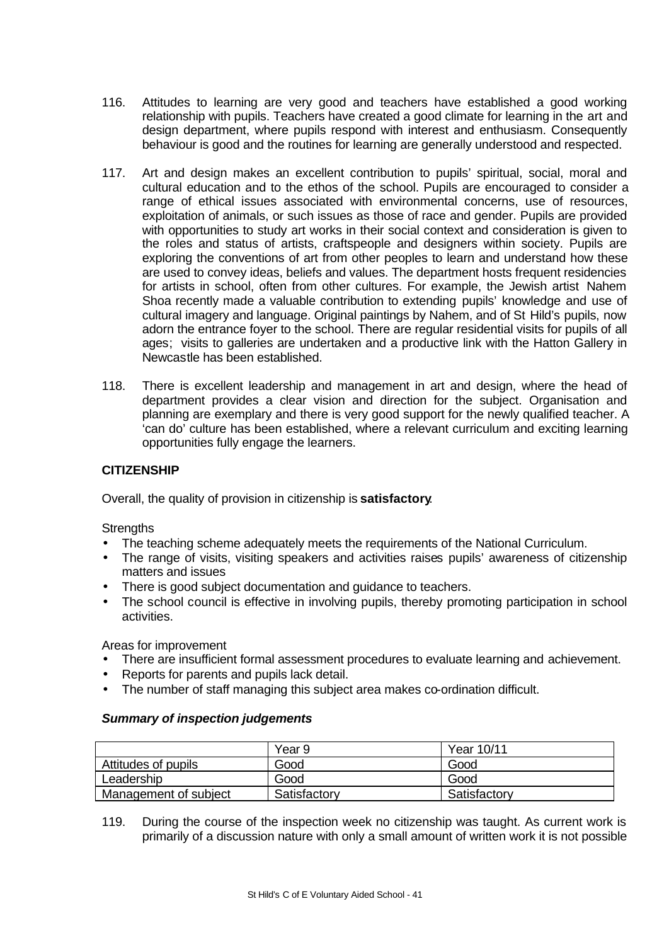- 116. Attitudes to learning are very good and teachers have established a good working relationship with pupils. Teachers have created a good climate for learning in the art and design department, where pupils respond with interest and enthusiasm. Consequently behaviour is good and the routines for learning are generally understood and respected.
- 117. Art and design makes an excellent contribution to pupils' spiritual, social, moral and cultural education and to the ethos of the school. Pupils are encouraged to consider a range of ethical issues associated with environmental concerns, use of resources, exploitation of animals, or such issues as those of race and gender. Pupils are provided with opportunities to study art works in their social context and consideration is given to the roles and status of artists, craftspeople and designers within society. Pupils are exploring the conventions of art from other peoples to learn and understand how these are used to convey ideas, beliefs and values. The department hosts frequent residencies for artists in school, often from other cultures. For example, the Jewish artist Nahem Shoa recently made a valuable contribution to extending pupils' knowledge and use of cultural imagery and language. Original paintings by Nahem, and of St Hild's pupils, now adorn the entrance foyer to the school. There are regular residential visits for pupils of all ages; visits to galleries are undertaken and a productive link with the Hatton Gallery in Newcastle has been established.
- 118. There is excellent leadership and management in art and design, where the head of department provides a clear vision and direction for the subject. Organisation and planning are exemplary and there is very good support for the newly qualified teacher. A 'can do' culture has been established, where a relevant curriculum and exciting learning opportunities fully engage the learners.

# **CITIZENSHIP**

Overall, the quality of provision in citizenship is **satisfactory**.

**Strengths** 

- The teaching scheme adequately meets the requirements of the National Curriculum.
- The range of visits, visiting speakers and activities raises pupils' awareness of citizenship matters and issues
- There is good subject documentation and guidance to teachers.
- The school council is effective in involving pupils, thereby promoting participation in school activities.

Areas for improvement

- There are insufficient formal assessment procedures to evaluate learning and achievement.
- Reports for parents and pupils lack detail.
- The number of staff managing this subject area makes co-ordination difficult.

## *Summary of inspection judgements*

|                       | Year 9       | Year 10/11   |
|-----------------------|--------------|--------------|
| Attitudes of pupils   | Good         | Good         |
| Leadership            | Good         | Good         |
| Management of subject | Satisfactory | Satisfactory |

119. During the course of the inspection week no citizenship was taught. As current work is primarily of a discussion nature with only a small amount of written work it is not possible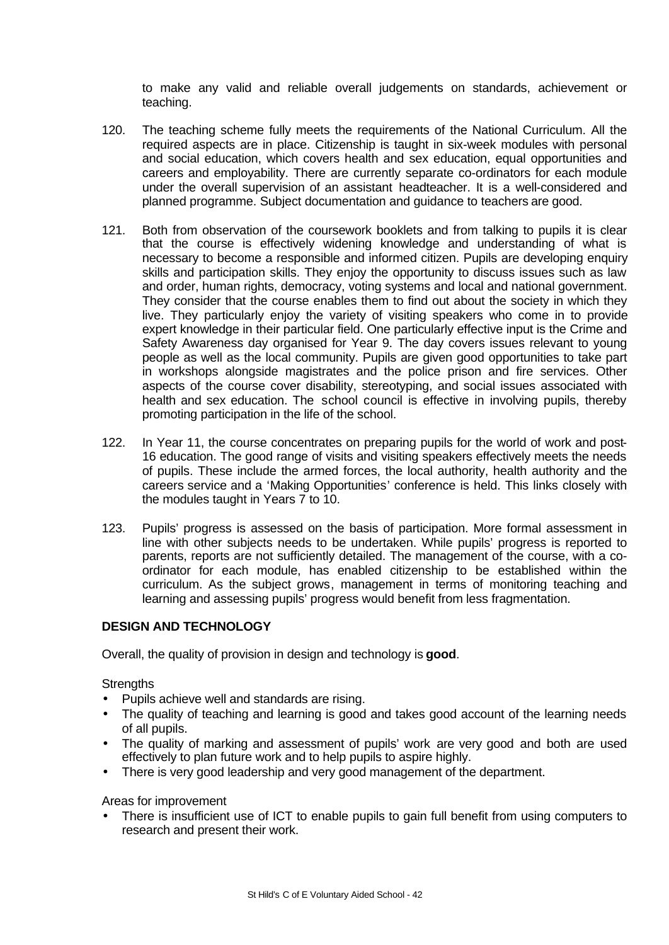to make any valid and reliable overall judgements on standards, achievement or teaching.

- 120. The teaching scheme fully meets the requirements of the National Curriculum. All the required aspects are in place. Citizenship is taught in six-week modules with personal and social education, which covers health and sex education, equal opportunities and careers and employability. There are currently separate co-ordinators for each module under the overall supervision of an assistant headteacher. It is a well-considered and planned programme. Subject documentation and guidance to teachers are good.
- 121. Both from observation of the coursework booklets and from talking to pupils it is clear that the course is effectively widening knowledge and understanding of what is necessary to become a responsible and informed citizen. Pupils are developing enquiry skills and participation skills. They enjoy the opportunity to discuss issues such as law and order, human rights, democracy, voting systems and local and national government. They consider that the course enables them to find out about the society in which they live. They particularly enjoy the variety of visiting speakers who come in to provide expert knowledge in their particular field. One particularly effective input is the Crime and Safety Awareness day organised for Year 9. The day covers issues relevant to young people as well as the local community. Pupils are given good opportunities to take part in workshops alongside magistrates and the police prison and fire services. Other aspects of the course cover disability, stereotyping, and social issues associated with health and sex education. The school council is effective in involving pupils, thereby promoting participation in the life of the school.
- 122. In Year 11, the course concentrates on preparing pupils for the world of work and post-16 education. The good range of visits and visiting speakers effectively meets the needs of pupils. These include the armed forces, the local authority, health authority and the careers service and a 'Making Opportunities' conference is held. This links closely with the modules taught in Years 7 to 10.
- 123. Pupils' progress is assessed on the basis of participation. More formal assessment in line with other subjects needs to be undertaken. While pupils' progress is reported to parents, reports are not sufficiently detailed. The management of the course, with a coordinator for each module, has enabled citizenship to be established within the curriculum. As the subject grows, management in terms of monitoring teaching and learning and assessing pupils' progress would benefit from less fragmentation.

# **DESIGN AND TECHNOLOGY**

Overall, the quality of provision in design and technology is **good**.

**Strengths** 

- Pupils achieve well and standards are rising.
- The quality of teaching and learning is good and takes good account of the learning needs of all pupils.
- The quality of marking and assessment of pupils' work are very good and both are used effectively to plan future work and to help pupils to aspire highly.
- There is very good leadership and very good management of the department.

Areas for improvement

There is insufficient use of ICT to enable pupils to gain full benefit from using computers to research and present their work.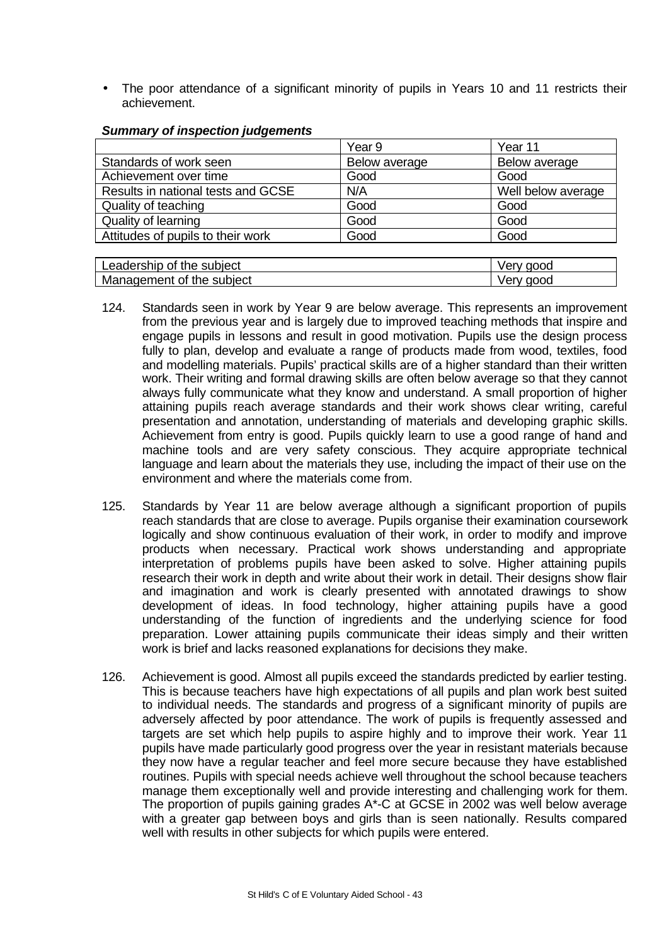The poor attendance of a significant minority of pupils in Years 10 and 11 restricts their achievement.

|                                    | Year 9        | Year 11            |
|------------------------------------|---------------|--------------------|
| Standards of work seen             | Below average | Below average      |
| Achievement over time              | Good          | Good               |
| Results in national tests and GCSE | N/A           | Well below average |
| Quality of teaching                | Good          | Good               |
| Quality of learning                | Good          | Good               |
| Attitudes of pupils to their work  | Good          | Good               |
|                                    |               |                    |

## *Summary of inspection judgements*

| Leadership of the subiect | good |
|---------------------------|------|
| Management of the subject | aood |

- 124. Standards seen in work by Year 9 are below average. This represents an improvement from the previous year and is largely due to improved teaching methods that inspire and engage pupils in lessons and result in good motivation. Pupils use the design process fully to plan, develop and evaluate a range of products made from wood, textiles, food and modelling materials. Pupils' practical skills are of a higher standard than their written work. Their writing and formal drawing skills are often below average so that they cannot always fully communicate what they know and understand. A small proportion of higher attaining pupils reach average standards and their work shows clear writing, careful presentation and annotation, understanding of materials and developing graphic skills. Achievement from entry is good. Pupils quickly learn to use a good range of hand and machine tools and are very safety conscious. They acquire appropriate technical language and learn about the materials they use, including the impact of their use on the environment and where the materials come from.
- 125. Standards by Year 11 are below average although a significant proportion of pupils reach standards that are close to average. Pupils organise their examination coursework logically and show continuous evaluation of their work, in order to modify and improve products when necessary. Practical work shows understanding and appropriate interpretation of problems pupils have been asked to solve. Higher attaining pupils research their work in depth and write about their work in detail. Their designs show flair and imagination and work is clearly presented with annotated drawings to show development of ideas. In food technology, higher attaining pupils have a good understanding of the function of ingredients and the underlying science for food preparation. Lower attaining pupils communicate their ideas simply and their written work is brief and lacks reasoned explanations for decisions they make.
- 126. Achievement is good. Almost all pupils exceed the standards predicted by earlier testing. This is because teachers have high expectations of all pupils and plan work best suited to individual needs. The standards and progress of a significant minority of pupils are adversely affected by poor attendance. The work of pupils is frequently assessed and targets are set which help pupils to aspire highly and to improve their work. Year 11 pupils have made particularly good progress over the year in resistant materials because they now have a regular teacher and feel more secure because they have established routines. Pupils with special needs achieve well throughout the school because teachers manage them exceptionally well and provide interesting and challenging work for them. The proportion of pupils gaining grades A\*-C at GCSE in 2002 was well below average with a greater gap between boys and girls than is seen nationally. Results compared well with results in other subjects for which pupils were entered.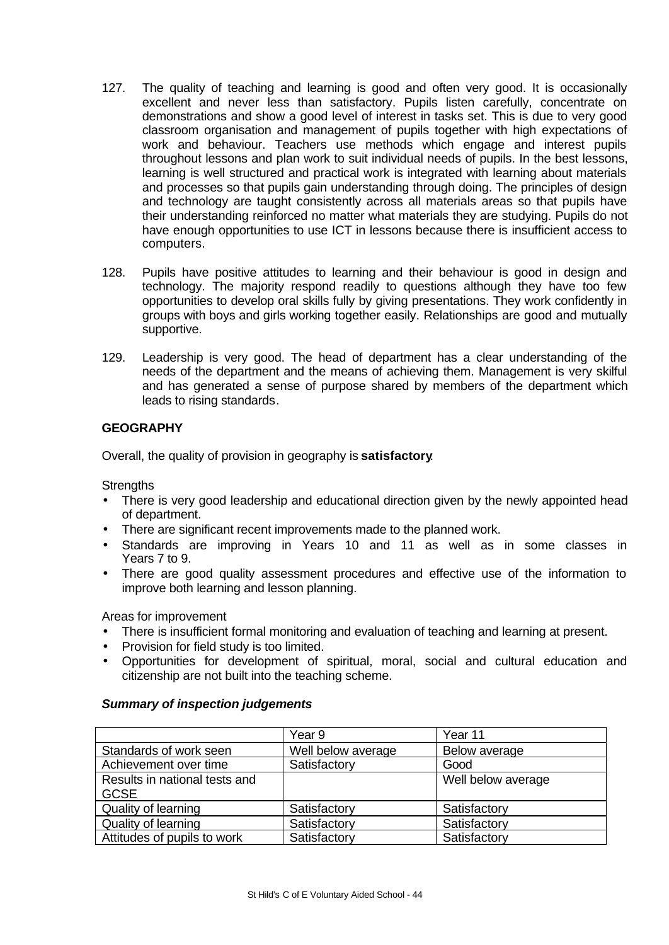- 127. The quality of teaching and learning is good and often very good. It is occasionally excellent and never less than satisfactory. Pupils listen carefully, concentrate on demonstrations and show a good level of interest in tasks set. This is due to very good classroom organisation and management of pupils together with high expectations of work and behaviour. Teachers use methods which engage and interest pupils throughout lessons and plan work to suit individual needs of pupils. In the best lessons, learning is well structured and practical work is integrated with learning about materials and processes so that pupils gain understanding through doing. The principles of design and technology are taught consistently across all materials areas so that pupils have their understanding reinforced no matter what materials they are studying. Pupils do not have enough opportunities to use ICT in lessons because there is insufficient access to computers.
- 128. Pupils have positive attitudes to learning and their behaviour is good in design and technology. The majority respond readily to questions although they have too few opportunities to develop oral skills fully by giving presentations. They work confidently in groups with boys and girls working together easily. Relationships are good and mutually supportive.
- 129. Leadership is very good. The head of department has a clear understanding of the needs of the department and the means of achieving them. Management is very skilful and has generated a sense of purpose shared by members of the department which leads to rising standards.

# **GEOGRAPHY**

Overall, the quality of provision in geography is **satisfactory**.

**Strengths** 

- There is very good leadership and educational direction given by the newly appointed head of department.
- There are significant recent improvements made to the planned work.
- Standards are improving in Years 10 and 11 as well as in some classes in Years 7 to 9.
- There are good quality assessment procedures and effective use of the information to improve both learning and lesson planning.

Areas for improvement

- There is insufficient formal monitoring and evaluation of teaching and learning at present.
- Provision for field study is too limited.
- Opportunities for development of spiritual, moral, social and cultural education and citizenship are not built into the teaching scheme.

# *Summary of inspection judgements*

|                               | Year 9             | Year 11            |
|-------------------------------|--------------------|--------------------|
| Standards of work seen        | Well below average | Below average      |
| Achievement over time         | Satisfactory       | Good               |
| Results in national tests and |                    | Well below average |
| <b>GCSE</b>                   |                    |                    |
| Quality of learning           | Satisfactory       | Satisfactory       |
| Quality of learning           | Satisfactory       | Satisfactory       |
| Attitudes of pupils to work   | Satisfactory       | Satisfactory       |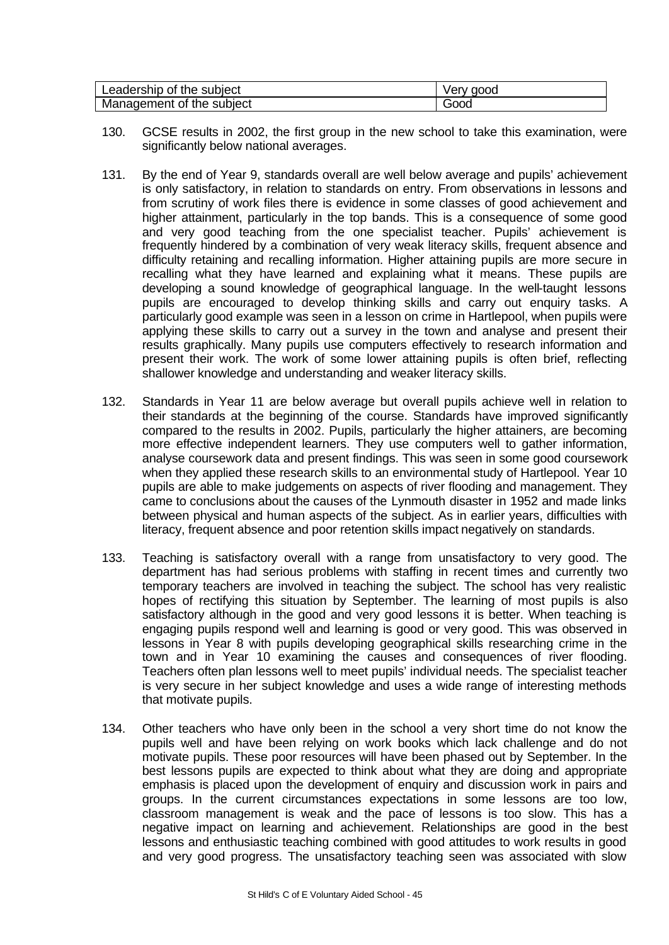| Leadership of the subject | Verv aood |
|---------------------------|-----------|
| Management of the subject | Good      |

- 130. GCSE results in 2002, the first group in the new school to take this examination, were significantly below national averages.
- 131. By the end of Year 9, standards overall are well below average and pupils' achievement is only satisfactory, in relation to standards on entry. From observations in lessons and from scrutiny of work files there is evidence in some classes of good achievement and higher attainment, particularly in the top bands. This is a consequence of some good and very good teaching from the one specialist teacher. Pupils' achievement is frequently hindered by a combination of very weak literacy skills, frequent absence and difficulty retaining and recalling information. Higher attaining pupils are more secure in recalling what they have learned and explaining what it means. These pupils are developing a sound knowledge of geographical language. In the well-taught lessons pupils are encouraged to develop thinking skills and carry out enquiry tasks. A particularly good example was seen in a lesson on crime in Hartlepool, when pupils were applying these skills to carry out a survey in the town and analyse and present their results graphically. Many pupils use computers effectively to research information and present their work. The work of some lower attaining pupils is often brief, reflecting shallower knowledge and understanding and weaker literacy skills.
- 132. Standards in Year 11 are below average but overall pupils achieve well in relation to their standards at the beginning of the course. Standards have improved significantly compared to the results in 2002. Pupils, particularly the higher attainers, are becoming more effective independent learners. They use computers well to gather information, analyse coursework data and present findings. This was seen in some good coursework when they applied these research skills to an environmental study of Hartlepool. Year 10 pupils are able to make judgements on aspects of river flooding and management. They came to conclusions about the causes of the Lynmouth disaster in 1952 and made links between physical and human aspects of the subject. As in earlier years, difficulties with literacy, frequent absence and poor retention skills impact negatively on standards.
- 133. Teaching is satisfactory overall with a range from unsatisfactory to very good. The department has had serious problems with staffing in recent times and currently two temporary teachers are involved in teaching the subject. The school has very realistic hopes of rectifying this situation by September. The learning of most pupils is also satisfactory although in the good and very good lessons it is better. When teaching is engaging pupils respond well and learning is good or very good. This was observed in lessons in Year 8 with pupils developing geographical skills researching crime in the town and in Year 10 examining the causes and consequences of river flooding. Teachers often plan lessons well to meet pupils' individual needs. The specialist teacher is very secure in her subject knowledge and uses a wide range of interesting methods that motivate pupils.
- 134. Other teachers who have only been in the school a very short time do not know the pupils well and have been relying on work books which lack challenge and do not motivate pupils. These poor resources will have been phased out by September. In the best lessons pupils are expected to think about what they are doing and appropriate emphasis is placed upon the development of enquiry and discussion work in pairs and groups. In the current circumstances expectations in some lessons are too low, classroom management is weak and the pace of lessons is too slow. This has a negative impact on learning and achievement. Relationships are good in the best lessons and enthusiastic teaching combined with good attitudes to work results in good and very good progress. The unsatisfactory teaching seen was associated with slow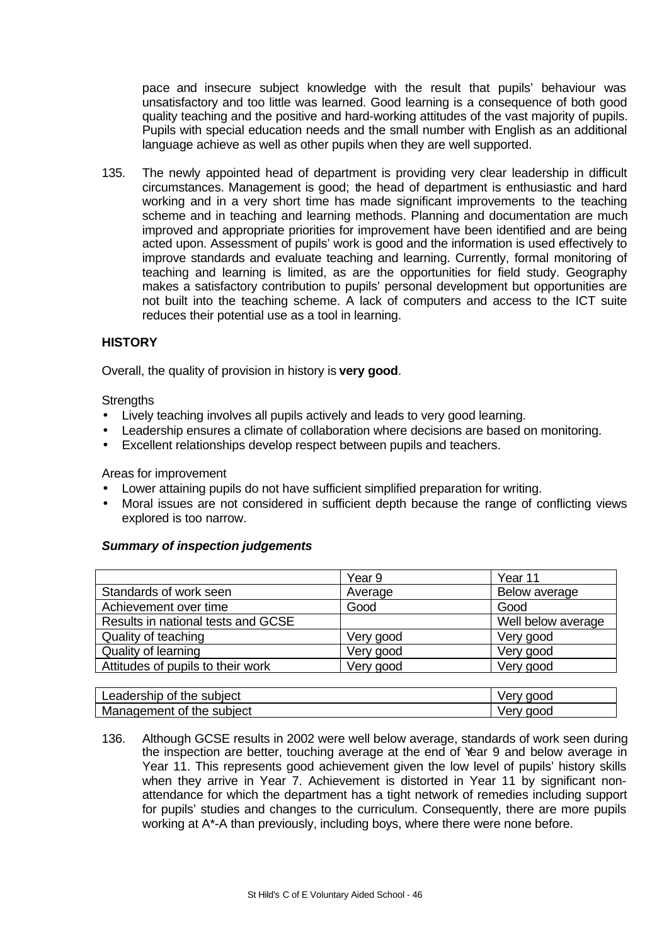pace and insecure subject knowledge with the result that pupils' behaviour was unsatisfactory and too little was learned. Good learning is a consequence of both good quality teaching and the positive and hard-working attitudes of the vast majority of pupils. Pupils with special education needs and the small number with English as an additional language achieve as well as other pupils when they are well supported.

135. The newly appointed head of department is providing very clear leadership in difficult circumstances. Management is good; the head of department is enthusiastic and hard working and in a very short time has made significant improvements to the teaching scheme and in teaching and learning methods. Planning and documentation are much improved and appropriate priorities for improvement have been identified and are being acted upon. Assessment of pupils' work is good and the information is used effectively to improve standards and evaluate teaching and learning. Currently, formal monitoring of teaching and learning is limited, as are the opportunities for field study. Geography makes a satisfactory contribution to pupils' personal development but opportunities are not built into the teaching scheme. A lack of computers and access to the ICT suite reduces their potential use as a tool in learning.

# **HISTORY**

Overall, the quality of provision in history is **very good**.

**Strengths** 

- Lively teaching involves all pupils actively and leads to very good learning.
- Leadership ensures a climate of collaboration where decisions are based on monitoring.
- Excellent relationships develop respect between pupils and teachers.

Areas for improvement

- Lower attaining pupils do not have sufficient simplified preparation for writing.
- Moral issues are not considered in sufficient depth because the range of conflicting views explored is too narrow.

# *Summary of inspection judgements*

|                                    | Year 9    | Year 11            |
|------------------------------------|-----------|--------------------|
| Standards of work seen             | Average   | Below average      |
| Achievement over time              | Good      | Good               |
| Results in national tests and GCSE |           | Well below average |
| Quality of teaching                | Very good | Very good          |
| Quality of learning                | Very good | Very good          |
| Attitudes of pupils to their work  | Very good | Very good          |

| Leadership of <sup>+</sup><br>the subiect | aood<br>verv<br>ັ        |
|-------------------------------------------|--------------------------|
| Management of the subject                 | നററ<br>۳۹۳،<br>$\cdot$ v |

136. Although GCSE results in 2002 were well below average, standards of work seen during the inspection are better, touching average at the end of Year 9 and below average in Year 11. This represents good achievement given the low level of pupils' history skills when they arrive in Year 7. Achievement is distorted in Year 11 by significant nonattendance for which the department has a tight network of remedies including support for pupils' studies and changes to the curriculum. Consequently, there are more pupils working at A\*-A than previously, including boys, where there were none before.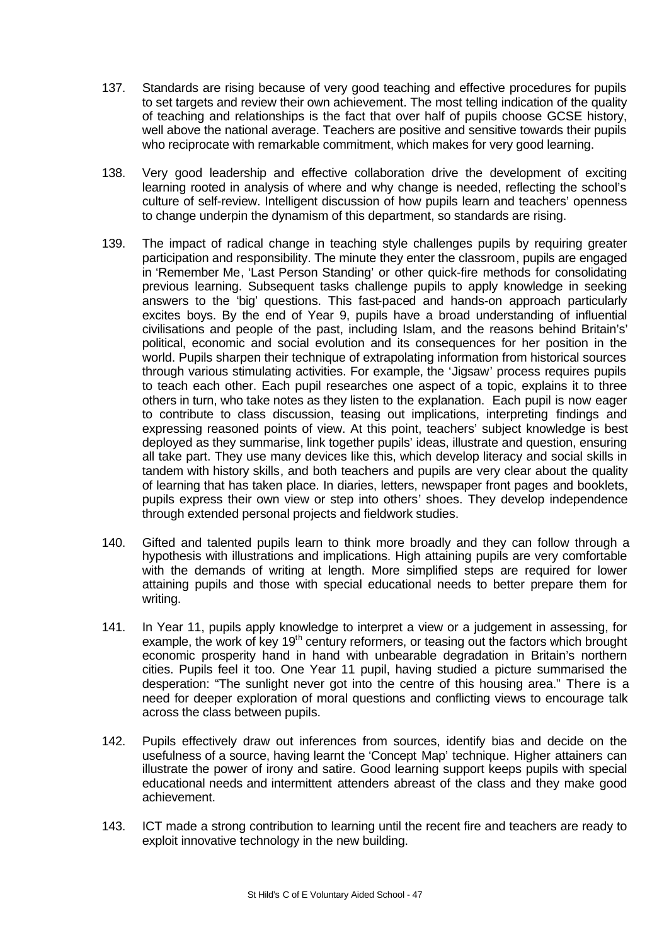- 137. Standards are rising because of very good teaching and effective procedures for pupils to set targets and review their own achievement. The most telling indication of the quality of teaching and relationships is the fact that over half of pupils choose GCSE history, well above the national average. Teachers are positive and sensitive towards their pupils who reciprocate with remarkable commitment, which makes for very good learning.
- 138. Very good leadership and effective collaboration drive the development of exciting learning rooted in analysis of where and why change is needed, reflecting the school's culture of self-review. Intelligent discussion of how pupils learn and teachers' openness to change underpin the dynamism of this department, so standards are rising.
- 139. The impact of radical change in teaching style challenges pupils by requiring greater participation and responsibility. The minute they enter the classroom, pupils are engaged in 'Remember Me, 'Last Person Standing' or other quick-fire methods for consolidating previous learning. Subsequent tasks challenge pupils to apply knowledge in seeking answers to the 'big' questions. This fast-paced and hands-on approach particularly excites boys. By the end of Year 9, pupils have a broad understanding of influential civilisations and people of the past, including Islam, and the reasons behind Britain's' political, economic and social evolution and its consequences for her position in the world. Pupils sharpen their technique of extrapolating information from historical sources through various stimulating activities. For example, the 'Jigsaw' process requires pupils to teach each other. Each pupil researches one aspect of a topic, explains it to three others in turn, who take notes as they listen to the explanation. Each pupil is now eager to contribute to class discussion, teasing out implications, interpreting findings and expressing reasoned points of view. At this point, teachers' subject knowledge is best deployed as they summarise, link together pupils' ideas, illustrate and question, ensuring all take part. They use many devices like this, which develop literacy and social skills in tandem with history skills, and both teachers and pupils are very clear about the quality of learning that has taken place. In diaries, letters, newspaper front pages and booklets, pupils express their own view or step into others' shoes. They develop independence through extended personal projects and fieldwork studies.
- 140. Gifted and talented pupils learn to think more broadly and they can follow through a hypothesis with illustrations and implications. High attaining pupils are very comfortable with the demands of writing at length. More simplified steps are required for lower attaining pupils and those with special educational needs to better prepare them for writing.
- 141. In Year 11, pupils apply knowledge to interpret a view or a judgement in assessing, for example, the work of key 19<sup>th</sup> century reformers, or teasing out the factors which brought economic prosperity hand in hand with unbearable degradation in Britain's northern cities. Pupils feel it too. One Year 11 pupil, having studied a picture summarised the desperation: "The sunlight never got into the centre of this housing area." There is a need for deeper exploration of moral questions and conflicting views to encourage talk across the class between pupils.
- 142. Pupils effectively draw out inferences from sources, identify bias and decide on the usefulness of a source, having learnt the 'Concept Map' technique. Higher attainers can illustrate the power of irony and satire. Good learning support keeps pupils with special educational needs and intermittent attenders abreast of the class and they make good achievement.
- 143. ICT made a strong contribution to learning until the recent fire and teachers are ready to exploit innovative technology in the new building.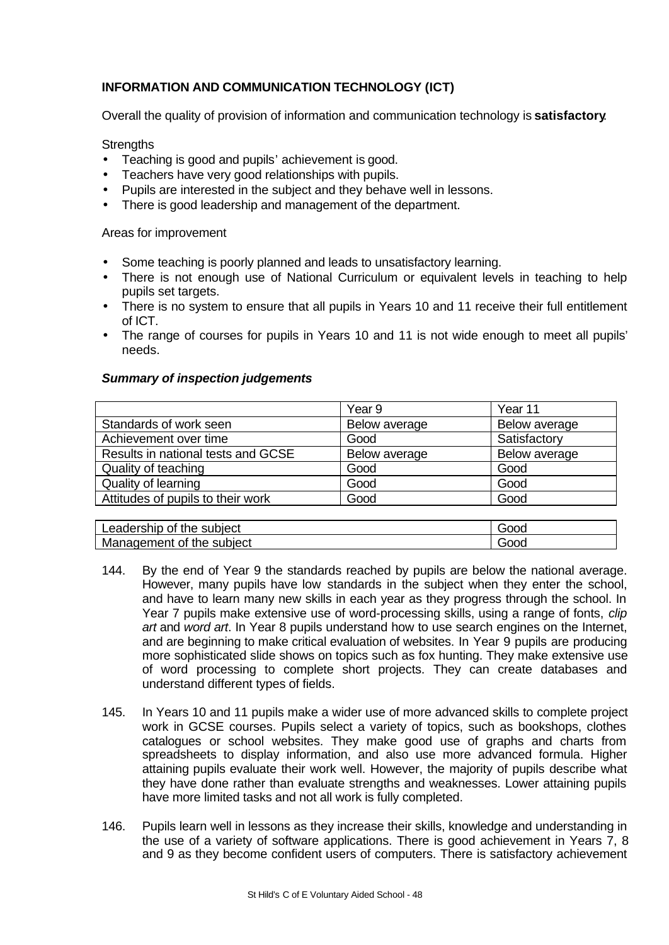# **INFORMATION AND COMMUNICATION TECHNOLOGY (ICT)**

Overall the quality of provision of information and communication technology is **satisfactory**.

**Strengths** 

- Teaching is good and pupils' achievement is good.
- Teachers have very good relationships with pupils.
- Pupils are interested in the subject and they behave well in lessons.
- There is good leadership and management of the department.

Areas for improvement

- Some teaching is poorly planned and leads to unsatisfactory learning.
- There is not enough use of National Curriculum or equivalent levels in teaching to help pupils set targets.
- There is no system to ensure that all pupils in Years 10 and 11 receive their full entitlement of ICT.
- The range of courses for pupils in Years 10 and 11 is not wide enough to meet all pupils' needs.

# *Summary of inspection judgements*

|                                    | Year 9        | Year 11       |
|------------------------------------|---------------|---------------|
| Standards of work seen             | Below average | Below average |
| Achievement over time              | Good          | Satisfactory  |
| Results in national tests and GCSE | Below average | Below average |
| Quality of teaching                | Good          | Good          |
| Quality of learning                | Good          | Good          |
| Attitudes of pupils to their work  | Good          | Good          |

| Leadership<br>subject<br>0t<br>**<br>me | iOOC<br>э١  |
|-----------------------------------------|-------------|
| subject<br>Management<br>οt<br>the      | iooc<br>- 1 |

- 144. By the end of Year 9 the standards reached by pupils are below the national average. However, many pupils have low standards in the subject when they enter the school, and have to learn many new skills in each year as they progress through the school. In Year 7 pupils make extensive use of word-processing skills, using a range of fonts, *clip art* and *word art*. In Year 8 pupils understand how to use search engines on the Internet, and are beginning to make critical evaluation of websites. In Year 9 pupils are producing more sophisticated slide shows on topics such as fox hunting. They make extensive use of word processing to complete short projects. They can create databases and understand different types of fields.
- 145. In Years 10 and 11 pupils make a wider use of more advanced skills to complete project work in GCSE courses. Pupils select a variety of topics, such as bookshops, clothes catalogues or school websites. They make good use of graphs and charts from spreadsheets to display information, and also use more advanced formula. Higher attaining pupils evaluate their work well. However, the majority of pupils describe what they have done rather than evaluate strengths and weaknesses. Lower attaining pupils have more limited tasks and not all work is fully completed.
- 146. Pupils learn well in lessons as they increase their skills, knowledge and understanding in the use of a variety of software applications. There is good achievement in Years 7, 8 and 9 as they become confident users of computers. There is satisfactory achievement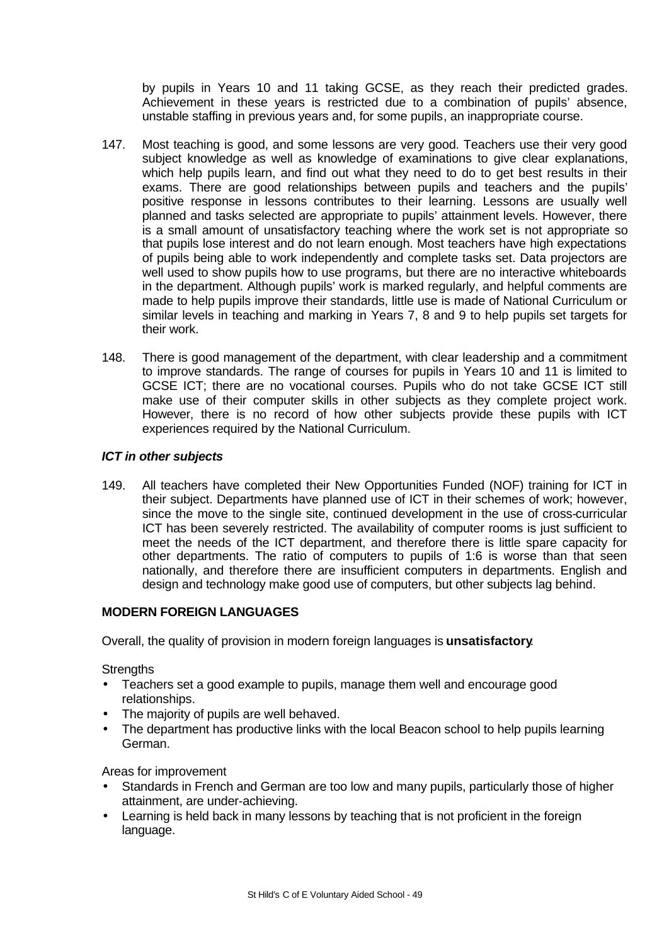by pupils in Years 10 and 11 taking GCSE, as they reach their predicted grades. Achievement in these years is restricted due to a combination of pupils' absence, unstable staffing in previous years and, for some pupils, an inappropriate course.

- 147. Most teaching is good, and some lessons are very good. Teachers use their very good subject knowledge as well as knowledge of examinations to give clear explanations, which help pupils learn, and find out what they need to do to get best results in their exams. There are good relationships between pupils and teachers and the pupils' positive response in lessons contributes to their learning. Lessons are usually well planned and tasks selected are appropriate to pupils' attainment levels. However, there is a small amount of unsatisfactory teaching where the work set is not appropriate so that pupils lose interest and do not learn enough. Most teachers have high expectations of pupils being able to work independently and complete tasks set. Data projectors are well used to show pupils how to use programs, but there are no interactive whiteboards in the department. Although pupils' work is marked regularly, and helpful comments are made to help pupils improve their standards, little use is made of National Curriculum or similar levels in teaching and marking in Years 7, 8 and 9 to help pupils set targets for their work.
- 148. There is good management of the department, with clear leadership and a commitment to improve standards. The range of courses for pupils in Years 10 and 11 is limited to GCSE ICT; there are no vocational courses. Pupils who do not take GCSE ICT still make use of their computer skills in other subjects as they complete project work. However, there is no record of how other subjects provide these pupils with ICT experiences required by the National Curriculum.

# *ICT in other subjects*

149. All teachers have completed their New Opportunities Funded (NOF) training for ICT in their subject. Departments have planned use of ICT in their schemes of work; however, since the move to the single site, continued development in the use of cross-curricular ICT has been severely restricted. The availability of computer rooms is just sufficient to meet the needs of the ICT department, and therefore there is little spare capacity for other departments. The ratio of computers to pupils of 1:6 is worse than that seen nationally, and therefore there are insufficient computers in departments. English and design and technology make good use of computers, but other subjects lag behind.

# **MODERN FOREIGN LANGUAGES**

Overall, the quality of provision in modern foreign languages is **unsatisfactory**.

**Strengths** 

- Teachers set a good example to pupils, manage them well and encourage good relationships.
- The majority of pupils are well behaved.
- The department has productive links with the local Beacon school to help pupils learning German.

Areas for improvement

- Standards in French and German are too low and many pupils, particularly those of higher attainment, are under-achieving.
- Learning is held back in many lessons by teaching that is not proficient in the foreign language.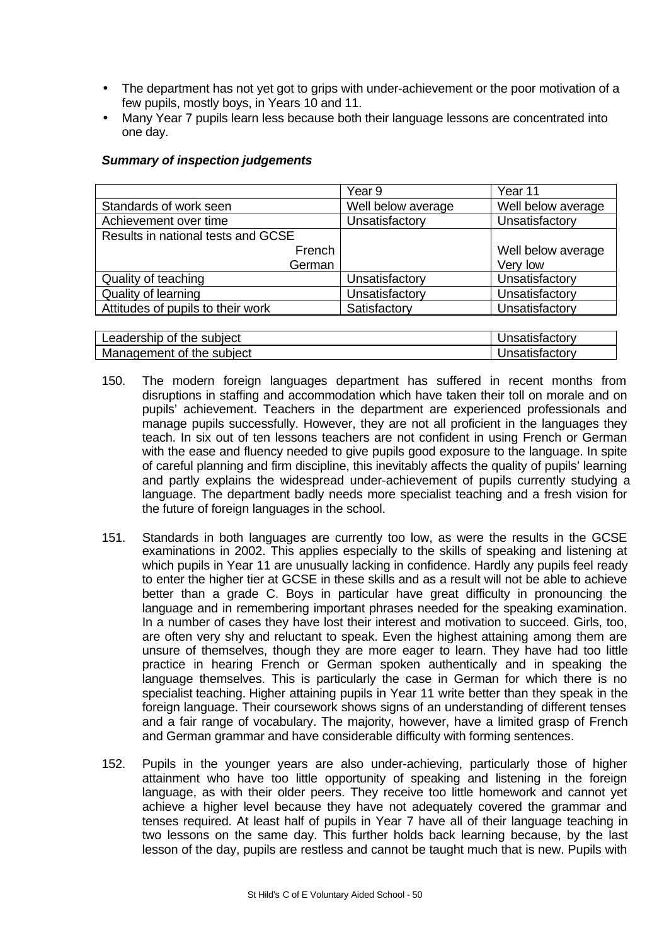- The department has not yet got to grips with under-achievement or the poor motivation of a few pupils, mostly boys, in Years 10 and 11.
- Many Year 7 pupils learn less because both their language lessons are concentrated into one day.

## *Summary of inspection judgements*

|                                    | Year 9             | Year 11            |
|------------------------------------|--------------------|--------------------|
| Standards of work seen             | Well below average | Well below average |
| Achievement over time              | Unsatisfactory     | Unsatisfactory     |
| Results in national tests and GCSE |                    |                    |
| French                             |                    | Well below average |
| German                             |                    | Very low           |
| Quality of teaching                | Unsatisfactory     | Unsatisfactory     |
| Quality of learning                | Unsatisfactory     | Unsatisfactory     |
| Attitudes of pupils to their work  | Satisfactory       | Unsatisfactory     |
|                                    |                    |                    |

| _eadership<br>ıbıect<br>nt<br>the l<br>≛ Su⊾. | $-1-1$<br>ausiaciu |
|-----------------------------------------------|--------------------|
| Mε<br>subject<br>anagement<br>the<br>∩t       | $-1-1$             |

- 150. The modern foreign languages department has suffered in recent months from disruptions in staffing and accommodation which have taken their toll on morale and on pupils' achievement. Teachers in the department are experienced professionals and manage pupils successfully. However, they are not all proficient in the languages they teach. In six out of ten lessons teachers are not confident in using French or German with the ease and fluency needed to give pupils good exposure to the language. In spite of careful planning and firm discipline, this inevitably affects the quality of pupils' learning and partly explains the widespread under-achievement of pupils currently studying a language. The department badly needs more specialist teaching and a fresh vision for the future of foreign languages in the school.
- 151. Standards in both languages are currently too low, as were the results in the GCSE examinations in 2002. This applies especially to the skills of speaking and listening at which pupils in Year 11 are unusually lacking in confidence. Hardly any pupils feel ready to enter the higher tier at GCSE in these skills and as a result will not be able to achieve better than a grade C. Boys in particular have great difficulty in pronouncing the language and in remembering important phrases needed for the speaking examination. In a number of cases they have lost their interest and motivation to succeed. Girls, too, are often very shy and reluctant to speak. Even the highest attaining among them are unsure of themselves, though they are more eager to learn. They have had too little practice in hearing French or German spoken authentically and in speaking the language themselves. This is particularly the case in German for which there is no specialist teaching. Higher attaining pupils in Year 11 write better than they speak in the foreign language. Their coursework shows signs of an understanding of different tenses and a fair range of vocabulary. The majority, however, have a limited grasp of French and German grammar and have considerable difficulty with forming sentences.
- 152. Pupils in the younger years are also under-achieving, particularly those of higher attainment who have too little opportunity of speaking and listening in the foreign language, as with their older peers. They receive too little homework and cannot yet achieve a higher level because they have not adequately covered the grammar and tenses required. At least half of pupils in Year 7 have all of their language teaching in two lessons on the same day. This further holds back learning because, by the last lesson of the day, pupils are restless and cannot be taught much that is new. Pupils with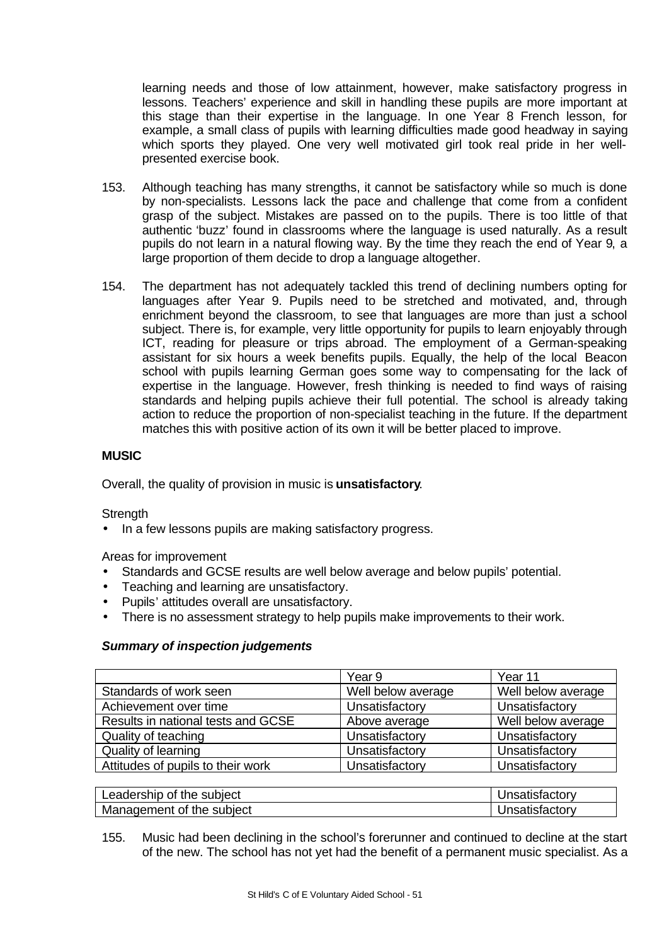learning needs and those of low attainment, however, make satisfactory progress in lessons. Teachers' experience and skill in handling these pupils are more important at this stage than their expertise in the language. In one Year 8 French lesson, for example, a small class of pupils with learning difficulties made good headway in saying which sports they played. One very well motivated girl took real pride in her wellpresented exercise book.

- 153. Although teaching has many strengths, it cannot be satisfactory while so much is done by non-specialists. Lessons lack the pace and challenge that come from a confident grasp of the subject. Mistakes are passed on to the pupils. There is too little of that authentic 'buzz' found in classrooms where the language is used naturally. As a result pupils do not learn in a natural flowing way. By the time they reach the end of Year 9, a large proportion of them decide to drop a language altogether.
- 154. The department has not adequately tackled this trend of declining numbers opting for languages after Year 9. Pupils need to be stretched and motivated, and, through enrichment beyond the classroom, to see that languages are more than just a school subject. There is, for example, very little opportunity for pupils to learn enjoyably through ICT, reading for pleasure or trips abroad. The employment of a German-speaking assistant for six hours a week benefits pupils. Equally, the help of the local Beacon school with pupils learning German goes some way to compensating for the lack of expertise in the language. However, fresh thinking is needed to find ways of raising standards and helping pupils achieve their full potential. The school is already taking action to reduce the proportion of non-specialist teaching in the future. If the department matches this with positive action of its own it will be better placed to improve.

# **MUSIC**

Overall, the quality of provision in music is **unsatisfactory**.

**Strength** 

• In a few lessons pupils are making satisfactory progress.

Areas for improvement

- Standards and GCSE results are well below average and below pupils' potential.
- Teaching and learning are unsatisfactory.
- Pupils' attitudes overall are unsatisfactory.
- There is no assessment strategy to help pupils make improvements to their work.

# *Summary of inspection judgements*

|                                    | Year 9             | Year 11            |
|------------------------------------|--------------------|--------------------|
| Standards of work seen             | Well below average | Well below average |
| Achievement over time              | Unsatisfactory     | Unsatisfactory     |
| Results in national tests and GCSE | Above average      | Well below average |
| Quality of teaching                | Unsatisfactory     | Unsatisfactory     |
| Quality of learning                | Unsatisfactory     | Unsatisfactory     |
| Attitudes of pupils to their work  | Unsatisfactory     | Unsatisfactory     |

| Leadership of the subject | Jnsatisfactory |
|---------------------------|----------------|
| Management of the subject | Jnsatisfactory |

155. Music had been declining in the school's forerunner and continued to decline at the start of the new. The school has not yet had the benefit of a permanent music specialist. As a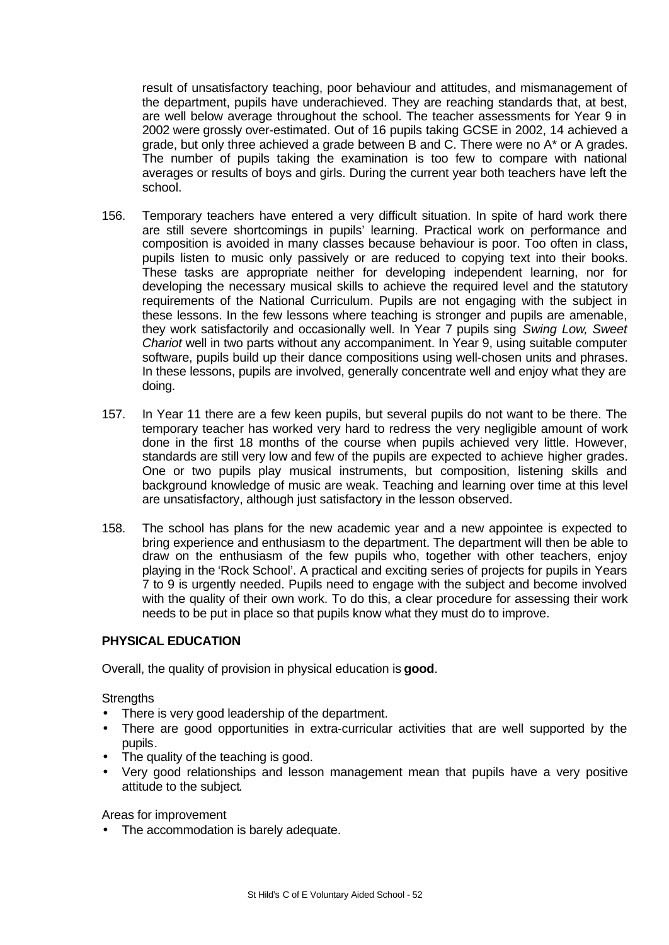result of unsatisfactory teaching, poor behaviour and attitudes, and mismanagement of the department, pupils have underachieved. They are reaching standards that, at best, are well below average throughout the school. The teacher assessments for Year 9 in 2002 were grossly over-estimated. Out of 16 pupils taking GCSE in 2002, 14 achieved a grade, but only three achieved a grade between B and C. There were no A\* or A grades. The number of pupils taking the examination is too few to compare with national averages or results of boys and girls. During the current year both teachers have left the school.

- 156. Temporary teachers have entered a very difficult situation. In spite of hard work there are still severe shortcomings in pupils' learning. Practical work on performance and composition is avoided in many classes because behaviour is poor. Too often in class, pupils listen to music only passively or are reduced to copying text into their books. These tasks are appropriate neither for developing independent learning, nor for developing the necessary musical skills to achieve the required level and the statutory requirements of the National Curriculum. Pupils are not engaging with the subject in these lessons. In the few lessons where teaching is stronger and pupils are amenable, they work satisfactorily and occasionally well. In Year 7 pupils sing *Swing Low, Sweet Chariot* well in two parts without any accompaniment. In Year 9, using suitable computer software, pupils build up their dance compositions using well-chosen units and phrases. In these lessons, pupils are involved, generally concentrate well and enjoy what they are doing.
- 157. In Year 11 there are a few keen pupils, but several pupils do not want to be there. The temporary teacher has worked very hard to redress the very negligible amount of work done in the first 18 months of the course when pupils achieved very little. However, standards are still very low and few of the pupils are expected to achieve higher grades. One or two pupils play musical instruments, but composition, listening skills and background knowledge of music are weak. Teaching and learning over time at this level are unsatisfactory, although just satisfactory in the lesson observed.
- 158. The school has plans for the new academic year and a new appointee is expected to bring experience and enthusiasm to the department. The department will then be able to draw on the enthusiasm of the few pupils who, together with other teachers, enjoy playing in the 'Rock School'. A practical and exciting series of projects for pupils in Years 7 to 9 is urgently needed. Pupils need to engage with the subject and become involved with the quality of their own work. To do this, a clear procedure for assessing their work needs to be put in place so that pupils know what they must do to improve.

# **PHYSICAL EDUCATION**

Overall, the quality of provision in physical education is **good**.

**Strengths** 

- There is very good leadership of the department.
- There are good opportunities in extra-curricular activities that are well supported by the pupils.
- The quality of the teaching is good.
- Very good relationships and lesson management mean that pupils have a very positive attitude to the subject.

Areas for improvement

• The accommodation is barely adequate.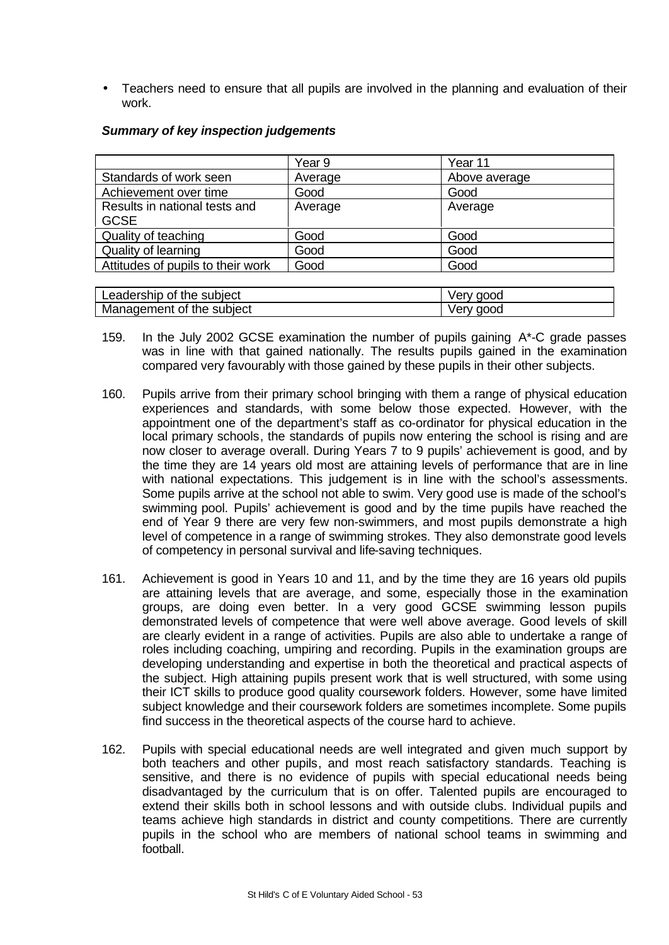• Teachers need to ensure that all pupils are involved in the planning and evaluation of their work.

|                                              | Year 9  | Year 11       |
|----------------------------------------------|---------|---------------|
| Standards of work seen                       | Average | Above average |
| Achievement over time                        | Good    | Good          |
| Results in national tests and<br><b>GCSE</b> | Average | Average       |
| Quality of teaching                          | Good    | Good          |
| Quality of learning                          | Good    | Good          |
| Attitudes of pupils to their work            | Good    | Good          |
|                                              |         |               |
| Leadership of the subject                    |         | Very good     |
| Management of the subject                    |         | Very good     |

#### *Summary of key inspection judgements*

- 159. In the July 2002 GCSE examination the number of pupils gaining A\*-C grade passes was in line with that gained nationally. The results pupils gained in the examination compared very favourably with those gained by these pupils in their other subjects.
- 160. Pupils arrive from their primary school bringing with them a range of physical education experiences and standards, with some below those expected. However, with the appointment one of the department's staff as co-ordinator for physical education in the local primary schools, the standards of pupils now entering the school is rising and are now closer to average overall. During Years 7 to 9 pupils' achievement is good, and by the time they are 14 years old most are attaining levels of performance that are in line with national expectations. This judgement is in line with the school's assessments. Some pupils arrive at the school not able to swim. Very good use is made of the school's swimming pool. Pupils' achievement is good and by the time pupils have reached the end of Year 9 there are very few non-swimmers, and most pupils demonstrate a high level of competence in a range of swimming strokes. They also demonstrate good levels of competency in personal survival and life-saving techniques.
- 161. Achievement is good in Years 10 and 11, and by the time they are 16 years old pupils are attaining levels that are average, and some, especially those in the examination groups, are doing even better. In a very good GCSE swimming lesson pupils demonstrated levels of competence that were well above average. Good levels of skill are clearly evident in a range of activities. Pupils are also able to undertake a range of roles including coaching, umpiring and recording. Pupils in the examination groups are developing understanding and expertise in both the theoretical and practical aspects of the subject. High attaining pupils present work that is well structured, with some using their ICT skills to produce good quality coursework folders. However, some have limited subject knowledge and their coursework folders are sometimes incomplete. Some pupils find success in the theoretical aspects of the course hard to achieve.
- 162. Pupils with special educational needs are well integrated and given much support by both teachers and other pupils, and most reach satisfactory standards. Teaching is sensitive, and there is no evidence of pupils with special educational needs being disadvantaged by the curriculum that is on offer. Talented pupils are encouraged to extend their skills both in school lessons and with outside clubs. Individual pupils and teams achieve high standards in district and county competitions. There are currently pupils in the school who are members of national school teams in swimming and football.